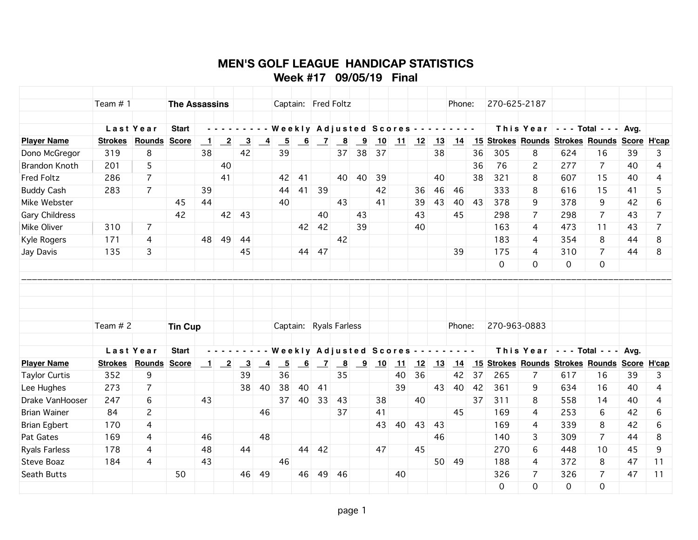## **MEN'S GOLF LEAGUE HANDICAP STATISTICS Week #17 09/05/19 Final**

| Team $# 1$                           |                | <b>The Assassins</b> |                            |                            |                           |                |                 |    |                | Captain: Fred Foltz      |    |                |    |        |    | Phone:                                                                                          |    | 270-625-2187 |                                                                           |     |                |      |                |
|--------------------------------------|----------------|----------------------|----------------------------|----------------------------|---------------------------|----------------|-----------------|----|----------------|--------------------------|----|----------------|----|--------|----|-------------------------------------------------------------------------------------------------|----|--------------|---------------------------------------------------------------------------|-----|----------------|------|----------------|
|                                      |                |                      |                            |                            |                           |                |                 |    |                |                          |    |                |    |        |    |                                                                                                 |    |              |                                                                           |     |                |      |                |
|                                      | Last Year      | <b>Start</b>         |                            |                            |                           |                |                 |    |                | Weekly Adjusted Scores - |    |                |    |        |    | $\mathcal{L}^{\mathcal{A}}$ , and $\mathcal{L}^{\mathcal{A}}$ , and $\mathcal{L}^{\mathcal{A}}$ |    |              | This Year $\vert$ - - Total - - - Avg.                                    |     |                |      |                |
| <b>Player Name</b><br><b>Strokes</b> | Rounds         | <b>Score</b>         | $\overline{\phantom{0}}$ 1 | $\overline{2}$             | $\overline{\phantom{0}3}$ | $-4$           | $\overline{5}$  | 6  | $\overline{z}$ | $\overline{\mathbf{8}}$  | 9  | 10             | 11 | 12     | 13 | 14                                                                                              |    |              | 15 Strokes Rounds Strokes Rounds Score H'cap                              |     |                |      |                |
| 319<br>Dono McGregor                 | 8              |                      | 38                         |                            | 42                        |                | 39              |    |                | 37                       | 38 | 37             |    |        | 38 |                                                                                                 | 36 | 305          | 8                                                                         | 624 | 16             | 39   | 3              |
| <b>Brandon Knoth</b><br>201          | 5              |                      |                            | 40                         |                           |                |                 |    |                |                          |    |                |    |        |    |                                                                                                 | 36 | 76           | $\overline{c}$                                                            | 277 | $\overline{7}$ | 40   | 4              |
| <b>Fred Foltz</b><br>286             | $\overline{7}$ |                      |                            | 41                         |                           |                | 42              | 41 |                | 40                       | 40 | 39             |    |        | 40 |                                                                                                 | 38 | 321          | 8                                                                         | 607 | 15             | 40   | 4              |
| 283<br><b>Buddy Cash</b>             | $\overline{7}$ |                      | 39                         |                            |                           |                | 44              | 41 | 39             |                          |    | 42             |    | 36     | 46 | 46                                                                                              |    | 333          | 8                                                                         | 616 | 15             | 41   | 5              |
| Mike Webster                         |                | 45                   | 44                         |                            |                           |                | 40              |    |                | 43                       |    | 41             |    | 39     | 43 | 40                                                                                              | 43 | 378          | 9                                                                         | 378 | 9              | 42   | 6              |
| <b>Gary Childress</b>                |                | 42                   |                            | 42                         | 43                        |                |                 |    | 40             |                          | 43 |                |    | 43     |    | 45                                                                                              |    | 298          | $\overline{7}$                                                            | 298 | $\overline{7}$ | 43   | $\overline{7}$ |
| 310<br>Mike Oliver                   | $\overline{7}$ |                      |                            |                            |                           |                |                 |    | 42 42          |                          | 39 |                |    | 40     |    |                                                                                                 |    | 163          | 4                                                                         | 473 | 11             | 43   | $\overline{7}$ |
| Kyle Rogers<br>171                   | 4              |                      | 48                         | 49                         | 44                        |                |                 |    |                | 42                       |    |                |    |        |    |                                                                                                 |    | 183          | 4                                                                         | 354 | 8              | 44   | 8              |
| 135<br>Jay Davis                     | 3              |                      |                            |                            | 45                        |                |                 |    | 44 47          |                          |    |                |    |        |    | 39                                                                                              |    | 175          | 4                                                                         | 310 | $\overline{7}$ | 44   | 8              |
|                                      |                |                      |                            |                            |                           |                |                 |    |                |                          |    |                |    |        |    |                                                                                                 |    | 0            | 0                                                                         | 0   | 0              |      |                |
|                                      |                |                      |                            |                            |                           |                |                 |    |                |                          |    |                |    |        |    |                                                                                                 |    |              |                                                                           |     |                |      |                |
|                                      |                |                      |                            |                            |                           |                |                 |    |                |                          |    |                |    |        |    |                                                                                                 |    |              |                                                                           |     |                |      |                |
|                                      |                |                      |                            |                            |                           |                |                 |    |                |                          |    |                |    |        |    |                                                                                                 |    |              |                                                                           |     |                |      |                |
|                                      |                |                      |                            |                            |                           |                |                 |    |                |                          |    |                |    |        |    |                                                                                                 |    |              |                                                                           |     |                |      |                |
| Team $# 2$                           |                | <b>Tin Cup</b>       |                            |                            |                           |                |                 |    |                | Captain: Ryals Farless   |    |                |    |        |    | Phone:                                                                                          |    | 270-963-0883 |                                                                           |     |                |      |                |
|                                      | Last Year      | <b>Start</b>         |                            |                            |                           |                |                 |    |                | Weekly Adjusted Scores   |    |                |    | $\sim$ |    | $\sim$ $\sim$ $\sim$ $\sim$                                                                     |    |              | This Year $\vert \cdot \cdot \cdot$ Total $\vert \cdot \cdot \cdot \vert$ |     |                | Avg. |                |
| <b>Player Name</b><br><b>Strokes</b> | Rounds         | <b>Score</b>         | $\blacksquare$             | $\overline{\phantom{0}}^2$ | $\overline{\mathbf{3}}$   | $\overline{4}$ | $5\overline{)}$ | 6  | $\overline{z}$ | $\overline{\mathbf{8}}$  |    | $\frac{9}{10}$ | 11 | 12     | 13 | 14                                                                                              | 15 |              | Strokes Rounds Strokes Rounds Score H'cap                                 |     |                |      |                |
| 352<br><b>Taylor Curtis</b>          | 9              |                      |                            |                            | 39                        |                | 36              |    |                | 35                       |    |                | 40 | 36     |    | 42                                                                                              | 37 | 265          | 7                                                                         | 617 | 16             | 39   | 3              |
| 273<br>Lee Hughes                    | $\overline{7}$ |                      |                            |                            | 38                        | 40             | 38              | 40 | 41             |                          |    |                | 39 |        | 43 | 40                                                                                              | 42 | 361          | 9                                                                         | 634 | 16             | 40   | 4              |
| Drake VanHooser<br>247               | 6              |                      | 43                         |                            |                           |                | 37              | 40 | 33             | 43                       |    | 38             |    | 40     |    |                                                                                                 | 37 | 311          | 8                                                                         | 558 | 14             | 40   | 4              |
| <b>Brian Wainer</b><br>84            | $\mathbf{2}$   |                      |                            |                            |                           | 46             |                 |    |                | 37                       |    | 41             |    |        |    | 45                                                                                              |    | 169          | 4                                                                         | 253 | 6              | 42   | 6              |
| <b>Brian Egbert</b><br>170           | 4              |                      |                            |                            |                           |                |                 |    |                |                          |    | 43             | 40 | 43     | 43 |                                                                                                 |    | 169          | 4                                                                         | 339 | 8              | 42   | 6              |
| Pat Gates<br>169                     | 4              |                      | 46                         |                            |                           | 48             |                 |    |                |                          |    |                |    |        | 46 |                                                                                                 |    | 140          | 3                                                                         | 309 | 7              | 44   | 8              |
| <b>Ryals Farless</b><br>178          | 4              |                      | 48                         |                            | 44                        |                |                 | 44 | 42             |                          |    | 47             |    | 45     |    |                                                                                                 |    | 270          | 6                                                                         | 448 | 10             | 45   | 9              |
| Steve Boaz<br>184                    | 4              |                      | 43                         |                            |                           |                | 46              |    |                |                          |    |                |    |        | 50 | -49                                                                                             |    | 188          | 4                                                                         | 372 | 8              | 47   | 11             |
| Seath Butts                          |                | 50                   |                            |                            | 46                        | 49             |                 | 46 | 49             | -46                      |    |                | 40 |        |    |                                                                                                 |    | 326          | 7                                                                         | 326 | 7              | 47   | 11             |
|                                      |                |                      |                            |                            |                           |                |                 |    |                |                          |    |                |    |        |    |                                                                                                 |    | 0            | 0                                                                         | 0   | 0              |      |                |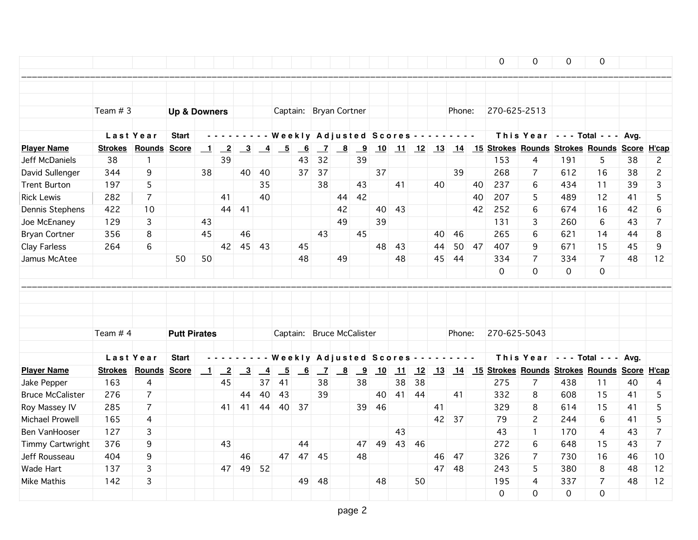|                                      |                      |                |                         |                |                         |                           |                |                          |                 |                                       |                         |                         |    |    |     |    |                   |    | 0            | $\mathbf 0$                                                      | 0        | $\mathsf{O}\xspace$ |    |                |
|--------------------------------------|----------------------|----------------|-------------------------|----------------|-------------------------|---------------------------|----------------|--------------------------|-----------------|---------------------------------------|-------------------------|-------------------------|----|----|-----|----|-------------------|----|--------------|------------------------------------------------------------------|----------|---------------------|----|----------------|
|                                      |                      |                |                         |                |                         |                           |                |                          |                 |                                       |                         |                         |    |    |     |    |                   |    |              |                                                                  |          |                     |    |                |
|                                      | Team # 3             |                | <b>Up &amp; Downers</b> |                |                         |                           |                |                          |                 | Captain: Bryan Cortner                |                         |                         |    |    |     |    | Phone:            |    | 270-625-2513 |                                                                  |          |                     |    |                |
|                                      |                      |                |                         |                |                         |                           |                |                          |                 |                                       |                         |                         |    |    |     |    |                   |    |              |                                                                  |          |                     |    |                |
|                                      |                      | Last Year      | <b>Start</b>            |                |                         |                           |                |                          |                 | ---- Weekly Adjusted Scores --------- |                         |                         |    |    |     |    |                   |    |              | This Year $\vert$ - - Total - - - Avg.                           |          |                     |    |                |
| <b>Player Name</b><br>Jeff McDaniels | <b>Strokes</b><br>38 | Rounds Score   |                         | $\blacksquare$ | $\overline{2}$<br>39    | $\overline{\mathbf{3}}$   | $\overline{4}$ | $-5$                     | 6<br>43         | $\overline{z}$<br>32                  | $\overline{\mathbf{8}}$ | $_{9}$<br>39            |    |    |     |    |                   |    | 153          | 10 11 12 13 14 15 Strokes Rounds Strokes Rounds Score H'cap<br>4 | 191      | 5                   | 38 | $\mathbf{2}$   |
|                                      |                      | $\mathbf{1}$   |                         |                |                         |                           |                |                          |                 |                                       |                         |                         |    |    |     |    |                   |    | 268          |                                                                  |          | 16                  |    | $\overline{c}$ |
| David Sullenger                      | 344                  | 9              |                         | 38             |                         | 40                        | 40             |                          | 37              | 37                                    |                         |                         | 37 |    |     |    | 39                |    |              | $\overline{7}$                                                   | 612      |                     | 38 |                |
| <b>Trent Burton</b>                  | 197                  | 5              |                         |                |                         |                           | 35             |                          |                 | 38                                    |                         | 43                      |    | 41 |     | 40 |                   | 40 | 237          | 6                                                                | 434      | 11                  | 39 | 3              |
| <b>Rick Lewis</b>                    | 282                  | $\overline{7}$ |                         |                | 41<br>44                |                           | 40             |                          |                 |                                       | 44                      | 42                      |    |    |     |    |                   | 40 | 207          | 5                                                                | 489      | 12                  | 41 | 5<br>6         |
| Dennis Stephens                      | 422                  | 10             |                         |                |                         | 41                        |                |                          |                 |                                       | 42                      |                         | 40 | 43 |     |    |                   | 42 | 252          | 6                                                                | 674      | 16                  | 42 |                |
| Joe McEnaney                         | 129                  | 3              |                         | 43             |                         |                           |                |                          |                 |                                       | 49                      |                         | 39 |    |     |    |                   |    | 131          | 3                                                                | 260      | 6                   | 43 | $\overline{7}$ |
| <b>Bryan Cortner</b>                 | 356                  | 8              |                         | 45             |                         | 46                        |                |                          |                 | 43                                    |                         | 45                      |    |    |     | 40 | 46                |    | 265          | 6                                                                | 621      | 14                  | 44 | 8              |
| Clay Farless                         | 264                  | 6              |                         |                | 42                      |                           | 45 43          |                          | 45              |                                       |                         |                         | 48 | 43 |     | 44 | 50                | 47 | 407          | 9                                                                | 671      | 15                  | 45 | 9              |
| Jamus McAtee                         |                      |                | 50                      | 50             |                         |                           |                |                          | 48              |                                       | 49                      |                         |    | 48 |     | 45 | -44               |    | 334          | 7                                                                | 334      | $\overline{7}$      | 48 | 12             |
|                                      |                      |                |                         |                |                         |                           |                |                          |                 |                                       |                         |                         |    |    |     |    |                   |    | 0            | $\Omega$                                                         | $\Omega$ | 0                   |    |                |
|                                      |                      |                |                         |                |                         |                           |                |                          |                 |                                       |                         |                         |    |    |     |    |                   |    |              |                                                                  |          |                     |    |                |
|                                      |                      |                |                         |                |                         |                           |                |                          |                 |                                       |                         |                         |    |    |     |    |                   |    |              |                                                                  |          |                     |    |                |
|                                      |                      |                |                         |                |                         |                           |                |                          |                 |                                       |                         |                         |    |    |     |    |                   |    |              |                                                                  |          |                     |    |                |
|                                      | Team # 4             |                | <b>Putt Pirates</b>     |                |                         |                           |                |                          |                 | Captain: Bruce McCalister             |                         |                         |    |    |     |    | Phone:            |    | 270-625-5043 |                                                                  |          |                     |    |                |
|                                      |                      |                |                         |                |                         |                           |                |                          |                 |                                       |                         |                         |    |    |     |    |                   |    |              |                                                                  |          |                     |    |                |
|                                      |                      | Last Year      | <b>Start</b>            |                |                         |                           |                |                          |                 | <b>Weekly Adjusted Scores</b>         |                         |                         |    |    |     |    | $\sim 100$ $\sim$ |    |              | This Year $\vert$ - - - Total - - - Avg.                         |          |                     |    |                |
| <b>Player Name</b>                   | <b>Strokes</b>       | Rounds Score   |                         | $\blacksquare$ | $\overline{\mathbf{2}}$ | $\overline{\phantom{0}3}$ | $\overline{4}$ | $\overline{\phantom{0}}$ | $\overline{-6}$ | $\overline{z}$                        | $\overline{\mathbf{8}}$ | $\overline{\mathbf{9}}$ | 10 | 11 | 12  |    |                   |    |              | 13 14 15 Strokes Rounds Strokes Rounds Score H'cap               |          |                     |    |                |
| Jake Pepper                          | 163                  | $\overline{4}$ |                         |                | 45                      |                           | 37             | 41                       |                 | 38                                    |                         | 38                      |    | 38 | 38  |    |                   |    | 275          | $\overline{7}$                                                   | 438      | 11                  | 40 | 4              |
| <b>Bruce McCalister</b>              | 276                  | $\overline{7}$ |                         |                |                         | 44                        | 40             | 43                       |                 | 39                                    |                         |                         | 40 | 41 | 44  |    | 41                |    | 332          | 8                                                                | 608      | 15                  | 41 | 5              |
| Roy Massey IV                        | 285                  | $\overline{7}$ |                         |                | 41                      | 41                        | 44             | 40                       | 37              |                                       |                         | 39                      | 46 |    |     | 41 |                   |    | 329          | 8                                                                | 614      | 15                  | 41 | 5              |
| Michael Prowell                      | 165                  | 4              |                         |                |                         |                           |                |                          |                 |                                       |                         |                         |    |    |     |    | 42 37             |    | 79           | $\mathbf{2}^{\prime}$                                            | 244      | 6                   | 41 | 5              |
| Ben VanHooser                        | 127                  | 3              |                         |                |                         |                           |                |                          |                 |                                       |                         |                         |    | 43 |     |    |                   |    | 43           | $\mathbf{1}$                                                     | 170      | 4                   | 43 | $\overline{7}$ |
| Timmy Cartwright                     | 376                  | 9              |                         |                | 43                      |                           |                |                          | 44              |                                       |                         | 47                      | 49 | 43 | -46 |    |                   |    | 272          | 6                                                                | 648      | 15                  | 43 | $\overline{7}$ |
| Jeff Rousseau                        | 404                  | 9              |                         |                |                         | 46                        |                | 47                       |                 | 47 45                                 |                         | 48                      |    |    |     | 46 | 47                |    | 326          | $\overline{7}$                                                   | 730      | 16                  | 46 | 10             |
| Wade Hart                            | 137                  | 3              |                         |                | 47                      | 49                        | 52             |                          |                 |                                       |                         |                         |    |    |     | 47 | 48                |    | 243          | 5                                                                | 380      | 8                   | 48 | 12             |
| <b>Mike Mathis</b>                   | 142                  | 3              |                         |                |                         |                           |                |                          | 49              | 48                                    |                         |                         | 48 |    | 50  |    |                   |    | 195          | 4                                                                | 337      | $\overline{7}$      | 48 | 12             |
|                                      |                      |                |                         |                |                         |                           |                |                          |                 |                                       |                         |                         |    |    |     |    |                   |    | 0            | 0                                                                | $\Omega$ | $\overline{0}$      |    |                |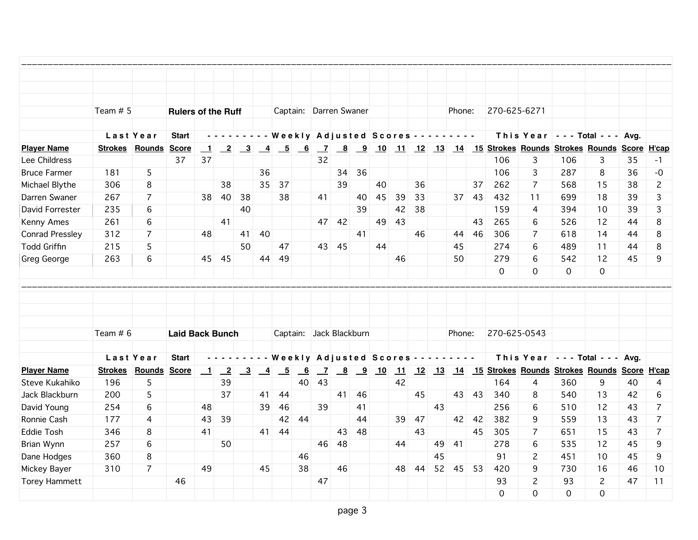|                        | Team $# 5$            |                | <b>Rulers of the Ruff</b> |                          |                 |                                                             |                 |               |                           |                | Captain: Darren Swaner                   |    |                                                                      |                                              |     |    | Phone:                                                                                                                    |         | 270-625-6271 |                |          |                                                          |    |                |
|------------------------|-----------------------|----------------|---------------------------|--------------------------|-----------------|-------------------------------------------------------------|-----------------|---------------|---------------------------|----------------|------------------------------------------|----|----------------------------------------------------------------------|----------------------------------------------|-----|----|---------------------------------------------------------------------------------------------------------------------------|---------|--------------|----------------|----------|----------------------------------------------------------|----|----------------|
|                        |                       | Last Year      | <b>Start</b>              |                          |                 |                                                             |                 |               |                           |                | Weekly Adjusted Scores - - -             |    |                                                                      |                                              |     |    | $\begin{array}{cccccccccccccc} \bullet & \bullet & \bullet & \bullet & \bullet & \bullet & \bullet & \bullet \end{array}$ |         |              |                |          | This Year - - - Total - - - Avg.                         |    |                |
| <b>Player Name</b>     | <b>Strokes Rounds</b> |                | <b>Score</b>              | $\blacksquare$           |                 | $\begin{array}{ c c c } \hline 2 & 3 \\ \hline \end{array}$ | $\sim$ 4        | $\frac{5}{6}$ |                           | $\overline{z}$ |                                          |    |                                                                      | $\frac{8}{9}$ $\frac{9}{10}$ $\frac{11}{11}$ |     |    |                                                                                                                           |         |              |                |          | 12 13 14 15 Strokes Rounds Strokes Rounds Score H'cap    |    |                |
| Lee Childress          |                       |                | 37                        | 37                       |                 |                                                             |                 |               |                           | 32             |                                          |    |                                                                      |                                              |     |    |                                                                                                                           |         | 106          | 3              | 106      | 3                                                        | 35 | -1             |
| <b>Bruce Farmer</b>    | 181                   | 5              |                           |                          |                 |                                                             | 36              |               |                           |                | 34                                       | 36 |                                                                      |                                              |     |    |                                                                                                                           |         | 106          | 3              | 287      | 8                                                        | 36 | $-0$           |
| Michael Blythe         | 306                   | 8              |                           |                          | 38              |                                                             | 35              | 37            |                           |                | 39                                       |    | 40                                                                   |                                              | 36  |    |                                                                                                                           | 37      | 262          | $\overline{7}$ | 568      | 15                                                       | 38 | $\overline{c}$ |
| Darren Swaner          | 267                   | $\overline{7}$ |                           | 38                       | 40              | 38                                                          |                 | 38            |                           | 41             |                                          | 40 | 45                                                                   | 39                                           | 33  |    |                                                                                                                           | $37$ 43 | 432          | 11             | 699      | 18                                                       | 39 | 3              |
| David Forrester        | 235                   | 6              |                           |                          |                 | 40                                                          |                 |               |                           |                |                                          | 39 |                                                                      | 42                                           | 38  |    |                                                                                                                           |         | 159          | 4              | 394      | 10                                                       | 39 | 3              |
| Kenny Ames             | 261                   | 6              |                           |                          | 41              |                                                             |                 |               |                           |                | 47 42                                    |    | 49                                                                   | 43                                           |     |    |                                                                                                                           | 43      | 265          | 6              | 526      | 12                                                       | 44 | 8              |
| <b>Conrad Pressley</b> | 312                   | $\overline{7}$ |                           | 48                       |                 | 41                                                          | 40              |               |                           |                |                                          | 41 |                                                                      |                                              | 46  |    | 44                                                                                                                        | 46      | 306          | $\overline{7}$ | 618      | 14                                                       | 44 | 8              |
| <b>Todd Griffin</b>    | 215                   | 5              |                           |                          |                 | 50                                                          |                 | 47            |                           |                | 43 45                                    |    | 44                                                                   |                                              |     |    | 45                                                                                                                        |         | 274          | 6              | 489      | 11                                                       | 44 | 8              |
| Greg George            | 263                   | 6              |                           | 45                       | 45              |                                                             | 44              | 49            |                           |                |                                          |    |                                                                      | 46                                           |     |    | 50                                                                                                                        |         | 279          | 6              | 542      | 12                                                       | 45 | 9              |
|                        |                       |                |                           |                          |                 |                                                             |                 |               |                           |                |                                          |    |                                                                      |                                              |     |    |                                                                                                                           |         | 0            | 0              | 0        | $\mathbf 0$                                              |    |                |
|                        |                       |                |                           |                          |                 |                                                             |                 |               |                           |                |                                          |    |                                                                      |                                              |     |    |                                                                                                                           |         |              |                |          |                                                          |    |                |
|                        |                       |                |                           |                          |                 |                                                             |                 |               |                           |                |                                          |    |                                                                      |                                              |     |    |                                                                                                                           |         |              |                |          |                                                          |    |                |
|                        |                       |                |                           |                          |                 |                                                             |                 |               |                           |                |                                          |    |                                                                      |                                              |     |    |                                                                                                                           |         |              |                |          |                                                          |    |                |
|                        |                       |                |                           |                          |                 |                                                             |                 |               |                           |                |                                          |    |                                                                      |                                              |     |    |                                                                                                                           |         |              |                |          |                                                          |    |                |
|                        | Team $# 6$            |                | <b>Laid Back Bunch</b>    |                          |                 |                                                             |                 |               |                           |                | Captain: Jack Blackburn                  |    |                                                                      |                                              |     |    | Phone:                                                                                                                    |         | 270-625-0543 |                |          |                                                          |    |                |
|                        |                       | Last Year      | <b>Start</b>              |                          |                 |                                                             |                 |               |                           |                | Weekly Adjusted Scores - - - - - - - - - |    |                                                                      |                                              |     |    |                                                                                                                           |         |              |                |          | This Year - - - Total - - - Avg.                         |    |                |
| <b>Player Name</b>     |                       | Strokes Rounds | Score                     | $\overline{\phantom{0}}$ | $\overline{-2}$ | $\overline{\mathbf{3}}$                                     | $\overline{-4}$ | $-5$          | $\underline{\phantom{0}}$ | $\overline{Z}$ |                                          |    | $\begin{array}{ c c c c c } \hline 8 & 9 & 10 \\ \hline \end{array}$ |                                              |     |    |                                                                                                                           |         |              |                |          | 11 12 13 14 15 Strokes Rounds Strokes Rounds Score H'cap |    |                |
| Steve Kukahiko         | 196                   | 5              |                           |                          | 39              |                                                             |                 |               | 40                        | 43             |                                          |    |                                                                      | 42                                           |     |    |                                                                                                                           |         | 164          | 4              | 360      | 9                                                        | 40 | 4              |
| Jack Blackburn         | 200                   | 5              |                           |                          | 37              |                                                             | 41              | 44            |                           |                | 41                                       | 46 |                                                                      |                                              | 45  |    | 43                                                                                                                        | 43      | 340          | 8              | 540      | 13                                                       | 42 | 6              |
| David Young            | 254                   | 6              |                           | 48                       |                 |                                                             | 39              | 46            |                           | 39             |                                          | 41 |                                                                      |                                              |     | 43 |                                                                                                                           |         | 256          | 6              | 510      | 12                                                       | 43 | $\overline{7}$ |
| Ronnie Cash            | 177                   | 4              |                           | 43                       | 39              |                                                             |                 | 42            | 44                        |                |                                          | 44 |                                                                      | 39                                           | 47  |    | 42                                                                                                                        | 42      | 382          | 9              | 559      | 13                                                       | 43 | $\overline{7}$ |
| <b>Eddie Tosh</b>      | 346                   | 8              |                           | 41                       |                 |                                                             | 41              | 44            |                           |                | 43                                       | 48 |                                                                      |                                              | 43  |    |                                                                                                                           | 45      | 305          | $\overline{7}$ | 651      | 15                                                       | 43 | $\overline{7}$ |
| Brian Wynn             | 257                   | 6              |                           |                          | 50              |                                                             |                 |               |                           | 46             | 48                                       |    |                                                                      | 44                                           |     | 49 | 41                                                                                                                        |         | 278          | 6              | 535      | 12                                                       | 45 | 9              |
| Dane Hodges            | 360                   | 8              |                           |                          |                 |                                                             |                 |               | 46                        |                |                                          |    |                                                                      |                                              |     | 45 |                                                                                                                           |         | 91           | $\overline{c}$ | 451      | 10                                                       | 45 | 9              |
| Mickey Bayer           | 310                   | $\overline{7}$ |                           | 49                       |                 |                                                             | 45              |               | 38                        |                | 46                                       |    |                                                                      | 48                                           | -44 | 52 | 45                                                                                                                        | 53      | 420          | 9              | 730      | 16                                                       | 46 | 10             |
| <b>Torey Hammett</b>   |                       |                | 46                        |                          |                 |                                                             |                 |               |                           | 47             |                                          |    |                                                                      |                                              |     |    |                                                                                                                           |         | 93           | 2              | 93       | $\mathbf{2}^{\prime}$                                    | 47 | 11             |
|                        |                       |                |                           |                          |                 |                                                             |                 |               |                           |                |                                          |    |                                                                      |                                              |     |    |                                                                                                                           |         | $\Omega$     | $\Omega$       | $\Omega$ | $\Omega$                                                 |    |                |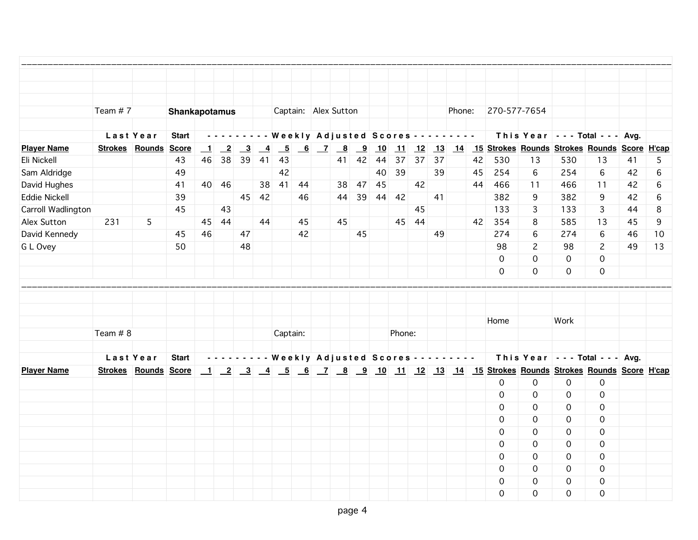|                      | Team #7                     |                | <b>Shankapotamus</b> |                |                         |               |                |                 |    | Captain: Alex Sutton                       |                         |    |        |       |       | Phone: |    | 270-577-7654 |              |              |                                                                            |    |        |
|----------------------|-----------------------------|----------------|----------------------|----------------|-------------------------|---------------|----------------|-----------------|----|--------------------------------------------|-------------------------|----|--------|-------|-------|--------|----|--------------|--------------|--------------|----------------------------------------------------------------------------|----|--------|
|                      |                             | Last Year      | <b>Start</b>         |                |                         |               |                |                 |    | --------- Weekly Adjusted Scores --------- |                         |    |        |       |       |        |    |              |              |              | This Year $\vert$ - - - Total - - - Avg.                                   |    |        |
| <b>Player Name</b>   | Strokes Rounds Score        |                |                      | $\blacksquare$ | $\overline{\mathbf{2}}$ | $\frac{3}{2}$ | $\overline{a}$ | $\overline{-}5$ | 6  | $\overline{7}$ $\overline{8}$              | $\overline{\mathbf{9}}$ | 10 | 11     | 12    |       |        |    |              |              |              | 13 14 15 Strokes Rounds Strokes Rounds Score H'cap                         |    |        |
| Eli Nickell          |                             |                | 43                   | 46             | 38                      | 39            | 41             | 43              |    |                                            | 41 42                   | 44 | 37     |       | 37 37 |        | 42 | 530          | 13           | 530          | 13                                                                         | 41 | 5      |
| Sam Aldridge         |                             |                | 49                   |                |                         |               |                | 42              |    |                                            |                         | 40 | 39     |       | 39    |        | 45 | 254          | 6            | 254          | $6\phantom{a}$                                                             | 42 | 6      |
| David Hughes         |                             |                | 41                   | 40             | 46                      |               |                | 38 41 44        |    | 38                                         | 47                      | 45 |        | 42    |       |        | 44 | 466          | 11           | 466          | 11                                                                         | 42 | 6      |
| <b>Eddie Nickell</b> |                             |                | 39                   |                |                         | 45            | 42             |                 | 46 | 44                                         | 39                      | 44 | 42     |       | 41    |        |    | 382          | 9            | 382          | 9                                                                          | 42 | $\,$ 6 |
| Carroll Wadlington   |                             |                | 45                   |                | 43                      |               |                |                 |    |                                            |                         |    |        | 45    |       |        |    | 133          | 3            | 133          | $\overline{3}$                                                             | 44 | 8      |
| Alex Sutton          | 231                         | 5 <sup>5</sup> |                      | 45             | 44                      |               | 44             |                 | 45 | 45                                         |                         |    |        | 45 44 |       |        | 42 | 354          | 8            | 585          | 13                                                                         | 45 | 9      |
| David Kennedy        |                             |                | 45                   | 46             |                         | 47            |                |                 | 42 |                                            | 45                      |    |        |       | 49    |        |    | 274          | 6            | 274          | 6                                                                          | 46 | 10     |
| G L Ovey             |                             |                | 50                   |                |                         | 48            |                |                 |    |                                            |                         |    |        |       |       |        |    | 98           | $\mathbf{2}$ | 98           | $\mathbf{2}$                                                               | 49 | 13     |
|                      |                             |                |                      |                |                         |               |                |                 |    |                                            |                         |    |        |       |       |        |    | $\Omega$     | $\Omega$     | $\mathbf 0$  | $\mathbf 0$                                                                |    |        |
|                      |                             |                |                      |                |                         |               |                |                 |    |                                            |                         |    |        |       |       |        |    | $\Omega$     | $\mathbf 0$  | 0            | 0                                                                          |    |        |
|                      |                             |                |                      |                |                         |               |                |                 |    |                                            |                         |    |        |       |       |        |    |              |              |              |                                                                            |    |        |
|                      |                             |                |                      |                |                         |               |                |                 |    |                                            |                         |    |        |       |       |        |    |              |              |              |                                                                            |    |        |
|                      |                             |                |                      |                |                         |               |                |                 |    |                                            |                         |    |        |       |       |        |    | Home         |              | Work         |                                                                            |    |        |
|                      | Team # 8                    |                |                      |                |                         |               |                | Captain:        |    |                                            |                         |    | Phone: |       |       |        |    |              |              |              |                                                                            |    |        |
|                      |                             |                |                      |                |                         |               |                |                 |    |                                            |                         |    |        |       |       |        |    |              |              |              |                                                                            |    |        |
|                      |                             | Last Year      | <b>Start</b>         |                |                         |               |                |                 |    |                                            |                         |    |        |       |       |        |    |              |              |              | --------- Weekly Adjusted Scores --------   This Year   --- Total --- Avg. |    |        |
| <b>Player Name</b>   | <b>Strokes Rounds Score</b> |                |                      |                |                         |               |                |                 |    |                                            |                         |    |        |       |       |        |    |              |              |              |                                                                            |    |        |
|                      |                             |                |                      |                |                         |               |                |                 |    |                                            |                         |    |        |       |       |        |    | $\mathsf{O}$ | 0            | 0            | 0                                                                          |    |        |
|                      |                             |                |                      |                |                         |               |                |                 |    |                                            |                         |    |        |       |       |        |    | $\mathbf 0$  | $\mathbf 0$  | $\mathbf 0$  | $\mathbf 0$                                                                |    |        |
|                      |                             |                |                      |                |                         |               |                |                 |    |                                            |                         |    |        |       |       |        |    | $\mathbf 0$  | $\mathbf 0$  | $\mathbf 0$  | $\mathsf{O}\xspace$                                                        |    |        |
|                      |                             |                |                      |                |                         |               |                |                 |    |                                            |                         |    |        |       |       |        |    | 0            | $\Omega$     | $\mathsf{O}$ | $\mathsf{O}\xspace$                                                        |    |        |
|                      |                             |                |                      |                |                         |               |                |                 |    |                                            |                         |    |        |       |       |        |    | $\Omega$     | $\Omega$     | 0            | 0                                                                          |    |        |
|                      |                             |                |                      |                |                         |               |                |                 |    |                                            |                         |    |        |       |       |        |    | $\Omega$     | $\Omega$     | 0            | 0                                                                          |    |        |
|                      |                             |                |                      |                |                         |               |                |                 |    |                                            |                         |    |        |       |       |        |    | $\Omega$     | $\Omega$     | $\Omega$     | $\mathbf 0$                                                                |    |        |
|                      |                             |                |                      |                |                         |               |                |                 |    |                                            |                         |    |        |       |       |        |    | $\Omega$     | $\Omega$     | $\Omega$     | $\mathsf{O}\xspace$                                                        |    |        |
|                      |                             |                |                      |                |                         |               |                |                 |    |                                            |                         |    |        |       |       |        |    | $\mathbf 0$  | $\Omega$     | $\Omega$     | $\mathsf{O}\xspace$                                                        |    |        |
|                      |                             |                |                      |                |                         |               |                |                 |    |                                            |                         |    |        |       |       |        |    | $\Omega$     | $\Omega$     | $\Omega$     | $\mathbf 0$                                                                |    |        |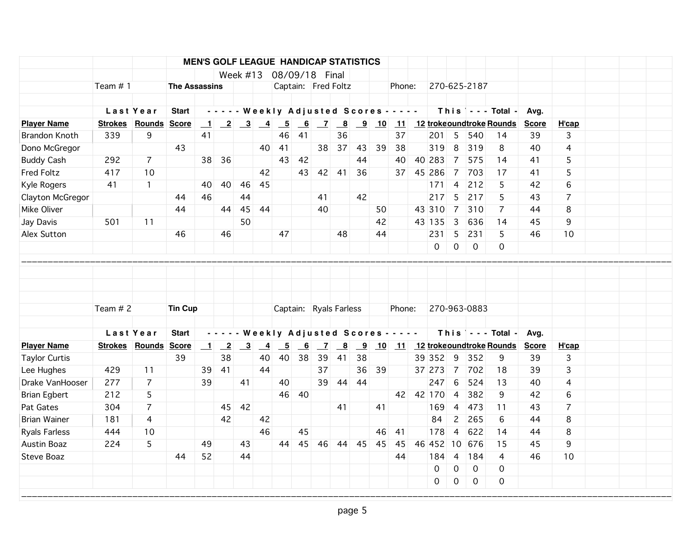|                  |                | <b>Start</b>                                  |                                                           |                      |                                                                 |                                                                                                                                                                   |                                                                |                                                                          |                      |                           |                                                                                    |                                                              |                                                                         |                      |                                                                                                                       |                                                              |                                    | Avg.                                                                                               |                                                            |   |  |
|------------------|----------------|-----------------------------------------------|-----------------------------------------------------------|----------------------|-----------------------------------------------------------------|-------------------------------------------------------------------------------------------------------------------------------------------------------------------|----------------------------------------------------------------|--------------------------------------------------------------------------|----------------------|---------------------------|------------------------------------------------------------------------------------|--------------------------------------------------------------|-------------------------------------------------------------------------|----------------------|-----------------------------------------------------------------------------------------------------------------------|--------------------------------------------------------------|------------------------------------|----------------------------------------------------------------------------------------------------|------------------------------------------------------------|---|--|
|                  |                |                                               |                                                           |                      |                                                                 |                                                                                                                                                                   |                                                                |                                                                          |                      | $\overline{\mathbf{8}}$   |                                                                                    |                                                              |                                                                         |                      |                                                                                                                       |                                                              |                                    | <b>Score</b>                                                                                       | H'cap                                                      |   |  |
| 339              | 9              |                                               |                                                           |                      |                                                                 |                                                                                                                                                                   | 46                                                             | 41                                                                       |                      | 36                        |                                                                                    |                                                              |                                                                         |                      |                                                                                                                       | 540                                                          | 14                                 | 39                                                                                                 | 3                                                          |   |  |
|                  |                | 43                                            |                                                           |                      |                                                                 |                                                                                                                                                                   | 41                                                             |                                                                          |                      | 37                        | 43                                                                                 | 39                                                           | 38                                                                      | 319                  | 8                                                                                                                     | 319                                                          | 8                                  | 40                                                                                                 | 4                                                          |   |  |
| 292              | $\overline{7}$ |                                               |                                                           | 36                   |                                                                 |                                                                                                                                                                   | 43                                                             | 42                                                                       |                      |                           | 44                                                                                 |                                                              | 40                                                                      | 40 283               | $\overline{7}$                                                                                                        | 575                                                          | 14                                 | 41                                                                                                 | 5                                                          |   |  |
| 417              | 10             |                                               |                                                           |                      |                                                                 | 42                                                                                                                                                                |                                                                |                                                                          |                      |                           | 36                                                                                 |                                                              |                                                                         | 45 286               | $\overline{7}$                                                                                                        | 703                                                          | 17                                 | 41                                                                                                 | 5                                                          |   |  |
| 41               | $\mathbf{1}$   |                                               | 40                                                        |                      | 46                                                              | 45                                                                                                                                                                |                                                                |                                                                          |                      |                           |                                                                                    |                                                              |                                                                         | 171                  | 4                                                                                                                     | 212                                                          | 5                                  | 42                                                                                                 | 6                                                          |   |  |
| Clayton McGregor |                | 44                                            | 46                                                        |                      | 44                                                              |                                                                                                                                                                   |                                                                |                                                                          | 41                   |                           | 42                                                                                 |                                                              |                                                                         | 217                  | 5                                                                                                                     | 217                                                          | 5                                  | 43                                                                                                 | $\overline{7}$                                             |   |  |
|                  |                | 44                                            |                                                           |                      | 45                                                              | 44                                                                                                                                                                |                                                                |                                                                          | 40                   |                           |                                                                                    |                                                              |                                                                         | 43 310               | $\overline{7}$                                                                                                        | 310                                                          | 7                                  | 44                                                                                                 | 8                                                          |   |  |
| 501              | 11             |                                               |                                                           |                      | 50                                                              |                                                                                                                                                                   |                                                                |                                                                          |                      |                           |                                                                                    | 42                                                           |                                                                         | 43 135               | 3                                                                                                                     | 636                                                          | 14                                 | 45                                                                                                 | 9                                                          |   |  |
|                  |                | 46                                            |                                                           | 46                   |                                                                 |                                                                                                                                                                   | 47                                                             |                                                                          |                      | 48                        |                                                                                    |                                                              |                                                                         | 231                  | 5                                                                                                                     | 231                                                          | 5                                  | 46                                                                                                 | 10                                                         |   |  |
|                  |                |                                               |                                                           |                      |                                                                 |                                                                                                                                                                   |                                                                |                                                                          |                      |                           |                                                                                    |                                                              |                                                                         | 0                    |                                                                                                                       |                                                              | 0                                  |                                                                                                    |                                                            |   |  |
|                  |                |                                               |                                                           |                      |                                                                 |                                                                                                                                                                   |                                                                |                                                                          |                      |                           |                                                                                    |                                                              |                                                                         |                      |                                                                                                                       |                                                              |                                    |                                                                                                    |                                                            |   |  |
|                  |                |                                               |                                                           |                      |                                                                 |                                                                                                                                                                   |                                                                |                                                                          |                      |                           |                                                                                    |                                                              |                                                                         |                      |                                                                                                                       |                                                              |                                    |                                                                                                    |                                                            |   |  |
|                  |                |                                               |                                                           |                      |                                                                 |                                                                                                                                                                   |                                                                |                                                                          |                      |                           |                                                                                    |                                                              |                                                                         |                      |                                                                                                                       |                                                              |                                    |                                                                                                    |                                                            |   |  |
|                  |                | <b>Start</b>                                  |                                                           |                      |                                                                 |                                                                                                                                                                   |                                                                |                                                                          |                      |                           |                                                                                    |                                                              |                                                                         |                      |                                                                                                                       |                                                              |                                    | Avg.                                                                                               |                                                            |   |  |
|                  |                |                                               |                                                           |                      |                                                                 |                                                                                                                                                                   | $\overline{\phantom{0}}$                                       |                                                                          |                      | $\underline{\phantom{a}}$ |                                                                                    |                                                              |                                                                         |                      |                                                                                                                       |                                                              |                                    | <b>Score</b>                                                                                       | H'cap                                                      |   |  |
|                  |                |                                               |                                                           |                      |                                                                 |                                                                                                                                                                   |                                                                |                                                                          |                      |                           |                                                                                    |                                                              |                                                                         |                      |                                                                                                                       |                                                              | 9                                  | 39                                                                                                 |                                                            |   |  |
| 429              | 11             |                                               | 39                                                        | 41                   |                                                                 | 44                                                                                                                                                                |                                                                |                                                                          | 37                   |                           | 36                                                                                 |                                                              |                                                                         | 37 273               |                                                                                                                       | 702                                                          | 18                                 | 39                                                                                                 | 3                                                          |   |  |
| 277              | $\overline{7}$ |                                               | 39                                                        |                      | 41                                                              |                                                                                                                                                                   | 40                                                             |                                                                          |                      | 44                        | 44                                                                                 |                                                              |                                                                         |                      | 6                                                                                                                     | 524                                                          | 13                                 | 40                                                                                                 | 4                                                          |   |  |
| 212              | 5              |                                               |                                                           |                      |                                                                 |                                                                                                                                                                   | 46                                                             | 40                                                                       |                      |                           |                                                                                    |                                                              |                                                                         |                      | $\overline{4}$                                                                                                        | 382                                                          | 9                                  | 42                                                                                                 | 6                                                          |   |  |
| 304              | $\overline{7}$ |                                               |                                                           |                      |                                                                 |                                                                                                                                                                   |                                                                |                                                                          |                      | 41                        |                                                                                    | 41                                                           |                                                                         | 169                  | $\overline{4}$                                                                                                        | 473                                                          | 11                                 | 43                                                                                                 | $\overline{7}$                                             |   |  |
| 181              | 4              |                                               |                                                           | 42                   |                                                                 | 42                                                                                                                                                                |                                                                |                                                                          |                      |                           |                                                                                    |                                                              |                                                                         | 84                   | $\overline{2}$                                                                                                        | 265                                                          | 6                                  | 44                                                                                                 | 8                                                          |   |  |
| 444              | 10             |                                               |                                                           |                      |                                                                 | 46                                                                                                                                                                |                                                                | 45                                                                       |                      |                           |                                                                                    | 46                                                           | 41                                                                      | 178                  | $\overline{4}$                                                                                                        | 622                                                          | 14                                 | 44                                                                                                 | 8                                                          |   |  |
| 224              | 5              |                                               | 49                                                        |                      | 43                                                              |                                                                                                                                                                   |                                                                |                                                                          |                      |                           |                                                                                    | 45                                                           | 45                                                                      |                      |                                                                                                                       | 676                                                          | 15                                 | 45                                                                                                 | 9                                                          |   |  |
|                  |                | 44                                            | 52                                                        |                      | 44                                                              |                                                                                                                                                                   |                                                                |                                                                          |                      |                           |                                                                                    |                                                              | 44                                                                      | 184                  | $\overline{4}$                                                                                                        | 184                                                          | 4                                  | 46                                                                                                 | 10                                                         |   |  |
|                  |                |                                               |                                                           |                      |                                                                 |                                                                                                                                                                   |                                                                |                                                                          |                      |                           |                                                                                    |                                                              |                                                                         | $\mathbf 0$          | 0                                                                                                                     | $\mathbf 0$                                                  | 0                                  |                                                                                                    |                                                            |   |  |
|                  |                |                                               |                                                           |                      |                                                                 |                                                                                                                                                                   |                                                                |                                                                          |                      |                           |                                                                                    |                                                              |                                                                         | 0                    | 0                                                                                                                     | $\mathbf 0$                                                  | 0                                  |                                                                                                    |                                                            |   |  |
|                  |                | Team #1<br>Last Year<br>Team # 2<br>Last Year | Strokes Rounds Score<br><b>Strokes Rounds Score</b><br>39 | 41<br><b>Tin Cup</b> | <b>The Assassins</b><br>$\mathbf{\perp}$<br>38<br>$\perp$<br>38 | 40<br>44<br>$\begin{array}{cccccccccccccc} \bullet & \bullet & \bullet & \bullet & \bullet & \bullet & \bullet \end{array}$<br>$\overline{\phantom{0}2}$<br>45 42 | Week $#13$<br>$\overline{\mathbf{3}}$<br>$\overline{-4}$<br>40 | $\begin{array}{ c c c c c c }\n\hline\n2 & 3 & 4 & 5\n\end{array}$<br>40 | 43<br>40<br>38<br>44 | 39<br>45                  | 08/09/18 Final<br>$\frac{6}{7}$<br>38<br>42 41<br>$\overline{z}$<br>41<br>39<br>46 | Captain: Fred Foltz<br>Captain: Ryals Farless<br>38<br>44 45 | <b>MEN'S GOLF LEAGUE HANDICAP STATISTICS</b><br>$\overline{\mathbf{9}}$ | 37<br>50<br>44<br>39 | Phone:<br>- - - - - Weekly Adjusted Scores - - - - -<br>37<br>Phone:<br>Weekly Adjusted Scores - - - - -<br>42 42 170 | $201 \quad 5$<br>0<br>39 352<br>- 9<br>$\overline{7}$<br>247 | $\overline{0}$<br>352<br>46 452 10 | 270-625-2187<br>9 10 11 12 trokeoundtroke Rounds<br>270-963-0883<br>10 11 12 trokeoundtroke Rounds | This $\vert \cdot \cdot -$ Total -<br>$This$ $-$ - Total - | 3 |  |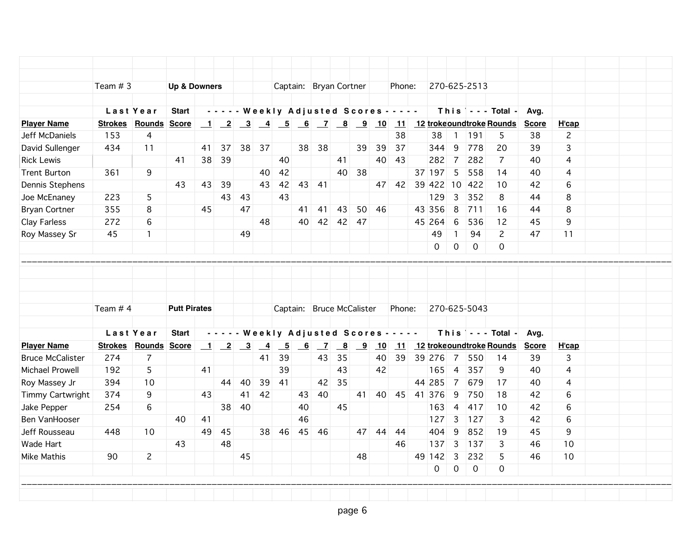| Team # 3                    |                                | <b>Up &amp; Downers</b>              |                                   |                                 |                         |          |                                                     |                                                           |    |                                                    |                                           |                         |                                            |                                              |          |                                                                                                                                          |                                                    |                                                                       |                                                   |                                                        |                                 |  |
|-----------------------------|--------------------------------|--------------------------------------|-----------------------------------|---------------------------------|-------------------------|----------|-----------------------------------------------------|-----------------------------------------------------------|----|----------------------------------------------------|-------------------------------------------|-------------------------|--------------------------------------------|----------------------------------------------|----------|------------------------------------------------------------------------------------------------------------------------------------------|----------------------------------------------------|-----------------------------------------------------------------------|---------------------------------------------------|--------------------------------------------------------|---------------------------------|--|
|                             |                                |                                      |                                   |                                 |                         |          | Captain: Bryan Cortner                              |                                                           |    |                                                    |                                           |                         | Phone:                                     |                                              |          |                                                                                                                                          | 270-625-2513                                       |                                                                       |                                                   |                                                        |                                 |  |
|                             |                                |                                      |                                   |                                 |                         |          |                                                     |                                                           |    |                                                    |                                           |                         |                                            |                                              |          |                                                                                                                                          |                                                    |                                                                       |                                                   |                                                        |                                 |  |
| Last Year                   |                                | <b>Start</b>                         |                                   |                                 |                         |          |                                                     |                                                           |    |                                                    |                                           |                         | - - - - - Weekly Adjusted Scores - - - - - |                                              |          |                                                                                                                                          |                                                    | This $\vert \cdot \cdot \cdot$ Total -                                | Avg.                                              |                                                        |                                 |  |
| <b>Strokes Rounds Score</b> |                                |                                      |                                   |                                 |                         |          |                                                     |                                                           |    |                                                    |                                           |                         |                                            |                                              |          |                                                                                                                                          |                                                    |                                                                       | <b>Score</b>                                      | H'cap                                                  |                                 |  |
|                             | 4                              |                                      |                                   |                                 |                         |          |                                                     |                                                           |    |                                                    |                                           |                         |                                            |                                              |          |                                                                                                                                          |                                                    | 5                                                                     | 38                                                |                                                        |                                 |  |
|                             |                                |                                      | 41                                |                                 |                         |          |                                                     |                                                           |    |                                                    |                                           |                         |                                            |                                              |          |                                                                                                                                          |                                                    | 20                                                                    |                                                   |                                                        |                                 |  |
|                             |                                | 41                                   |                                   |                                 |                         |          |                                                     |                                                           |    |                                                    |                                           |                         |                                            |                                              | 282      |                                                                                                                                          |                                                    | 7                                                                     | 40                                                | 4                                                      |                                 |  |
|                             |                                |                                      |                                   |                                 |                         | 40       |                                                     |                                                           |    |                                                    |                                           |                         |                                            |                                              |          |                                                                                                                                          |                                                    | 14                                                                    |                                                   |                                                        |                                 |  |
|                             |                                |                                      |                                   |                                 |                         |          |                                                     |                                                           |    |                                                    |                                           |                         |                                            |                                              |          |                                                                                                                                          | 422                                                | 10                                                                    | 42                                                | 6                                                      |                                 |  |
|                             | 5                              |                                      |                                   |                                 | 43                      |          |                                                     |                                                           |    |                                                    |                                           |                         |                                            |                                              | 129      | 3                                                                                                                                        |                                                    | 8                                                                     | 44                                                | 8                                                      |                                 |  |
| 355                         | 8                              |                                      |                                   |                                 |                         |          |                                                     | 41                                                        |    | 43                                                 |                                           |                         |                                            |                                              |          | 8                                                                                                                                        |                                                    | 16                                                                    | 44                                                | 8                                                      |                                 |  |
| 272                         | 6                              |                                      |                                   |                                 |                         | 48       |                                                     | 40                                                        |    |                                                    | -47                                       |                         |                                            |                                              |          | 6                                                                                                                                        | 536                                                | 12                                                                    | 45                                                | 9                                                      |                                 |  |
| 45                          | $\mathbf{1}$                   |                                      |                                   |                                 | 49                      |          |                                                     |                                                           |    |                                                    |                                           |                         |                                            |                                              | 49       | $\mathbf{1}$                                                                                                                             | 94                                                 | $\mathbf{2}^{\prime}$                                                 | 47                                                | 11                                                     |                                 |  |
|                             |                                |                                      |                                   |                                 |                         |          |                                                     |                                                           |    |                                                    |                                           |                         |                                            |                                              | $\Omega$ | $\mathsf{O}$                                                                                                                             | $\mathbf 0$                                        | $\Omega$                                                              |                                                   |                                                        |                                 |  |
|                             |                                |                                      |                                   |                                 |                         |          |                                                     |                                                           |    |                                                    |                                           |                         |                                            |                                              |          |                                                                                                                                          |                                                    |                                                                       |                                                   |                                                        |                                 |  |
|                             |                                |                                      |                                   |                                 |                         |          |                                                     |                                                           |    |                                                    |                                           |                         |                                            |                                              |          |                                                                                                                                          |                                                    |                                                                       |                                                   |                                                        |                                 |  |
|                             |                                |                                      |                                   |                                 |                         |          |                                                     |                                                           |    |                                                    |                                           |                         |                                            |                                              |          |                                                                                                                                          |                                                    |                                                                       |                                                   |                                                        |                                 |  |
| Team # 4                    |                                |                                      |                                   |                                 |                         |          |                                                     |                                                           |    |                                                    |                                           |                         |                                            |                                              |          |                                                                                                                                          |                                                    |                                                                       |                                                   |                                                        |                                 |  |
|                             |                                | <b>Start</b>                         |                                   |                                 |                         |          |                                                     |                                                           |    |                                                    |                                           |                         |                                            |                                              |          |                                                                                                                                          |                                                    |                                                                       | Avg.                                              |                                                        |                                 |  |
|                             |                                |                                      |                                   |                                 |                         |          |                                                     |                                                           |    |                                                    |                                           |                         |                                            |                                              |          |                                                                                                                                          |                                                    |                                                                       |                                                   |                                                        |                                 |  |
| 274                         | $\overline{7}$                 |                                      |                                   |                                 |                         | 41       | 39                                                  |                                                           | 43 | 35                                                 |                                           |                         | 39                                         |                                              |          | 7                                                                                                                                        | 550                                                | 14                                                                    | 39                                                | 3                                                      |                                 |  |
| 192                         | 5                              |                                      | 41                                |                                 |                         |          | 39                                                  |                                                           |    | 43                                                 |                                           | 42                      |                                            |                                              | 165      | $\overline{4}$                                                                                                                           | 357                                                | 9                                                                     | 40                                                | 4                                                      |                                 |  |
| 394                         | 10                             |                                      |                                   | 44                              | 40                      | 39       | 41                                                  |                                                           |    | 35                                                 |                                           |                         |                                            |                                              |          | 7                                                                                                                                        | 679                                                | 17                                                                    | 40                                                | 4                                                      |                                 |  |
| 374                         | 9                              |                                      | 43                                |                                 | 41                      | 42       |                                                     |                                                           |    |                                                    | 41                                        |                         |                                            |                                              |          | 9                                                                                                                                        | 750                                                | 18                                                                    | 42                                                | 6                                                      |                                 |  |
| 254                         | 6                              |                                      |                                   | 38                              | 40                      |          |                                                     | 40                                                        |    | 45                                                 |                                           |                         |                                            |                                              | 163      | $\overline{4}$                                                                                                                           | 417                                                | 10                                                                    | 42                                                | 6                                                      |                                 |  |
|                             |                                | 40                                   |                                   |                                 |                         |          |                                                     | 46                                                        |    |                                                    |                                           |                         |                                            |                                              | 127      | $\overline{3}$                                                                                                                           |                                                    | 3                                                                     | 42                                                | 6                                                      |                                 |  |
| 448                         | 10                             |                                      | 49                                | -45                             |                         |          |                                                     |                                                           |    |                                                    |                                           |                         | -44                                        |                                              | 404      | 9                                                                                                                                        | 852                                                | 19                                                                    | 45                                                | 9                                                      |                                 |  |
|                             |                                | 43                                   |                                   | 48                              |                         |          |                                                     |                                                           |    |                                                    |                                           |                         | 46                                         |                                              | 137      | $\mathbf{3}$                                                                                                                             |                                                    | 3                                                                     | 46                                                | 10                                                     |                                 |  |
|                             |                                |                                      |                                   |                                 |                         |          |                                                     |                                                           |    |                                                    | 48                                        |                         |                                            |                                              |          |                                                                                                                                          | 232                                                | 5                                                                     | 46                                                | 10                                                     |                                 |  |
|                             |                                |                                      |                                   |                                 |                         |          |                                                     |                                                           |    |                                                    |                                           |                         |                                            |                                              |          |                                                                                                                                          |                                                    |                                                                       |                                                   |                                                        |                                 |  |
|                             |                                |                                      |                                   |                                 |                         |          |                                                     |                                                           |    |                                                    |                                           |                         |                                            |                                              |          |                                                                                                                                          |                                                    |                                                                       |                                                   |                                                        |                                 |  |
|                             |                                |                                      |                                   |                                 |                         |          |                                                     |                                                           |    |                                                    |                                           |                         |                                            |                                              |          |                                                                                                                                          |                                                    |                                                                       |                                                   |                                                        |                                 |  |
|                             | 153<br>434<br>361<br>223<br>90 | 11<br>9<br>Last Year<br>$\mathbf{2}$ | 43<br><b>Strokes Rounds Score</b> | 45<br><b>Putt Pirates</b><br>41 | 38 39<br>39<br>43<br>43 | 47<br>45 | 37 38<br>37<br>43<br>$1 \ 2 \ 3$<br>$\overline{-4}$ | 40<br>42<br>42<br>43<br>$\overline{\phantom{0}}$<br>38 46 | 6  | 38 38<br>43 41<br>$\overline{z}$<br>43 40<br>45 46 | 41<br>41<br>$\overline{\mathbf{8}}$<br>42 | 39<br>40<br>38<br>42 42 | 50 46<br>Captain: Bruce McCalister<br>9    | 38<br>39<br>37<br>40 43<br>10<br>40<br>47 44 | Phone:   | 38<br>344<br>37 197<br>43 356<br>45 264<br>- - - - - Weekly Adjusted Scores - - - - -<br>39 276<br>44 285<br>40 45 41 376<br>49 142<br>0 | 9<br>7<br>5<br>47 42 39 422 10<br>3<br>$\mathbf 0$ | 191<br>778<br>282<br>558<br>352<br>711<br>127<br>$137$<br>$\mathbf 0$ | 270-625-5043<br>11 12 troke oundtroke Rounds<br>0 | 39<br>40<br>This $\vert$ - - - Total -<br><b>Score</b> | $\mathbf{2}$<br>3<br>4<br>H'cap |  |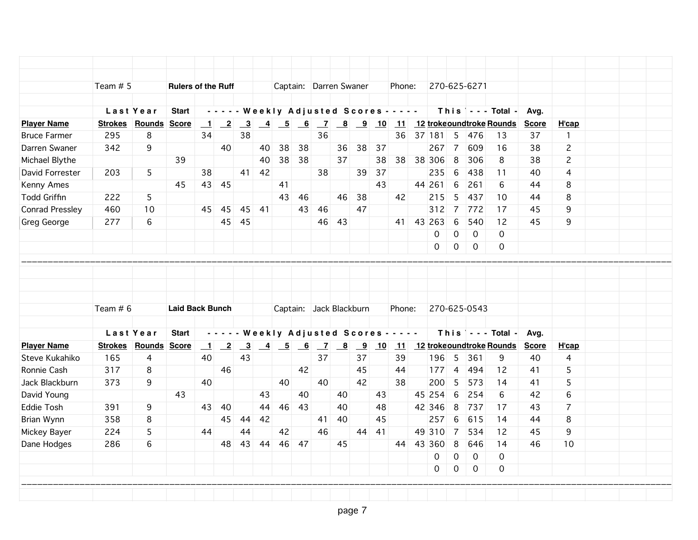|                                                                                      | Team # 5   |                                  | <b>Rulers of the Ruff</b> |                                |                 |                               |       |    |       |       |    | Captain: Darren Swaner  |    | Phone:                                     |           |                     | 270-625-6271   |                                                        |                      |                                |  |
|--------------------------------------------------------------------------------------|------------|----------------------------------|---------------------------|--------------------------------|-----------------|-------------------------------|-------|----|-------|-------|----|-------------------------|----|--------------------------------------------|-----------|---------------------|----------------|--------------------------------------------------------|----------------------|--------------------------------|--|
|                                                                                      |            |                                  |                           |                                |                 |                               |       |    |       |       |    |                         |    |                                            |           |                     |                |                                                        |                      |                                |  |
|                                                                                      |            | Last Year                        | <b>Start</b>              |                                |                 |                               |       |    |       |       |    |                         |    | - - - - - Weekly Adjusted Scores - - - - - |           |                     |                | This   - - - Total -                                   | Ava.                 |                                |  |
| <b>Player Name</b><br><b>Bruce Farmer</b>                                            | 295        | <b>Strokes Rounds Score</b>      |                           | $\mathbf{1}$<br>34             |                 | 38                            |       |    |       | 36    |    |                         |    |                                            | 36 37 181 |                     |                | <u>2 3 4 5 6 7 8 9 10 11 12 trokeoundtroke Rounds</u>  | <b>Score</b>         | H'cap                          |  |
| Darren Swaner                                                                        | 342        | 8<br>9                           |                           |                                | 40              |                               | 40    | 38 | 38    |       | 36 | 38                      | 37 |                                            | 267       | 5<br>$\overline{7}$ | 476<br>609     | 13<br>16                                               | 37<br>38             | $\mathbf{1}$<br>$\overline{c}$ |  |
| Michael Blythe                                                                       |            |                                  | 39                        |                                |                 |                               | 40    |    | 38 38 |       | 37 |                         | 38 | 38                                         | 38 306    | 8                   | 306            | 8                                                      | 38                   | $\overline{c}$                 |  |
| David Forrester                                                                      | 203        | 5                                |                           | 38                             |                 | 41                            | 42    |    |       | 38    |    | 39                      | 37 |                                            | 235       | $6\phantom{1}6$     | 438            | 11                                                     | 40                   | 4                              |  |
| Kenny Ames                                                                           |            |                                  | 45                        |                                | 43 45           |                               |       | 41 |       |       |    |                         | 43 |                                            | 44 261    | $\,6$               | 261            | 6                                                      | 44                   | 8                              |  |
| <b>Todd Griffin</b>                                                                  | 222        | 5                                |                           |                                |                 |                               |       | 43 | 46    |       | 46 | 38                      |    | 42                                         | 215       | 5                   | 437            | 10                                                     | 44                   | 8                              |  |
| Conrad Pressley                                                                      | 460        | 10                               |                           |                                | 45 45           |                               | 45 41 |    |       | 43 46 |    | 47                      |    |                                            | 312       | $\overline{7}$      | 772            | 17                                                     | 45                   | 9                              |  |
|                                                                                      | 277        | 6                                |                           |                                | 45              | 45                            |       |    |       | 46    | 43 |                         |    |                                            | 41 43 263 | $6\phantom{1}6$     | 540            |                                                        | 45                   | 9                              |  |
| Greg George                                                                          |            |                                  |                           |                                |                 |                               |       |    |       |       |    |                         |    |                                            | 0         | 0                   | $\overline{0}$ | 12<br>0                                                |                      |                                |  |
|                                                                                      |            |                                  |                           |                                |                 |                               |       |    |       |       |    |                         |    |                                            | $\Omega$  | 0                   | $\overline{0}$ | 0                                                      |                      |                                |  |
|                                                                                      |            |                                  |                           |                                |                 |                               |       |    |       |       |    |                         |    |                                            |           |                     |                |                                                        |                      |                                |  |
|                                                                                      | Team $# 6$ |                                  |                           |                                |                 |                               |       |    |       |       |    |                         |    |                                            |           |                     |                |                                                        |                      |                                |  |
|                                                                                      |            |                                  | <b>Laid Back Bunch</b>    |                                |                 |                               |       |    |       |       |    | Captain: Jack Blackburn |    | Phone:                                     |           |                     | 270-625-0543   |                                                        |                      |                                |  |
|                                                                                      |            |                                  |                           |                                |                 |                               |       |    |       |       |    |                         |    |                                            |           |                     |                |                                                        |                      |                                |  |
|                                                                                      |            | Last Year                        | <b>Start</b>              |                                |                 |                               |       |    |       |       |    |                         |    | - - - - - Weekly Adjusted Scores - - - - - |           |                     |                | This --- Total -                                       | Avg.<br><b>Score</b> |                                |  |
|                                                                                      | 165        | <b>Strokes Rounds Score</b><br>4 |                           | $\mathbf{\underline{1}}$<br>40 | $\overline{-2}$ | $\overline{\mathbf{3}}$<br>43 |       |    |       | 37    |    | 37                      |    | 39                                         | 196       | 5                   | 361            | <u>4 5 6 7 8 9 10 11 12 trokeoundtroke Rounds</u><br>9 | 40                   | H'cap<br>4                     |  |
|                                                                                      | 317        | 8                                |                           |                                | 46              |                               |       |    | 42    |       |    | 45                      |    | 44                                         | $177$ 4   |                     | 494            | 12                                                     | 41                   | 5                              |  |
|                                                                                      | 373        | 9                                |                           | 40                             |                 |                               |       | 40 |       | 40    |    | 42                      |    | 38                                         | 200       | 5                   | 573            | 14                                                     | 41                   | 5                              |  |
| <b>Player Name</b><br>Steve Kukahiko<br>Ronnie Cash<br>Jack Blackburn<br>David Young |            |                                  | 43                        |                                |                 |                               | 43    |    | 40    |       | 40 |                         | 43 |                                            | 45 254    | 6                   | 254            | 6                                                      | 42                   | 6                              |  |
|                                                                                      | 391        | 9                                |                           | 43                             | 40              |                               | 44    | 46 | 43    |       | 40 |                         | 48 |                                            | 42 346    | 8                   | 737            | 17                                                     | 43                   | $\overline{7}$                 |  |
|                                                                                      | 358        | 8                                |                           |                                | 45              | 44                            | 42    |    |       | 41    | 40 |                         | 45 |                                            | 257       | 6                   | 615            | 14                                                     | 44                   | 8                              |  |
| <b>Eddie Tosh</b><br>Brian Wynn<br>Mickey Bayer                                      | 224        | 5                                |                           | 44                             |                 | 44                            |       | 42 |       | 46    |    | 44                      | 41 |                                            | 49 310    | $\overline{7}$      | 534            | 12                                                     | 45                   | 9                              |  |
| Dane Hodges                                                                          | 286        | 6                                |                           |                                | 48              | 43                            | 44    | 46 | 47    |       | 45 |                         |    |                                            | 44 43 360 | 8                   | 646            | 14                                                     | 46                   | 10                             |  |
|                                                                                      |            |                                  |                           |                                |                 |                               |       |    |       |       |    |                         |    |                                            | 0         | $\mathbf 0$         | $\mathbf 0$    | 0                                                      |                      |                                |  |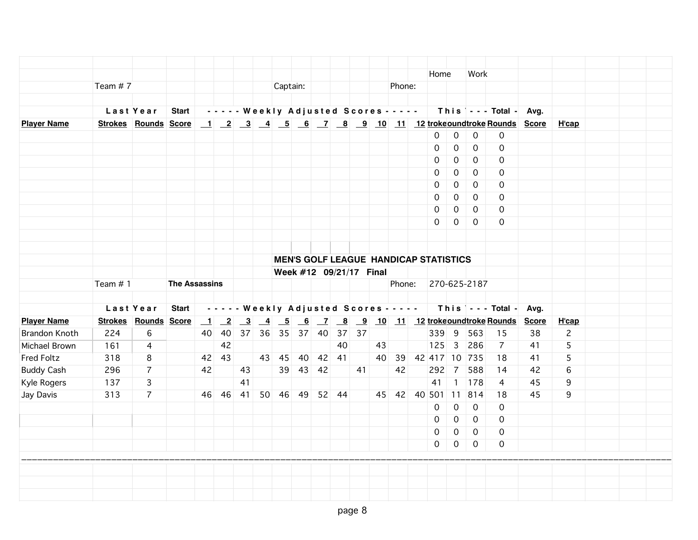|                      |            |                      |                      |    |       |    |                            |          |    |    |                         |        | Home                                                                        |                | Work           |                       |      |                |  |
|----------------------|------------|----------------------|----------------------|----|-------|----|----------------------------|----------|----|----|-------------------------|--------|-----------------------------------------------------------------------------|----------------|----------------|-----------------------|------|----------------|--|
|                      | Team $# 7$ |                      |                      |    |       |    | Captain:                   |          |    |    |                         | Phone: |                                                                             |                |                |                       |      |                |  |
|                      |            |                      |                      |    |       |    |                            |          |    |    |                         |        |                                                                             |                |                |                       |      |                |  |
|                      |            | Last Year            |                      |    |       |    |                            |          |    |    |                         |        | Start   ----- Weekly Adjusted Scores -----                                  |                |                | This --- Total - Avg. |      |                |  |
| <b>Player Name</b>   |            |                      |                      |    |       |    |                            |          |    |    |                         |        | Strokes Rounds Score 1 2 3 4 5 6 7 8 9 10 11 12 trokeoundtroke Rounds Score |                |                |                       |      | H'cap          |  |
|                      |            |                      |                      |    |       |    |                            |          |    |    |                         |        | $\mathbf 0$                                                                 | $\mathsf O$    | $\mathbf 0$    | $\overline{0}$        |      |                |  |
|                      |            |                      |                      |    |       |    |                            |          |    |    |                         |        | 0                                                                           | $\mathbf 0$    | $\mathbf 0$    | $\mathbf 0$           |      |                |  |
|                      |            |                      |                      |    |       |    |                            |          |    |    |                         |        | $\mathbf 0$                                                                 | 0              | $\mathbf{O}$   | 0                     |      |                |  |
|                      |            |                      |                      |    |       |    |                            |          |    |    |                         |        | 0                                                                           | 0              | $\overline{0}$ | 0                     |      |                |  |
|                      |            |                      |                      |    |       |    |                            |          |    |    |                         |        | 0                                                                           | 0              | $\Omega$       | $\Omega$              |      |                |  |
|                      |            |                      |                      |    |       |    |                            |          |    |    |                         |        | 0                                                                           | $\mathbf 0$    | $\Omega$       | 0                     |      |                |  |
|                      |            |                      |                      |    |       |    |                            |          |    |    |                         |        | 0                                                                           | $\mathbf 0$    | $\overline{0}$ | 0                     |      |                |  |
|                      |            |                      |                      |    |       |    |                            |          |    |    |                         |        | $\Omega$                                                                    | $\overline{0}$ | $\mathbf{0}$   | $\Omega$              |      |                |  |
|                      |            |                      |                      |    |       |    |                            |          |    |    |                         |        |                                                                             |                |                |                       |      |                |  |
|                      |            |                      |                      |    |       |    |                            |          |    |    |                         |        |                                                                             |                |                |                       |      |                |  |
|                      |            |                      |                      |    |       |    |                            |          |    |    |                         |        | <b>MEN'S GOLF LEAGUE HANDICAP STATISTICS</b>                                |                |                |                       |      |                |  |
|                      |            |                      |                      |    |       |    |                            |          |    |    | Week #12 09/21/17 Final |        |                                                                             |                |                |                       |      |                |  |
|                      | Team $# 1$ |                      | <b>The Assassins</b> |    |       |    |                            |          |    |    |                         |        | Phone: 270-625-2187                                                         |                |                |                       |      |                |  |
|                      |            |                      |                      |    |       |    |                            |          |    |    |                         |        |                                                                             |                |                |                       |      |                |  |
|                      |            | Last Year            | <b>Start</b>         |    |       |    |                            |          |    |    |                         |        | - - - - - Weekly Adjusted Scores - - - -   This   - - - Total -             |                |                |                       | Avg. |                |  |
| <b>Player Name</b>   |            | Strokes Rounds Score |                      |    |       |    |                            |          |    |    |                         |        | 1 2 3 4 5 6 7 8 9 10 11 12 trokeoundtroke Rounds Score                      |                |                |                       |      | H'cap          |  |
| <b>Brandon Knoth</b> | 224        | 6                    |                      |    |       |    | 40 40 37 36 35 37 40 37 37 |          |    |    |                         |        |                                                                             |                | 339 9 563      | 15                    | 38   | $\overline{c}$ |  |
| Michael Brown        | 161        | 4                    |                      |    | 42    |    |                            |          | 40 |    | 43                      |        | $ 125 $ 3                                                                   |                | 286            | 7                     | 41   | 5              |  |
| <b>Fred Foltz</b>    | 318        | 8                    |                      |    | 42 43 |    | 43 45 40 42 41             |          |    |    |                         |        | 40 39 42 417 10 735                                                         |                |                | 18                    | 41   | 5              |  |
| <b>Buddy Cash</b>    | 296        | $\overline{7}$       |                      | 42 |       | 43 |                            | 39 43 42 |    | 41 |                         | 42     | 292 7                                                                       |                | 588            | 14                    | 42   | 6              |  |
| Kyle Rogers          | 137        | 3                    |                      |    |       | 41 |                            |          |    |    |                         |        | 41                                                                          |                | 1 178          | $\overline{4}$        | 45   | 9              |  |
| Jay Davis            | 313        | $\overline{7}$       |                      |    |       |    | 46 46 41 50 46 49 52 44    |          |    |    |                         |        | 45 42 40 501 11 814                                                         |                |                | 18                    | 45   | 9              |  |
|                      |            |                      |                      |    |       |    |                            |          |    |    |                         |        | $\Omega$                                                                    | $\mathbf 0$    | $\Omega$       | $\Omega$              |      |                |  |
|                      |            |                      |                      |    |       |    |                            |          |    |    |                         |        | $\Omega$                                                                    | $\mathbf 0$    | $\Omega$       | $\Omega$              |      |                |  |
|                      |            |                      |                      |    |       |    |                            |          |    |    |                         |        | $\Omega$                                                                    | $\mathbf 0$    | $\mathbf 0$    | $\mathbf 0$           |      |                |  |
|                      |            |                      |                      |    |       |    |                            |          |    |    |                         |        | 0                                                                           | $\mathsf{O}$   | $\mathbf 0$    | $\mathbf{0}$          |      |                |  |
|                      |            |                      |                      |    |       |    |                            |          |    |    |                         |        |                                                                             |                |                |                       |      |                |  |
|                      |            |                      |                      |    |       |    |                            |          |    |    |                         |        |                                                                             |                |                |                       |      |                |  |
|                      |            |                      |                      |    |       |    |                            |          |    |    |                         |        |                                                                             |                |                |                       |      |                |  |
|                      |            |                      |                      |    |       |    |                            |          |    |    |                         |        |                                                                             |                |                |                       |      |                |  |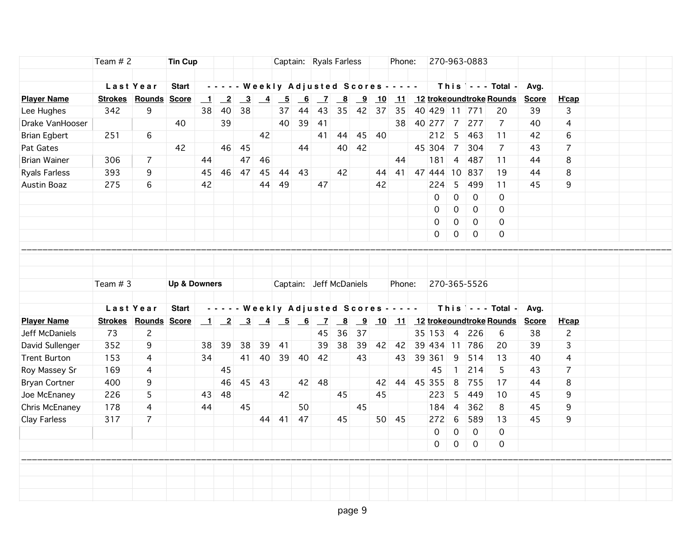|                      | Team $# 2$ |                      | <b>Tin Cup</b>          |                          |                 |                         |                 |                   |                |                | Captain: Ryals Farless                     |                |       | Phone:  |           |                      |                     | 270-963-0883     |                                                  |              |                |  |  |
|----------------------|------------|----------------------|-------------------------|--------------------------|-----------------|-------------------------|-----------------|-------------------|----------------|----------------|--------------------------------------------|----------------|-------|---------|-----------|----------------------|---------------------|------------------|--------------------------------------------------|--------------|----------------|--|--|
|                      |            |                      |                         |                          |                 |                         |                 |                   |                |                |                                            |                |       |         |           |                      |                     |                  |                                                  |              |                |  |  |
|                      |            | Last Year            | <b>Start</b>            |                          |                 |                         |                 |                   |                |                | - - - - - Weekly Adjusted Scores - - - - - |                |       |         |           |                      |                     |                  | This $\vert$ - - - Total -                       | Avg.         |                |  |  |
| <b>Player Name</b>   |            | Strokes Rounds Score |                         | $\mathbf{\underline{1}}$ | $\overline{-2}$ | $\overline{\mathbf{3}}$ | $\overline{-4}$ | $-5$              | 6 <sup>6</sup> | $\overline{z}$ | $\overline{\mathbf{8}}$                    | $\overline{9}$ | 10    |         |           |                      |                     |                  | 11 12 trokeoundtroke Rounds                      | <b>Score</b> | <b>H</b> 'cap  |  |  |
| Lee Hughes           | 342        | 9                    |                         | 38                       | 40              | 38                      |                 | 37                | 44             | 43             | 35                                         |                | 42 37 | 35      |           | 40 429 11 771        |                     |                  | 20                                               | 39           | 3              |  |  |
| Drake VanHooser      |            |                      | 40                      |                          | 39              |                         |                 | 40                | 39             | 41             |                                            |                |       | 38      |           | 40 277 7             |                     | 277              | $\overline{7}$                                   | 40           | $\overline{4}$ |  |  |
| <b>Brian Egbert</b>  | 251        | 6                    |                         |                          |                 |                         | 42              |                   |                | 41             | 44                                         | 45             | - 40  |         |           | 212                  | 5                   | 463              | 11                                               | 42           | 6              |  |  |
| Pat Gates            |            |                      | 42                      |                          |                 | 46 45                   |                 |                   | 44             |                | 40                                         | 42             |       |         |           | 45 304               | $\overline{7}$      | 304              | $\overline{7}$                                   | 43           | $\overline{7}$ |  |  |
| <b>Brian Wainer</b>  | 306        | $\overline{7}$       |                         | 44                       |                 | 47                      | 46              |                   |                |                |                                            |                |       | 44      |           | 181                  | $\overline{4}$      | 487              | 11                                               | 44           | 8              |  |  |
| <b>Ryals Farless</b> | 393        | 9                    |                         | 45                       | 46              | 47                      | 45              | 44                | 43             |                | 42                                         |                | 44    |         |           |                      |                     | 41 47 444 10 837 | 19                                               | 44           | 8              |  |  |
| Austin Boaz          | 275        | 6                    |                         | 42                       |                 |                         | 44              | 49                |                | 47             |                                            |                | 42    |         |           | 224                  | 5                   | 499              | 11                                               | 45           | 9              |  |  |
|                      |            |                      |                         |                          |                 |                         |                 |                   |                |                |                                            |                |       |         |           | $\mathbf 0$          | $\mathsf{O}\xspace$ | $\mathbf 0$      | 0                                                |              |                |  |  |
|                      |            |                      |                         |                          |                 |                         |                 |                   |                |                |                                            |                |       |         |           | 0                    | $\mathsf{O}\xspace$ | $\mathbf 0$      | 0                                                |              |                |  |  |
|                      |            |                      |                         |                          |                 |                         |                 |                   |                |                |                                            |                |       |         |           | 0                    | 0                   | $\mathbf 0$      | 0                                                |              |                |  |  |
|                      |            |                      |                         |                          |                 |                         |                 |                   |                |                |                                            |                |       |         |           | 0                    | 0                   | 0                | 0                                                |              |                |  |  |
|                      | Team # 3   |                      | <b>Up &amp; Downers</b> |                          |                 |                         |                 |                   |                |                | Captain: Jeff McDaniels                    |                |       | Phone:  |           |                      |                     | 270-365-5526     |                                                  |              |                |  |  |
|                      |            | Last Year            | <b>Start</b>            |                          |                 |                         |                 |                   |                |                | - - - - - Weekly Adjusted Scores - - - - - |                |       |         |           |                      |                     |                  | This $\vert \cdot \cdot \cdot$ Total -           | Avg.         |                |  |  |
| <b>Player Name</b>   |            | Strokes Rounds Score |                         |                          |                 |                         |                 |                   |                |                |                                            |                |       |         |           |                      |                     |                  | 1 2 3 4 5 6 7 8 9 10 11 12 trokeoundtroke Rounds | <b>Score</b> | H'cap          |  |  |
| Jeff McDaniels       | 73         | $\overline{c}$       |                         |                          |                 |                         |                 |                   |                | 45             | 36                                         | 37             |       |         |           | $35 \mid 153 \mid 4$ |                     | 226              | 6                                                | 38           | $\overline{c}$ |  |  |
| David Sullenger      | 352        | 9                    |                         | 38                       | 39              | 38                      | 39              | 41                |                | 39             | 38                                         | 39             | 42    | 42      |           | 39 434 11            |                     | 786              | 20                                               | 39           | 3              |  |  |
| <b>Trent Burton</b>  | 153        | 4                    |                         | 34                       |                 |                         |                 | 41 40 39 40 42    |                |                |                                            | 43             |       | 43      |           | 39 361               | 9                   | 514              | 13                                               | 40           | $\overline{4}$ |  |  |
| Roy Massey Sr        | 169        | 4                    |                         |                          | 45              |                         |                 |                   |                |                |                                            |                |       |         |           | 45                   | $\mathbf{1}$        | 214              | 5                                                | 43           | $\overline{7}$ |  |  |
| <b>Bryan Cortner</b> | 400        | 9                    |                         |                          | 46              |                         | 45 43           |                   |                | 42 48          |                                            |                | 42    |         | 44 45 355 |                      | 8                   | 755              | 17                                               | 44           | 8              |  |  |
| Joe McEnaney         | 226        | 5                    |                         | 43                       | 48              |                         |                 | 42                |                |                | 45                                         |                | 45    |         |           | 223                  | 5                   | 449              | 10                                               | 45           | 9              |  |  |
| Chris McEnaney       | 178        | $\overline{4}$       |                         | 44                       |                 | 45                      |                 |                   | 50             |                |                                            | 45             |       |         |           | 184                  | $\overline{4}$      | 362              | 8                                                | 45           | 9              |  |  |
| Clay Farless         | 317        | $\overline{7}$       |                         |                          |                 |                         |                 | $44 \mid 41 \mid$ | 47             |                | 45                                         |                |       | $50$ 45 |           | 272                  | $\,6\,$             | 589              | 13                                               | 45           | 9              |  |  |
|                      |            |                      |                         |                          |                 |                         |                 |                   |                |                |                                            |                |       |         |           | 0                    | $\overline{0}$      | 0                | $\Omega$                                         |              |                |  |  |
|                      |            |                      |                         |                          |                 |                         |                 |                   |                |                |                                            |                |       |         |           | 0                    | 0                   | $\overline{0}$   | $\mathsf{O}$                                     |              |                |  |  |
|                      |            |                      |                         |                          |                 |                         |                 |                   |                |                |                                            |                |       |         |           |                      |                     |                  |                                                  |              |                |  |  |
|                      |            |                      |                         |                          |                 |                         |                 |                   |                |                |                                            |                |       |         |           |                      |                     |                  |                                                  |              |                |  |  |
|                      |            |                      |                         |                          |                 |                         |                 |                   |                |                |                                            |                |       |         |           |                      |                     |                  |                                                  |              |                |  |  |
|                      |            |                      |                         |                          |                 |                         |                 |                   |                |                |                                            |                |       |         |           |                      |                     |                  |                                                  |              |                |  |  |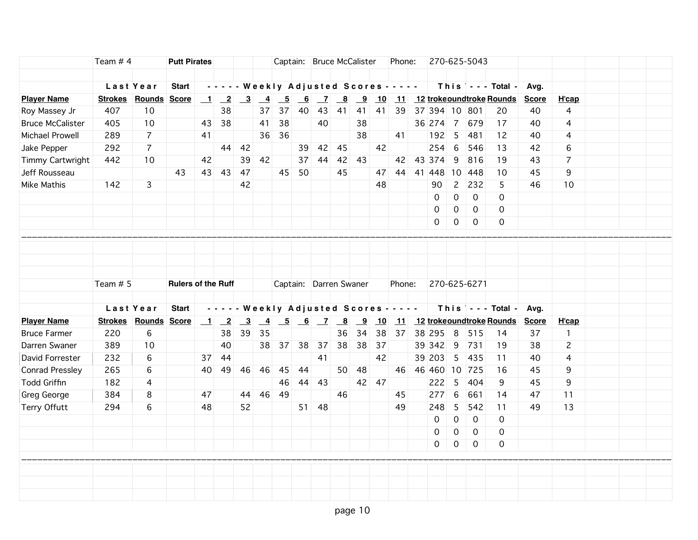| Team $# 4$<br>Captain: Bruce McCalister<br>270-625-5043<br><b>Putt Pirates</b><br>Phone:                                                                                                                                                                                                                       |  |
|----------------------------------------------------------------------------------------------------------------------------------------------------------------------------------------------------------------------------------------------------------------------------------------------------------------|--|
|                                                                                                                                                                                                                                                                                                                |  |
| Last Year<br>- - - - - Weekly Adjusted Scores - - - - -<br>This $\vert$ - - - Total -<br><b>Start</b><br>Avg.                                                                                                                                                                                                  |  |
| <b>Player Name</b><br><b>Strokes Rounds Score</b><br>$\overline{\mathbf{9}}$<br>11 12 trokeoundtroke Rounds<br><b>H'cap</b><br>$\mathbf{\perp}$<br>$\frac{3}{2}$<br>$\overline{4}$<br>$-5$<br>6<br>$\overline{z}$<br>$\overline{\mathbf{8}}$<br>10<br><b>Score</b><br>$\overline{-2}$                          |  |
| 407<br>10<br>38<br>37<br>40<br>43<br>41<br>39 37 394 10 801<br>Roy Massey Jr<br>37<br>41<br>41<br>20<br>40<br>4                                                                                                                                                                                                |  |
| 10<br>38<br>41<br>38<br>40<br>36 274 7<br>$\overline{4}$<br><b>Bruce McCalister</b><br>405<br>43<br>38<br>679<br>17<br>40                                                                                                                                                                                      |  |
| $\overline{7}$<br>Michael Prowell<br>289<br>36<br>36<br>38<br>41<br>5<br>481<br>$\overline{4}$<br>41<br>192<br>12<br>40                                                                                                                                                                                        |  |
| 292<br>42<br>6<br>Jake Pepper<br>$\overline{7}$<br>44 42<br>$39 \mid 42 \mid$<br>45<br>254<br>546<br>13<br>42<br>6                                                                                                                                                                                             |  |
| 42<br>39<br>37 44<br>42<br>42 43 374<br>9<br>816<br>$\overline{7}$<br><b>Timmy Cartwright</b><br>442<br>10<br>42<br>43<br>19<br>43                                                                                                                                                                             |  |
| 43<br>50<br>45<br>44<br>9<br>Jeff Rousseau<br>43<br>43<br>47<br>45<br>47<br>41 448 10<br>10<br>45<br>448                                                                                                                                                                                                       |  |
| $\overline{2}$<br>Mike Mathis<br>3<br>48<br>90<br>232<br>10<br>142<br>42<br>5<br>46                                                                                                                                                                                                                            |  |
| $\mathsf{O}\xspace$<br>$\overline{0}$<br>0<br>$\mathbf 0$                                                                                                                                                                                                                                                      |  |
| $\mathsf{O}\xspace$<br>$\mathbf 0$<br>$\mathbf 0$<br>0                                                                                                                                                                                                                                                         |  |
| $\mathsf{O}$<br>0<br>$\mathbf 0$<br>$\mathbf 0$                                                                                                                                                                                                                                                                |  |
|                                                                                                                                                                                                                                                                                                                |  |
|                                                                                                                                                                                                                                                                                                                |  |
|                                                                                                                                                                                                                                                                                                                |  |
|                                                                                                                                                                                                                                                                                                                |  |
| Team # 5<br>Captain: Darren Swaner<br>Phone:<br>270-625-6271<br><b>Rulers of the Ruff</b>                                                                                                                                                                                                                      |  |
|                                                                                                                                                                                                                                                                                                                |  |
| This $\vert \cdot \cdot \cdot$ Total -<br>Last Year<br><b>Start</b><br>- - - - - Weekly Adjusted Scores - - - - -<br>Avg.                                                                                                                                                                                      |  |
| <b>Player Name</b><br>Strokes Rounds Score<br>11 12 trokeoundtroke Rounds<br>$\begin{array}{ c c c } \hline 1 & 2 \\ \hline \end{array}$<br>$\overline{\mathbf{3}}$<br>$\begin{array}{ c c c c c c c c c } \hline 6 & 7 & 8 & 9 \\ \hline \end{array}$<br><b>Score</b><br>H'cap<br>$\frac{4}{1}$<br>$-5$<br>10 |  |
| 6<br>39<br>34<br>38<br>37 38 295 8<br>220<br>38<br>35<br>36<br>37<br><b>Bruce Farmer</b><br>515<br>$\mathbf{1}$<br>14                                                                                                                                                                                          |  |
| 38<br>38<br>$\overline{c}$<br>389<br>10<br>40<br>37<br>38<br>37<br>37<br>39 342<br>∣ 9<br>731<br>Darren Swaner<br>38<br>19<br>38                                                                                                                                                                               |  |
| 42<br>232<br>6<br>44<br>41<br>39 203<br>5<br>435<br>David Forrester<br>37<br>11<br>40<br>4                                                                                                                                                                                                                     |  |
| 265<br>50<br>48<br><b>Conrad Pressley</b><br>6<br>45<br>44<br>46 46 460 10 725<br>45<br>9<br>40<br>-49<br>46<br>46<br>16                                                                                                                                                                                       |  |
| <b>Todd Griffin</b><br>44 43<br>42 47<br>222<br>$5\overline{5}$<br>404<br>45<br>9<br>182<br>$\overline{4}$<br>46<br>9                                                                                                                                                                                          |  |
| 6<br>8<br>49<br>277<br>661<br>11<br>Greg George<br>384<br>44 46<br>46<br>14<br>47<br>47<br>45                                                                                                                                                                                                                  |  |
| 5<br>Terry Offutt<br>294<br>6<br>48<br>52<br>$51$ 48<br>49<br>248<br>542<br>49<br>13<br>11                                                                                                                                                                                                                     |  |
| $\mathbf 0$<br>$\mathbf 0$<br>$\mathbf 0$<br>0                                                                                                                                                                                                                                                                 |  |
| 0<br>$\mathbf 0$<br>0<br>0                                                                                                                                                                                                                                                                                     |  |
| $\mathsf{O}$<br>$\mathbf 0$<br>$\mathbf 0$<br>0                                                                                                                                                                                                                                                                |  |
|                                                                                                                                                                                                                                                                                                                |  |
|                                                                                                                                                                                                                                                                                                                |  |
|                                                                                                                                                                                                                                                                                                                |  |
|                                                                                                                                                                                                                                                                                                                |  |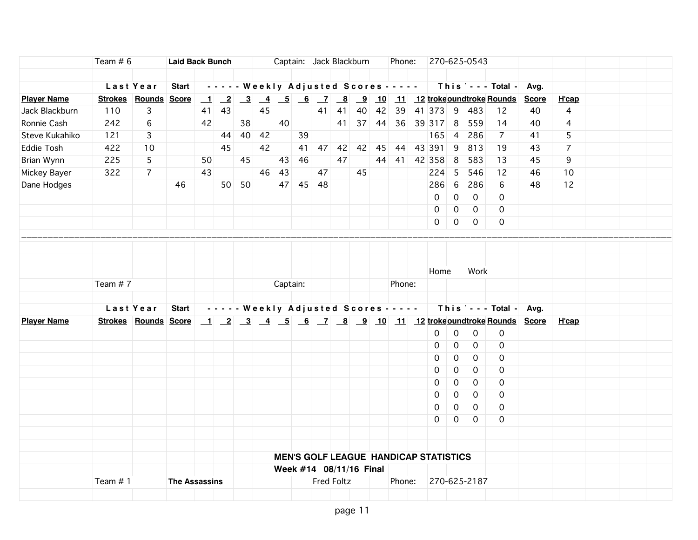|                    | Team $# 6$ |                      | <b>Laid Back Bunch</b> |    |                                            |          |    |          |          |    | Captain: Jack Blackburn |    |    | Phone: |                                              |                | 270-625-0543   |                                                               |      |                |  |  |
|--------------------|------------|----------------------|------------------------|----|--------------------------------------------|----------|----|----------|----------|----|-------------------------|----|----|--------|----------------------------------------------|----------------|----------------|---------------------------------------------------------------|------|----------------|--|--|
|                    |            |                      |                        |    |                                            |          |    |          |          |    |                         |    |    |        |                                              |                |                |                                                               |      |                |  |  |
|                    |            | Last Year            | Start                  |    | - - - - - Weekly Adjusted Scores - - - - - |          |    |          |          |    |                         |    |    |        |                                              |                |                | $This$ $\sim$ - Total -                                       | Avg. |                |  |  |
| <b>Player Name</b> |            | Strokes Rounds Score |                        |    |                                            |          |    |          |          |    |                         |    |    |        |                                              |                |                | <u>1 2 3 4 5 6 7 8 9 10 11 12 trokeoundtroke Rounds Score</u> |      | H'cap          |  |  |
| Jack Blackburn     | 110        | 3                    |                        | 41 | 43                                         |          | 45 |          |          | 41 | 41                      | 40 |    |        | 42 39 41 373 9                               |                | 483            | 12                                                            | 40   | $\overline{4}$ |  |  |
| Ronnie Cash        | 242        | 6                    |                        | 42 |                                            | 38       |    | 40       |          |    | 41                      |    |    |        | 37 44 36 39 317 8                            |                | 559            | 14                                                            | 40   | 4              |  |  |
| Steve Kukahiko     | 121        | 3                    |                        |    |                                            | 44 40 42 |    |          | 39       |    |                         |    |    |        | 165                                          | $\vert$ 4      | 286            | 7                                                             | 41   | 5              |  |  |
| Eddie Tosh         | 422        | 10                   |                        |    | 45                                         |          | 42 |          |          |    |                         |    |    |        | 41 47 42 42 45 44 43 391                     | 9              | 813            | 19                                                            | 43   | $\overline{7}$ |  |  |
| Brian Wynn         | 225        | 5                    |                        | 50 |                                            | 45       |    | 43       | 46       |    | 47                      |    | 44 |        | 41 42 358                                    | 8              | 583            | 13                                                            | 45   | 9              |  |  |
| Mickey Bayer       | 322        | $\overline{7}$       |                        | 43 |                                            |          | 46 | 43       |          | 47 |                         | 45 |    |        | $224 \quad 5$                                |                | 546            | 12                                                            | 46   | 10             |  |  |
| Dane Hodges        |            |                      | 46                     |    |                                            | 50 50    |    |          | 47 45 48 |    |                         |    |    |        | 286                                          | 6              | 286            | 6                                                             | 48   | 12             |  |  |
|                    |            |                      |                        |    |                                            |          |    |          |          |    |                         |    |    |        | $\mathbf 0$                                  | $\mathbf 0$    | $\mathbf 0$    | 0                                                             |      |                |  |  |
|                    |            |                      |                        |    |                                            |          |    |          |          |    |                         |    |    |        | $\mathbf 0$                                  | $\overline{0}$ | $\mathbf 0$    | $\mathbf 0$                                                   |      |                |  |  |
|                    |            |                      |                        |    |                                            |          |    |          |          |    |                         |    |    |        | $\overline{O}$                               | $\overline{0}$ | $\overline{0}$ | 0                                                             |      |                |  |  |
|                    |            |                      |                        |    |                                            |          |    |          |          |    |                         |    |    |        |                                              |                |                |                                                               |      |                |  |  |
|                    |            |                      |                        |    |                                            |          |    |          |          |    |                         |    |    |        |                                              |                |                |                                                               |      |                |  |  |
|                    |            |                      |                        |    |                                            |          |    |          |          |    |                         |    |    |        |                                              |                |                |                                                               |      |                |  |  |
|                    |            |                      |                        |    |                                            |          |    |          |          |    |                         |    |    |        | Home                                         |                | Work           |                                                               |      |                |  |  |
|                    | Team #7    |                      |                        |    |                                            |          |    | Captain: |          |    |                         |    |    | Phone: |                                              |                |                |                                                               |      |                |  |  |
|                    |            |                      |                        |    |                                            |          |    |          |          |    |                         |    |    |        |                                              |                |                |                                                               |      |                |  |  |
|                    |            | Last Year            | <b>Start</b>           |    | - - - - - Weekly Adjusted Scores - - - - - |          |    |          |          |    |                         |    |    |        |                                              |                |                | This $\vert$ - - - Total - Avg.                               |      |                |  |  |
| <b>Player Name</b> |            | Strokes Rounds Score |                        |    |                                            |          |    |          |          |    |                         |    |    |        |                                              |                |                |                                                               |      | H'cap          |  |  |
|                    |            |                      |                        |    |                                            |          |    |          |          |    |                         |    |    |        | 0                                            | $\mathbf 0$    | $\mathbf 0$    | $\mathsf{O}$                                                  |      |                |  |  |
|                    |            |                      |                        |    |                                            |          |    |          |          |    |                         |    |    |        | 0                                            | $\mathbf 0$    | $\mathbf 0$    | $\mathbf 0$                                                   |      |                |  |  |
|                    |            |                      |                        |    |                                            |          |    |          |          |    |                         |    |    |        | $\Omega$                                     | $\mathsf{O}$   | $\overline{0}$ | $\mathbf 0$                                                   |      |                |  |  |
|                    |            |                      |                        |    |                                            |          |    |          |          |    |                         |    |    |        | 0                                            | $\mathbf 0$    | $\mathbf 0$    | $\mathbf 0$                                                   |      |                |  |  |
|                    |            |                      |                        |    |                                            |          |    |          |          |    |                         |    |    |        | $\Omega$                                     | 0              | $\mathbf 0$    | 0                                                             |      |                |  |  |
|                    |            |                      |                        |    |                                            |          |    |          |          |    |                         |    |    |        | $\Omega$                                     | 0              | $\overline{0}$ | $\mathbf 0$                                                   |      |                |  |  |
|                    |            |                      |                        |    |                                            |          |    |          |          |    |                         |    |    |        | 0                                            | 0              | $\Omega$       | $\Omega$                                                      |      |                |  |  |
|                    |            |                      |                        |    |                                            |          |    |          |          |    |                         |    |    |        | 0                                            | $\mathbf 0$    | $\mathbf 0$    | 0                                                             |      |                |  |  |
|                    |            |                      |                        |    |                                            |          |    |          |          |    |                         |    |    |        |                                              |                |                |                                                               |      |                |  |  |
|                    |            |                      |                        |    |                                            |          |    |          |          |    |                         |    |    |        |                                              |                |                |                                                               |      |                |  |  |
|                    |            |                      |                        |    |                                            |          |    |          |          |    |                         |    |    |        |                                              |                |                |                                                               |      |                |  |  |
|                    |            |                      |                        |    |                                            |          |    |          |          |    |                         |    |    |        | <b>MEN'S GOLF LEAGUE HANDICAP STATISTICS</b> |                |                |                                                               |      |                |  |  |
|                    |            |                      |                        |    |                                            |          |    |          |          |    | Week #14 08/11/16 Final |    |    | Phone: |                                              |                |                |                                                               |      |                |  |  |
|                    | Team #1    |                      | <b>The Assassins</b>   |    |                                            |          |    |          |          |    | <b>Fred Foltz</b>       |    |    |        |                                              |                | 270-625-2187   |                                                               |      |                |  |  |
|                    |            |                      |                        |    |                                            |          |    |          |          |    |                         |    |    |        |                                              |                |                |                                                               |      |                |  |  |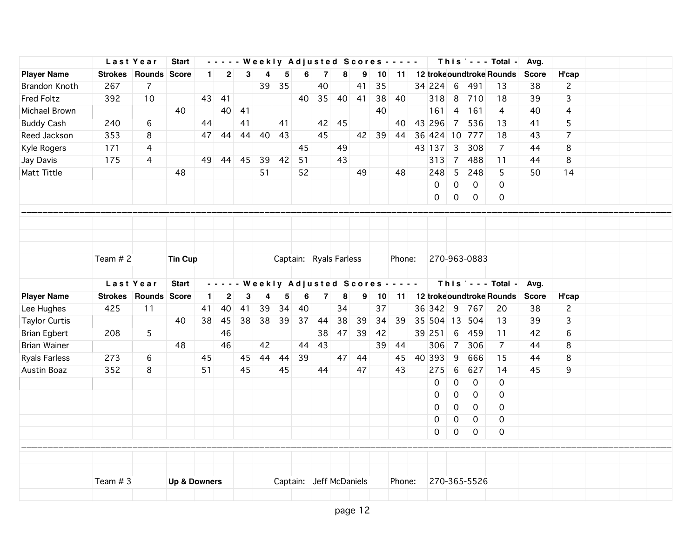|                      |          | Last Year                   | <b>Start</b>            |                  |                 |                                                                        |                |                          |                           |              |                                                                     |    | - - - - - Weekly Adjusted Scores - - - - - |        |                     |                     |               | This $\vert$ - - - Total -       | Avg.         |                |  |  |
|----------------------|----------|-----------------------------|-------------------------|------------------|-----------------|------------------------------------------------------------------------|----------------|--------------------------|---------------------------|--------------|---------------------------------------------------------------------|----|--------------------------------------------|--------|---------------------|---------------------|---------------|----------------------------------|--------------|----------------|--|--|
| <b>Player Name</b>   |          | <b>Strokes Rounds Score</b> |                         | $\mathbf{\perp}$ |                 | $\begin{array}{ c c c c c }\n\hline\n2 & 3 & 4 \\ \hline\n\end{array}$ |                | $-5$                     | $\underline{\phantom{0}}$ |              | $\begin{array}{ c c c c c } \hline 7 & 8 & 9 \\ \hline \end{array}$ |    | 10                                         |        |                     |                     |               | 11 12 trokeoundtroke Rounds      | <b>Score</b> | H'cap          |  |  |
| Brandon Knoth        | 267      | $\overline{7}$              |                         |                  |                 |                                                                        | 39             | 35                       |                           | 40           |                                                                     | 41 | 35                                         |        | 34 224              | $-6$                | 491           | 13                               | 38           | $\mathbf{2}$   |  |  |
| Fred Foltz           | 392      | 10                          |                         |                  | 43 41           |                                                                        |                |                          | 40                        | 35           | 40                                                                  | 41 | 38                                         | 40     | 318                 | 8                   | 710           | 18                               | 39           | 3              |  |  |
| Michael Brown        |          |                             | 40                      |                  | 40              | 41                                                                     |                |                          |                           |              |                                                                     |    | 40                                         |        | 161                 | 4                   | 161           | 4                                | 40           | 4              |  |  |
| <b>Buddy Cash</b>    | 240      | 6                           |                         | 44               |                 | 41                                                                     |                | 41                       |                           |              | $42$ 45                                                             |    |                                            | 40     | 43 296              | $\overline{7}$      | 536           | 13                               | 41           | 5              |  |  |
| Reed Jackson         | 353      | 8                           |                         | 47               | 44              | 44                                                                     | 40             | 43                       |                           | 45           |                                                                     |    | 42 39 44                                   |        | 36 424 10 777       |                     |               | 18                               | 43           | $\overline{7}$ |  |  |
| Kyle Rogers          | 171      | 4                           |                         |                  |                 |                                                                        |                |                          | 45                        |              | 49                                                                  |    |                                            |        | 43 137              | $\mathbf{3}$        | 308           | 7                                | 44           | 8              |  |  |
| Jay Davis            | 175      | 4                           |                         | 49               |                 | 44 45                                                                  | 39             | 42                       | 51                        |              | 43                                                                  |    |                                            |        | 313                 | $\overline{7}$      | 488           | 11                               | 44           | 8              |  |  |
| Matt Tittle          |          |                             | 48                      |                  |                 |                                                                        | 51             |                          | 52                        |              |                                                                     | 49 |                                            | 48     | 248                 | 5                   | 248           | 5                                | 50           | 14             |  |  |
|                      |          |                             |                         |                  |                 |                                                                        |                |                          |                           |              |                                                                     |    |                                            |        | $\mathsf{O}\xspace$ | $\mathsf{O}\xspace$ | $\mathbf 0$   | $\Omega$                         |              |                |  |  |
|                      |          |                             |                         |                  |                 |                                                                        |                |                          |                           |              |                                                                     |    |                                            |        | $\mathbf 0$         | $\mathsf{O}\xspace$ | $\mathbf 0$   | $\mathbf 0$                      |              |                |  |  |
|                      |          |                             |                         |                  |                 |                                                                        |                |                          |                           |              |                                                                     |    |                                            |        |                     |                     |               |                                  |              |                |  |  |
|                      |          |                             |                         |                  |                 |                                                                        |                |                          |                           |              |                                                                     |    |                                            |        |                     |                     |               |                                  |              |                |  |  |
|                      |          |                             |                         |                  |                 |                                                                        |                |                          |                           |              |                                                                     |    |                                            |        |                     |                     |               |                                  |              |                |  |  |
|                      |          |                             |                         |                  |                 |                                                                        |                |                          |                           |              |                                                                     |    |                                            |        |                     |                     |               |                                  |              |                |  |  |
|                      | Team # 2 |                             | <b>Tin Cup</b>          |                  |                 |                                                                        |                | Captain: Ryals Farless   |                           |              |                                                                     |    |                                            | Phone: |                     |                     | 270-963-0883  |                                  |              |                |  |  |
|                      |          |                             |                         |                  |                 |                                                                        |                |                          |                           |              |                                                                     |    |                                            |        |                     |                     |               |                                  |              |                |  |  |
|                      |          | Last Year                   | <b>Start</b>            |                  |                 |                                                                        |                |                          |                           |              |                                                                     |    | - - - - - Weekly Adjusted Scores - - - - - |        |                     |                     |               | This   - - - Total -             | Avg.         |                |  |  |
| <b>Player Name</b>   |          | <b>Strokes Rounds Score</b> |                         | $\blacksquare$   | $\overline{-2}$ | $\overline{\phantom{0}3}$                                              | $\overline{4}$ | $\overline{\phantom{0}}$ | 6                         | $\mathbf{Z}$ | $\overline{\mathbf{8}}$                                             |    |                                            |        |                     |                     |               | 9 10 11 12 trokeoundtroke Rounds | <b>Score</b> | H'cap          |  |  |
| Lee Hughes           | 425      | 11                          |                         | 41               | 40              | 41                                                                     | 39             | 34                       | 40                        |              | 34                                                                  |    | 37                                         |        | 36 342 9            |                     | 767           | 20                               | 38           | $\overline{c}$ |  |  |
| <b>Taylor Curtis</b> |          |                             | 40                      | 38               | 45              | 38                                                                     | 38             | 39                       | 37                        | 44           | 38                                                                  | 39 | 34                                         | 39     |                     |                     | 35 504 13 504 | 13                               | 39           | 3              |  |  |
| <b>Brian Egbert</b>  | 208      | 5                           |                         |                  | 46              |                                                                        |                |                          |                           | 38           | 47                                                                  | 39 | 42                                         |        | 39 251              | 6                   | 459           | 11                               | 42           | 6              |  |  |
| <b>Brian Wainer</b>  |          |                             | 48                      |                  | 46              |                                                                        | 42             |                          | 44                        | 43           |                                                                     |    | 39                                         | 44     | 306                 | $\overline{7}$      | 306           | $\overline{7}$                   | 44           | 8              |  |  |
| <b>Ryals Farless</b> | 273      | 6                           |                         | 45               |                 | 45                                                                     | 44             | 44                       | 39                        |              | 47                                                                  | 44 |                                            | 45     | 40 393              | 9                   | 666           | 15                               | 44           | 8              |  |  |
| Austin Boaz          | 352      | 8                           |                         | 51               |                 | 45                                                                     |                | 45                       |                           | 44           |                                                                     | 47 |                                            | 43     | 275                 | 6                   | 627           | 14                               | 45           | 9              |  |  |
|                      |          |                             |                         |                  |                 |                                                                        |                |                          |                           |              |                                                                     |    |                                            |        | 0                   | $\mathbf 0$         | $\mathbf 0$   | 0                                |              |                |  |  |
|                      |          |                             |                         |                  |                 |                                                                        |                |                          |                           |              |                                                                     |    |                                            |        | 0                   | $\mathsf{O}\xspace$ | 0             | $\mathbf 0$                      |              |                |  |  |
|                      |          |                             |                         |                  |                 |                                                                        |                |                          |                           |              |                                                                     |    |                                            |        | 0                   | 0                   | 0             | 0                                |              |                |  |  |
|                      |          |                             |                         |                  |                 |                                                                        |                |                          |                           |              |                                                                     |    |                                            |        | 0                   | $\mathbf 0$         | $\mathbf 0$   | $\mathbf 0$                      |              |                |  |  |
|                      |          |                             |                         |                  |                 |                                                                        |                |                          |                           |              |                                                                     |    |                                            |        | 0                   | $\mathsf{O}$        | $\mathbf 0$   | 0                                |              |                |  |  |
|                      |          |                             |                         |                  |                 |                                                                        |                |                          |                           |              |                                                                     |    |                                            |        |                     |                     |               |                                  |              |                |  |  |
|                      |          |                             |                         |                  |                 |                                                                        |                |                          |                           |              |                                                                     |    |                                            |        |                     |                     |               |                                  |              |                |  |  |
|                      |          |                             |                         |                  |                 |                                                                        |                |                          |                           |              |                                                                     |    |                                            |        |                     |                     |               |                                  |              |                |  |  |
|                      | Team # 3 |                             | <b>Up &amp; Downers</b> |                  |                 |                                                                        |                | Captain: Jeff McDaniels  |                           |              |                                                                     |    |                                            | Phone: |                     |                     | 270-365-5526  |                                  |              |                |  |  |
|                      |          |                             |                         |                  |                 |                                                                        |                |                          |                           |              |                                                                     |    |                                            |        |                     |                     |               |                                  |              |                |  |  |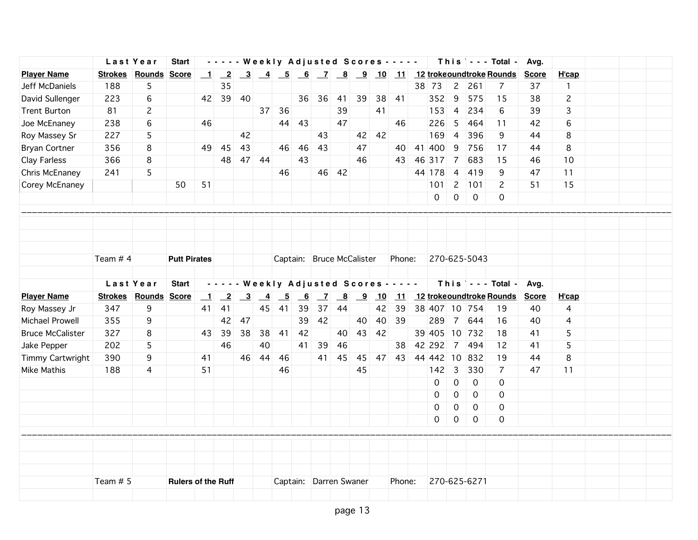|                         | Last Year |                             | <b>Start</b>              |                |                         |                |                |                        |       |                |                         | - - - - - Weekly Adjusted Scores - - - - - |    |        |           |                     |               | This $\vert$ - - - Total -        | Avg.         |                |  |  |
|-------------------------|-----------|-----------------------------|---------------------------|----------------|-------------------------|----------------|----------------|------------------------|-------|----------------|-------------------------|--------------------------------------------|----|--------|-----------|---------------------|---------------|-----------------------------------|--------------|----------------|--|--|
| <b>Player Name</b>      |           | Strokes Rounds              | <b>Score</b>              |                |                         |                |                |                        |       |                |                         |                                            |    |        |           |                     |               |                                   | <b>Score</b> | H'cap          |  |  |
| Jeff McDaniels          | 188       | 5                           |                           |                | 35                      |                |                |                        |       |                |                         |                                            |    |        | 38 73     | $\overline{c}$      | 261           | 7                                 | 37           | $\mathbf{1}$   |  |  |
| David Sullenger         | 223       | 6                           |                           |                | 42 39 40                |                |                |                        |       | 36 36          | 41                      | 39                                         | 38 | 41     | 352 9     |                     | 575           | 15                                | 38           | $\mathbf{2}$   |  |  |
| <b>Trent Burton</b>     | 81        | $\overline{c}$              |                           |                |                         |                | 37             | 36                     |       |                | 39                      |                                            | 41 |        | 153       | $\overline{4}$      | 234           | 6                                 | 39           | 3              |  |  |
| Joe McEnaney            | 238       | 6                           |                           | 46             |                         |                |                |                        | 44 43 |                | 47                      |                                            |    | 46     | 226       | 5                   | 464           | 11                                | 42           | 6              |  |  |
| Roy Massey Sr           | 227       | 5                           |                           |                |                         | 42             |                |                        |       | 43             |                         | 42                                         | 42 |        | 169       | $\overline{4}$      | 396           | 9                                 | 44           | 8              |  |  |
| <b>Bryan Cortner</b>    | 356       | 8                           |                           | 49             | 45                      | 43             |                | 46                     | 46    | 43             |                         | 47                                         |    | 40     | 41 400    | 9                   | 756           | 17                                | 44           | 8              |  |  |
| Clay Farless            | 366       | 8                           |                           |                | 48                      | 47             | -44            |                        | 43    |                |                         | 46                                         |    | 43     | 46 317    | $\overline{7}$      | 683           | 15                                | 46           | 10             |  |  |
| Chris McEnaney          | 241       | 5                           |                           |                |                         |                |                | 46                     |       |                | 46 42                   |                                            |    |        | 44 178    | $\overline{4}$      | 419           | 9                                 | 47           | 11             |  |  |
| Corey McEnaney          |           |                             | 50                        | 51             |                         |                |                |                        |       |                |                         |                                            |    |        | 101       | $\overline{2}$      | 101           | 2                                 | 51           | 15             |  |  |
|                         |           |                             |                           |                |                         |                |                |                        |       |                |                         |                                            |    |        | 0         | $\mathsf{O}\xspace$ | $\mathbf 0$   | 0                                 |              |                |  |  |
|                         |           |                             |                           |                |                         |                |                |                        |       |                |                         |                                            |    |        |           |                     |               |                                   |              |                |  |  |
|                         |           |                             |                           |                |                         |                |                |                        |       |                |                         |                                            |    |        |           |                     |               |                                   |              |                |  |  |
|                         |           |                             |                           |                |                         |                |                |                        |       |                |                         |                                            |    |        |           |                     |               |                                   |              |                |  |  |
|                         |           |                             |                           |                |                         |                |                |                        |       |                |                         |                                            |    |        |           |                     |               |                                   |              |                |  |  |
|                         | Team # 4  |                             | <b>Putt Pirates</b>       |                |                         |                |                |                        |       |                |                         | Captain: Bruce McCalister                  |    | Phone: |           |                     | 270-625-5043  |                                   |              |                |  |  |
|                         |           |                             |                           |                |                         |                |                |                        |       |                |                         |                                            |    |        |           |                     |               |                                   |              |                |  |  |
|                         | Last Year |                             | <b>Start</b>              |                |                         |                |                |                        |       |                |                         | - - - - - Weekly Adjusted Scores - - - - - |    |        |           |                     |               | This $\vert$ - - - Total -        | Avg.         |                |  |  |
| <b>Player Name</b>      |           | <b>Strokes Rounds Score</b> |                           | $\blacksquare$ | $\overline{\mathbf{2}}$ | $\overline{3}$ | $\overline{4}$ | $\frac{-5}{4}$         | 6     | $\overline{7}$ | $\overline{\mathbf{8}}$ | $\overline{\mathbf{9}}$                    | 10 |        |           |                     |               | 11 12 trokeoundtroke Rounds Score |              | H'cap          |  |  |
| Roy Massey Jr           | 347       | 9                           |                           | 41             | 41                      |                | 45             | 41                     | 39    | 37             | 44                      |                                            | 42 | 39     |           |                     | 38 407 10 754 | 19                                | 40           | $\overline{4}$ |  |  |
| Michael Prowell         | 355       | 9                           |                           |                | 42                      | 47             |                |                        | 39    | 42             |                         | 40                                         | 40 | 39     | 289       | $\overline{7}$      | 644           | 16                                | 40           | 4              |  |  |
| <b>Bruce McCalister</b> | 327       | 8                           |                           | 43             | 39                      | 38             | 38             | 41                     | 42    |                | 40                      | 43                                         | 42 |        |           |                     | 39 405 10 732 | 18                                | 41           | 5              |  |  |
| Jake Pepper             | 202       | 5                           |                           |                | 46                      |                | 40             |                        | 41    | 39             | 46                      |                                            |    | 38     | 42 292    | $\overline{7}$      | 494           | 12                                | 41           | 5              |  |  |
| Timmy Cartwright        | 390       | 9                           |                           | 41             |                         | 46             | 44             | 46                     |       | 41             | 45                      | 45                                         |    | 47 43  | 44 442 10 |                     | 832           | 19                                | 44           | 8              |  |  |
| Mike Mathis             | 188       | 4                           |                           | 51             |                         |                |                | 46                     |       |                |                         | 45                                         |    |        | 142       | $\overline{3}$      | 330           | 7                                 | 47           | 11             |  |  |
|                         |           |                             |                           |                |                         |                |                |                        |       |                |                         |                                            |    |        | $\Omega$  | $\mathbf 0$         | $\mathbf 0$   | 0                                 |              |                |  |  |
|                         |           |                             |                           |                |                         |                |                |                        |       |                |                         |                                            |    |        | 0         | $\mathsf{O}\xspace$ | $\mathbf 0$   | $\mathbf 0$                       |              |                |  |  |
|                         |           |                             |                           |                |                         |                |                |                        |       |                |                         |                                            |    |        | 0         | $\boldsymbol{0}$    | 0             | $\mathbf 0$                       |              |                |  |  |
|                         |           |                             |                           |                |                         |                |                |                        |       |                |                         |                                            |    |        | 0         | $\mathsf{O}$        | $\mathbf 0$   | 0                                 |              |                |  |  |
|                         |           |                             |                           |                |                         |                |                |                        |       |                |                         |                                            |    |        |           |                     |               |                                   |              |                |  |  |
|                         |           |                             |                           |                |                         |                |                |                        |       |                |                         |                                            |    |        |           |                     |               |                                   |              |                |  |  |
|                         |           |                             |                           |                |                         |                |                |                        |       |                |                         |                                            |    |        |           |                     |               |                                   |              |                |  |  |
|                         |           |                             |                           |                |                         |                |                |                        |       |                |                         |                                            |    |        |           |                     |               |                                   |              |                |  |  |
|                         | Team # 5  |                             | <b>Rulers of the Ruff</b> |                |                         |                |                | Captain: Darren Swaner |       |                |                         |                                            |    | Phone: |           |                     | 270-625-6271  |                                   |              |                |  |  |
|                         |           |                             |                           |                |                         |                |                |                        |       |                |                         |                                            |    |        |           |                     |               |                                   |              |                |  |  |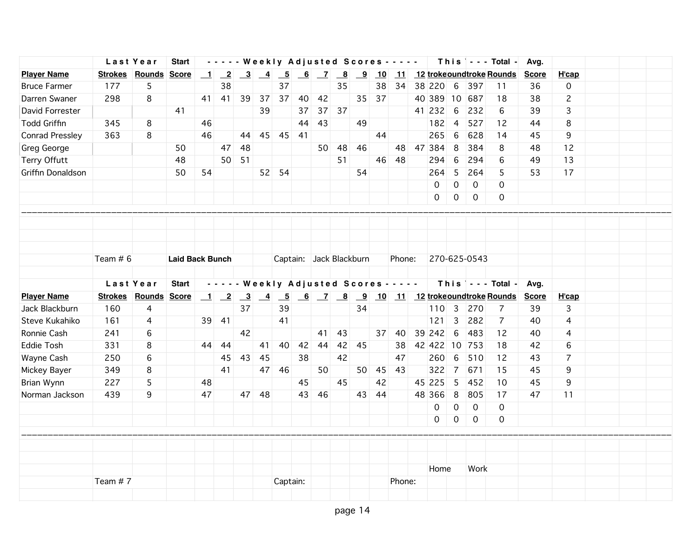|                     | Last Year |                             | <b>Start</b>           |    |                                                             |       |               | - - - - - Weekly Adjusted Scores - - - - - |    |               |                          |                |       |        |                                   |                     |              | $This$ $ -$ Total $-$                           | Avg.         |                     |  |
|---------------------|-----------|-----------------------------|------------------------|----|-------------------------------------------------------------|-------|---------------|--------------------------------------------|----|---------------|--------------------------|----------------|-------|--------|-----------------------------------|---------------------|--------------|-------------------------------------------------|--------------|---------------------|--|
| <b>Player Name</b>  |           | Strokes Rounds              | <b>Score</b>           |    |                                                             |       |               |                                            |    | $\frac{6}{7}$ | $\underline{\mathbf{8}}$ | $\frac{9}{10}$ |       |        |                                   |                     |              | 11 12 troke oundtroke Rounds                    | <b>Score</b> | H'cap               |  |
| <b>Bruce Farmer</b> | 177       | 5                           |                        |    | 38                                                          |       |               | 37                                         |    |               | 35                       |                | 38    | 34     | 38 220                            | 6                   | 397          | 11                                              | 36           | $\mathsf{O}\xspace$ |  |
| Darren Swaner       | 298       | 8                           |                        |    | 41 41 39                                                    |       | 37            | 37                                         | 40 | 42            |                          |                | 35 37 |        | 40 389 10 687                     |                     |              | 18                                              | 38           | $\overline{c}$      |  |
| David Forrester     |           |                             | 41                     |    |                                                             |       | 39            |                                            | 37 | 37            | 37                       |                |       |        | 41 232                            | 6                   | 232          | 6                                               | 39           | 3                   |  |
| <b>Todd Griffin</b> | 345       | 8                           |                        | 46 |                                                             |       |               |                                            | 44 | 43            |                          | 49             |       |        | 182                               | $\overline{4}$      | 527          | 12                                              | 44           | 8                   |  |
| Conrad Pressley     | 363       | 8                           |                        | 46 |                                                             | 44    |               | 45 45 41                                   |    |               |                          |                | 44    |        | 265                               | 6                   | 628          | 14                                              | 45           | 9                   |  |
| Greg George         |           |                             | 50                     |    |                                                             | 47 48 |               |                                            |    |               | $50$ 48                  | 46             |       | 48     | 47 384                            | 8                   | 384          | 8                                               | 48           | 12                  |  |
| Terry Offutt        |           |                             | 48                     |    |                                                             | 50 51 |               |                                            |    |               | 51                       |                | 46    | 48     | 294                               | 6                   | 294          | 6                                               | 49           | 13                  |  |
| Griffin Donaldson   |           |                             | 50                     | 54 |                                                             |       |               | $52 \mid 54$                               |    |               |                          | 54             |       |        | 264                               | 5                   | 264          | 5                                               | 53           | 17                  |  |
|                     |           |                             |                        |    |                                                             |       |               |                                            |    |               |                          |                |       |        | $\mathbf 0$                       | $\mathsf{O}\xspace$ | $\mathbf 0$  | $\Omega$                                        |              |                     |  |
|                     |           |                             |                        |    |                                                             |       |               |                                            |    |               |                          |                |       |        | 0                                 | $\mathsf{O}\xspace$ | $\mathbf 0$  | $\mathbf 0$                                     |              |                     |  |
|                     |           |                             |                        |    |                                                             |       |               |                                            |    |               |                          |                |       |        |                                   |                     |              |                                                 |              |                     |  |
|                     |           |                             |                        |    |                                                             |       |               |                                            |    |               |                          |                |       |        |                                   |                     |              |                                                 |              |                     |  |
|                     |           |                             |                        |    |                                                             |       |               |                                            |    |               |                          |                |       |        |                                   |                     |              |                                                 |              |                     |  |
|                     |           |                             |                        |    |                                                             |       |               |                                            |    |               |                          |                |       |        |                                   |                     |              |                                                 |              |                     |  |
|                     | Team # 6  |                             | <b>Laid Back Bunch</b> |    |                                                             |       |               | Captain: Jack Blackburn                    |    |               |                          |                |       | Phone: |                                   |                     | 270-625-0543 |                                                 |              |                     |  |
|                     |           |                             |                        |    |                                                             |       |               |                                            |    |               |                          |                |       |        |                                   |                     |              |                                                 |              |                     |  |
|                     | Last Year |                             | <b>Start</b>           |    |                                                             |       |               | - - - - - Weekly Adjusted Scores - - - - - |    |               |                          |                |       |        |                                   |                     |              | $This$ $\sim$ - Total -                         | Avg.         |                     |  |
| <b>Player Name</b>  |           | <b>Strokes Rounds Score</b> |                        |    | $\begin{array}{ c c c } \hline 1 & 2 \\ \hline \end{array}$ |       | $\frac{3}{4}$ |                                            |    |               |                          |                |       |        |                                   |                     |              | <u>5 6 7 8 9 10 11 12 trokeoundtroke Rounds</u> | <b>Score</b> | H'cap               |  |
| Jack Blackburn      | 160       | 4                           |                        |    |                                                             | 37    |               | 39                                         |    |               |                          | 34             |       |        | $110 \overline{\smash{\big)}\ 3}$ |                     | 270          | 7                                               | 39           | 3                   |  |
| Steve Kukahiko      | 161       | 4                           |                        |    | 39 41                                                       |       |               | 41                                         |    |               |                          |                |       |        | $121 \quad 3$                     |                     | 282          | $\overline{7}$                                  | 40           | $\overline{4}$      |  |
|                     |           |                             |                        |    |                                                             |       |               |                                            |    |               |                          |                |       |        |                                   |                     |              |                                                 |              |                     |  |
| Ronnie Cash         | 241       | 6                           |                        |    |                                                             | 42    |               |                                            |    | 41            | 43                       |                | 37    | 40     | 39 242                            | 6                   | 483          | 12                                              | 40           | $\overline{4}$      |  |
| <b>Eddie Tosh</b>   | 331       | 8                           |                        | 44 | 44                                                          |       | 41            | 40                                         | 42 | 44            | 42                       | 45             |       | 38     | 42 422 10 753                     |                     |              | 18                                              | 42           | 6                   |  |
| Wayne Cash          | 250       | 6                           |                        |    | 45                                                          | 43    | 45            |                                            | 38 |               | 42                       |                |       | 47     | 260                               | 6                   | 510          | 12                                              | 43           | $\overline{7}$      |  |
| Mickey Bayer        | 349       | 8                           |                        |    | 41                                                          |       |               | 47 46                                      |    | 50            |                          | 50             | 45    | 43     | 322                               | $\overline{7}$      | 671          | 15                                              | 45           | 9                   |  |
| Brian Wynn          | 227       | 5                           |                        | 48 |                                                             |       |               |                                            | 45 |               | 45                       |                | 42    |        | 45 225                            | 5                   | 452          | 10                                              | 45           | 9                   |  |
| Norman Jackson      | 439       | 9                           |                        | 47 |                                                             | 47    | 48            |                                            | 43 | 46            |                          | 43             | 44    |        | 48 366                            | 8                   | 805          | 17                                              | 47           | 11                  |  |
|                     |           |                             |                        |    |                                                             |       |               |                                            |    |               |                          |                |       |        | 0                                 | $\mathbf 0$         | $\mathbf 0$  | 0                                               |              |                     |  |
|                     |           |                             |                        |    |                                                             |       |               |                                            |    |               |                          |                |       |        | 0                                 | $\mathbf 0$         | $\mathbf 0$  | 0                                               |              |                     |  |
|                     |           |                             |                        |    |                                                             |       |               |                                            |    |               |                          |                |       |        |                                   |                     |              |                                                 |              |                     |  |
|                     |           |                             |                        |    |                                                             |       |               |                                            |    |               |                          |                |       |        |                                   |                     |              |                                                 |              |                     |  |
|                     |           |                             |                        |    |                                                             |       |               |                                            |    |               |                          |                |       |        |                                   |                     |              |                                                 |              |                     |  |
|                     |           |                             |                        |    |                                                             |       |               |                                            |    |               |                          |                |       |        | Home                              |                     | Work         |                                                 |              |                     |  |
|                     | Team #7   |                             |                        |    |                                                             |       |               | Captain:                                   |    |               |                          |                |       | Phone: |                                   |                     |              |                                                 |              |                     |  |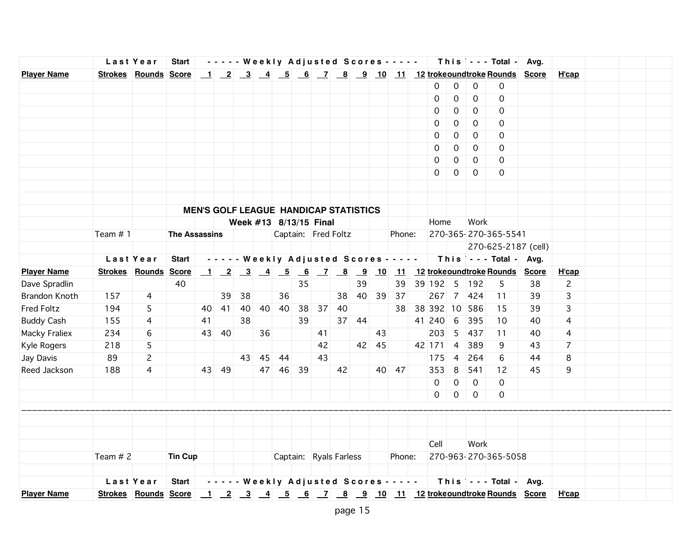|                    |                             | Last Year      | <b>Start</b>         |    |       |          |    |                        |    |    |                                              |       |       |             |                    |                |                  | - - - - - Weekly Adjusted Scores - - - - - This - - - Total - Avg. |    |                |  |  |
|--------------------|-----------------------------|----------------|----------------------|----|-------|----------|----|------------------------|----|----|----------------------------------------------|-------|-------|-------------|--------------------|----------------|------------------|--------------------------------------------------------------------|----|----------------|--|--|
| <b>Player Name</b> |                             |                |                      |    |       |          |    |                        |    |    |                                              |       |       |             |                    |                |                  |                                                                    |    | H'cap          |  |  |
|                    |                             |                |                      |    |       |          |    |                        |    |    |                                              |       |       |             | 0                  | 0              | 0                | 0                                                                  |    |                |  |  |
|                    |                             |                |                      |    |       |          |    |                        |    |    |                                              |       |       |             | 0                  | 0              | $\mathbf 0$      | $\mathsf{O}$                                                       |    |                |  |  |
|                    |                             |                |                      |    |       |          |    |                        |    |    |                                              |       |       |             | 0                  | 0              | 0                | 0                                                                  |    |                |  |  |
|                    |                             |                |                      |    |       |          |    |                        |    |    |                                              |       |       |             | 0                  | 0              | 0                | 0                                                                  |    |                |  |  |
|                    |                             |                |                      |    |       |          |    |                        |    |    |                                              |       |       |             | $\Omega$           | $\mathbf 0$    | $\mathbf 0$      | 0                                                                  |    |                |  |  |
|                    |                             |                |                      |    |       |          |    |                        |    |    |                                              |       |       |             | 0                  | 0              | $\mathbf 0$      | $\Omega$                                                           |    |                |  |  |
|                    |                             |                |                      |    |       |          |    |                        |    |    |                                              |       |       |             | 0                  | 0              | $\Omega$         | 0                                                                  |    |                |  |  |
|                    |                             |                |                      |    |       |          |    |                        |    |    |                                              |       |       |             | $\Omega$           | $\mathbf 0$    | $\mathbf 0$      | 0                                                                  |    |                |  |  |
|                    |                             |                |                      |    |       |          |    |                        |    |    |                                              |       |       |             |                    |                |                  |                                                                    |    |                |  |  |
|                    |                             |                |                      |    |       |          |    |                        |    |    |                                              |       |       |             |                    |                |                  |                                                                    |    |                |  |  |
|                    |                             |                |                      |    |       |          |    |                        |    |    | <b>MEN'S GOLF LEAGUE HANDICAP STATISTICS</b> |       |       |             |                    |                |                  |                                                                    |    |                |  |  |
|                    |                             |                |                      |    |       |          |    | Week #13 8/13/15 Final |    |    |                                              |       |       |             | Home               |                | Work             |                                                                    |    |                |  |  |
|                    | Team #1                     |                | <b>The Assassins</b> |    |       |          |    |                        |    |    | Captain: Fred Foltz                          |       |       | Phone:      |                    |                |                  | 270-365-270-365-5541                                               |    |                |  |  |
|                    |                             |                |                      |    |       |          |    |                        |    |    |                                              |       |       |             |                    |                |                  | 270-625-2187 (cell)                                                |    |                |  |  |
|                    |                             | Last Year      | <b>Start</b>         |    |       |          |    |                        |    |    |                                              |       |       |             |                    |                |                  | ----- Weekly Adjusted Scores -----   This  --- Total - Avg.        |    |                |  |  |
| <b>Player Name</b> | <b>Strokes Rounds Score</b> |                |                      |    |       |          |    |                        |    |    |                                              |       |       |             |                    |                |                  | <u>1 2 3 4 5 6 7 8 9 10 11 12 trokeoundtroke Rounds Score</u>      |    | H'cap          |  |  |
| Dave Spradlin      |                             |                | 40                   |    |       |          |    |                        | 35 |    |                                              | 39    |       |             |                    |                | 39 39 192 5 192  | 5                                                                  | 38 | $\overline{c}$ |  |  |
| Brandon Knoth      | 157                         | 4              |                      |    |       | 39 38    |    | 36                     |    |    |                                              |       |       | 38 40 39 37 |                    |                | 267 7 424        | 11                                                                 | 39 | 3              |  |  |
| <b>Fred Foltz</b>  | 194                         | 5              |                      |    |       | 40 41 40 |    | 40 40                  |    |    | 38 37 40                                     |       |       |             |                    |                | 38 38 392 10 586 | 15                                                                 | 39 | 3              |  |  |
| <b>Buddy Cash</b>  | 155                         | 4              |                      | 41 |       | 38       |    |                        | 39 |    |                                              | 37 44 |       |             | 41 240 6           |                | 395              | 10                                                                 | 40 | 4              |  |  |
| Macky Fraliex      | 234                         | 6              |                      |    | 43 40 |          | 36 |                        |    | 41 |                                              |       | 43    |             | $203 \overline{5}$ |                | 437              | 11                                                                 | 40 | 4              |  |  |
| Kyle Rogers        | 218                         | 5              |                      |    |       |          |    |                        |    | 42 |                                              |       | 42 45 |             | 42 171             | $\overline{4}$ | 389              | 9                                                                  | 43 | $\overline{7}$ |  |  |
| Jay Davis          | 89                          | $\mathbf{2}$   |                      |    |       |          |    | 43 45 44               |    | 43 |                                              |       |       |             | 175                | $\overline{4}$ | 264              | 6                                                                  | 44 | 8              |  |  |
| Reed Jackson       | 188                         | $\overline{4}$ |                      |    | 43 49 |          |    | 47 46 39               |    |    | 42                                           |       |       | 40 47       | 353                | 8              | 541              | 12                                                                 | 45 | 9              |  |  |
|                    |                             |                |                      |    |       |          |    |                        |    |    |                                              |       |       |             | 0                  | $\mathbf 0$    | $\overline{0}$   | $\Omega$                                                           |    |                |  |  |
|                    |                             |                |                      |    |       |          |    |                        |    |    |                                              |       |       |             | 0                  | 0              | $\overline{0}$   | 0                                                                  |    |                |  |  |
|                    |                             |                |                      |    |       |          |    |                        |    |    |                                              |       |       |             |                    |                |                  |                                                                    |    |                |  |  |
|                    |                             |                |                      |    |       |          |    |                        |    |    |                                              |       |       |             |                    |                |                  |                                                                    |    |                |  |  |
|                    |                             |                |                      |    |       |          |    |                        |    |    |                                              |       |       |             |                    |                |                  |                                                                    |    |                |  |  |
|                    |                             |                |                      |    |       |          |    |                        |    |    |                                              |       |       |             | Cell               |                | Work             |                                                                    |    |                |  |  |
|                    | Team $# 2$                  |                | <b>Tin Cup</b>       |    |       |          |    |                        |    |    | Captain: Ryals Farless                       |       |       | Phone:      |                    |                |                  | 270-963-270-365-5058                                               |    |                |  |  |
|                    |                             |                |                      |    |       |          |    |                        |    |    |                                              |       |       |             |                    |                |                  |                                                                    |    |                |  |  |
|                    |                             | Last Year      |                      |    |       |          |    |                        |    |    |                                              |       |       |             |                    |                |                  | Start    Weekly Adjusted Scores -    This   - - Total - Avg.       |    |                |  |  |
| <b>Player Name</b> |                             |                |                      |    |       |          |    |                        |    |    |                                              |       |       |             |                    |                |                  |                                                                    |    | <u>H'cap</u>   |  |  |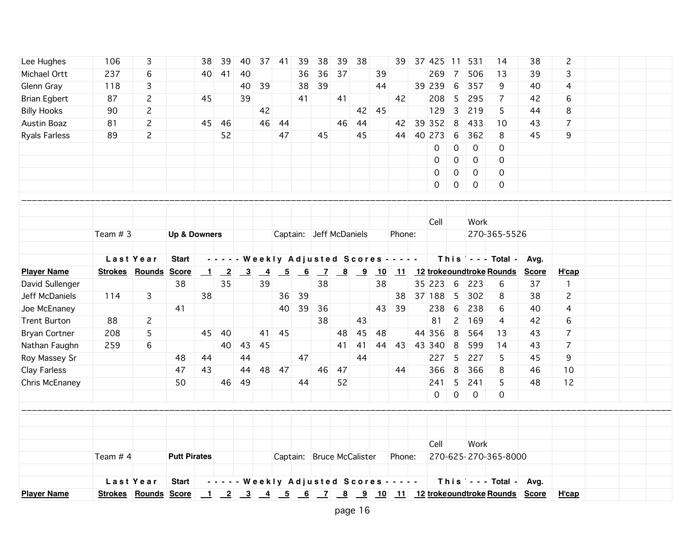| Lee Hughes           | 106       | 3                           |                         | 38                       | 39                         | 40                      | 37              | 41 | 39            | 38                        | 39 | 38 |    | 39                                         | 37 425                                                 | 11              | 531                 | 14                              | 38           | $\overline{c}$ |  |  |
|----------------------|-----------|-----------------------------|-------------------------|--------------------------|----------------------------|-------------------------|-----------------|----|---------------|---------------------------|----|----|----|--------------------------------------------|--------------------------------------------------------|-----------------|---------------------|---------------------------------|--------------|----------------|--|--|
| Michael Ortt         | 237       | 6                           |                         | 40                       | 41                         | 40                      |                 |    | 36            | 36                        | 37 |    | 39 |                                            | 269                                                    | 7               | 506                 | 13                              | 39           | 3              |  |  |
| Glenn Gray           | 118       | 3                           |                         |                          |                            | 40                      | 39              |    | 38            | 39                        |    |    | 44 |                                            | 39 239                                                 | $6\phantom{1}6$ | 357                 | 9                               | 40           | 4              |  |  |
| <b>Brian Egbert</b>  | 87        | $\overline{c}$              |                         | 45                       |                            | 39                      |                 |    | 41            |                           | 41 |    |    | 42                                         | 208                                                    | 5               | 295                 | 7                               | 42           | 6              |  |  |
| <b>Billy Hooks</b>   | 90        | $\overline{c}$              |                         |                          |                            |                         | 42              |    |               |                           |    | 42 | 45 |                                            | 129                                                    | 3               | 219                 | 5                               | 44           | 8              |  |  |
| Austin Boaz          | 81        | $\mathbf{2}$                |                         | 45                       | 46                         |                         | 46              | 44 |               |                           | 46 | 44 |    |                                            | 42 39 352                                              | 8               | 433                 | 10                              | 43           | $\overline{7}$ |  |  |
| <b>Ryals Farless</b> | 89        | $\overline{2}$              |                         |                          | 52                         |                         |                 | 47 |               | 45                        |    | 45 |    | 44                                         | 40 273                                                 | 6               | 362                 | 8                               | 45           | 9              |  |  |
|                      |           |                             |                         |                          |                            |                         |                 |    |               |                           |    |    |    |                                            | 0                                                      | $\mathbf 0$     | $\mathbf 0$         | 0                               |              |                |  |  |
|                      |           |                             |                         |                          |                            |                         |                 |    |               |                           |    |    |    |                                            | 0                                                      | $\mathbf 0$     | $\mathbf 0$         | 0                               |              |                |  |  |
|                      |           |                             |                         |                          |                            |                         |                 |    |               |                           |    |    |    |                                            | $\mathbf 0$                                            | 0               | $\mathbf 0$         | $\mathbf 0$                     |              |                |  |  |
|                      |           |                             |                         |                          |                            |                         |                 |    |               |                           |    |    |    |                                            | 0                                                      | 0               | $\mathbf 0$         | 0                               |              |                |  |  |
|                      |           |                             |                         |                          |                            |                         |                 |    |               |                           |    |    |    |                                            |                                                        |                 |                     |                                 |              |                |  |  |
|                      |           |                             |                         |                          |                            |                         |                 |    |               |                           |    |    |    |                                            |                                                        |                 |                     |                                 |              |                |  |  |
|                      |           |                             |                         |                          |                            |                         |                 |    |               |                           |    |    |    |                                            | Cell                                                   |                 | Work                |                                 |              |                |  |  |
|                      | Team $#3$ |                             | <b>Up &amp; Downers</b> |                          |                            |                         |                 |    |               | Captain: Jeff McDaniels   |    |    |    | Phone:                                     |                                                        |                 |                     | 270-365-5526                    |              |                |  |  |
|                      |           |                             |                         |                          |                            |                         |                 |    |               |                           |    |    |    |                                            |                                                        |                 |                     |                                 |              |                |  |  |
|                      |           | Last Year                   | <b>Start</b>            |                          |                            |                         |                 |    |               |                           |    |    |    | - - - - - Weekly Adjusted Scores - - - - - |                                                        |                 |                     | This $\vert$ - - - Total -      | Avg.         |                |  |  |
| <b>Player Name</b>   |           | <b>Strokes Rounds Score</b> |                         | $\overline{\phantom{0}}$ | $\overline{\phantom{0}}^2$ | $\overline{\mathbf{3}}$ | $\overline{-4}$ |    | $\frac{5}{6}$ |                           |    |    |    |                                            | <u>7 8 9 10 11 12 trokeoundtroke Rounds</u>            |                 |                     |                                 | <b>Score</b> | H'cap          |  |  |
| David Sullenger      |           |                             | 38                      |                          | 35                         |                         | 39              |    |               | 38                        |    |    | 38 |                                            | 35 223 6                                               |                 | 223                 | 6                               | 37           | $\mathbf{1}$   |  |  |
| Jeff McDaniels       | 114       | 3                           |                         | 38                       |                            |                         |                 | 36 | 39            |                           |    |    |    | 38                                         | 37 188                                                 | 5               | 302                 | 8                               | 38           | $\overline{c}$ |  |  |
| Joe McEnaney         |           |                             | 41                      |                          |                            |                         |                 | 40 | 39            | 36                        |    |    | 43 | 39                                         | 238                                                    | 6               | 238                 | 6                               | 40           | 4              |  |  |
| <b>Trent Burton</b>  | 88        | $\overline{c}$              |                         |                          |                            |                         |                 |    |               | 38                        |    | 43 |    |                                            | 81                                                     | $\mathbf{2}$    | 169                 | 4                               | 42           | 6              |  |  |
| <b>Bryan Cortner</b> | 208       | 5                           |                         | 45                       | 40                         |                         | 41              | 45 |               |                           | 48 | 45 | 48 |                                            | 44 356                                                 | 8               | 564                 | 13                              | 43           | $\overline{7}$ |  |  |
| Nathan Faughn        | 259       | 6                           |                         |                          | 40                         | 43                      | 45              |    |               |                           | 41 | 41 | 44 | 43                                         | 43 340                                                 | 8               | 599                 | 14                              | 43           | $\overline{7}$ |  |  |
| Roy Massey Sr        |           |                             | 48                      | 44                       |                            | 44                      |                 |    | 47            |                           |    | 44 |    |                                            | 227                                                    | 5               | 227                 | 5                               | 45           | 9              |  |  |
| Clay Farless         |           |                             | 47                      | 43                       |                            | 44                      | 48              | 47 |               | 46                        | 47 |    |    | 44                                         | 366                                                    | 8               | 366                 | 8                               | 46           | 10             |  |  |
| Chris McEnaney       |           |                             | 50                      |                          | 46                         | 49                      |                 |    | 44            |                           | 52 |    |    |                                            | 241                                                    | 5               | 241                 | 5                               | 48           | 12             |  |  |
|                      |           |                             |                         |                          |                            |                         |                 |    |               |                           |    |    |    |                                            | $\mathsf{O}$                                           | $\mathsf{O}$    | $\mathsf{O}\xspace$ | 0                               |              |                |  |  |
|                      |           |                             |                         |                          |                            |                         |                 |    |               |                           |    |    |    |                                            |                                                        |                 |                     |                                 |              |                |  |  |
|                      |           |                             |                         |                          |                            |                         |                 |    |               |                           |    |    |    |                                            |                                                        |                 |                     |                                 |              |                |  |  |
|                      |           |                             |                         |                          |                            |                         |                 |    |               |                           |    |    |    |                                            |                                                        |                 |                     |                                 |              |                |  |  |
|                      |           |                             |                         |                          |                            |                         |                 |    |               |                           |    |    |    |                                            | Cell                                                   |                 | Work                |                                 |              |                |  |  |
|                      | Team # 4  |                             | <b>Putt Pirates</b>     |                          |                            |                         |                 |    |               | Captain: Bruce McCalister |    |    |    | Phone:                                     |                                                        |                 |                     | 270-625-270-365-8000            |              |                |  |  |
|                      |           |                             |                         |                          |                            |                         |                 |    |               |                           |    |    |    |                                            |                                                        |                 |                     |                                 |              |                |  |  |
|                      |           | Last Year                   | <b>Start</b>            |                          |                            |                         |                 |    |               |                           |    |    |    |                                            | - - - - - Weekly Adjusted Scores - - - - -             |                 |                     | This $\vert$ - - - Total - Avg. |              |                |  |  |
| <b>Player Name</b>   |           | <b>Strokes Rounds Score</b> |                         |                          |                            |                         |                 |    |               |                           |    |    |    |                                            | 1 2 3 4 5 6 7 8 9 10 11 12 trokeoundtroke Rounds Score |                 |                     |                                 |              | H'cap          |  |  |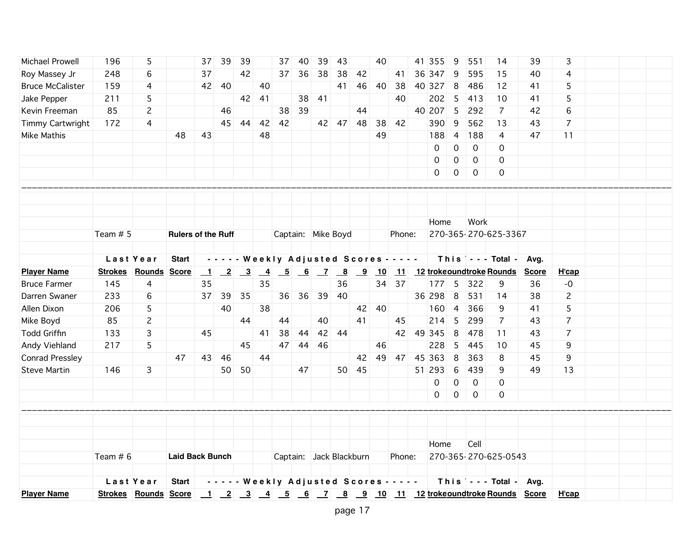| 39<br>39<br>3<br>196<br>5<br>37<br>37<br>40<br>43<br>40<br>41 355<br>9<br>39<br>14<br>Roy Massey Jr<br>248<br>37<br>37<br>36<br>38<br>42<br>9<br>595<br>15<br>6<br>42<br>38<br>41<br>36 347<br>40<br>4<br>46<br>8<br>5<br><b>Bruce McCalister</b><br>159<br>42<br>40<br>41<br>40<br>38<br>40 327<br>486<br>12<br>4<br>40<br>41<br>5<br>5<br>Jake Pepper<br>211<br>42<br>41<br>38<br>41<br>40<br>202<br>413<br>10<br>5<br>41<br>85<br>40 207<br>5<br>292<br>Kevin Freeman<br>2<br>38<br>39<br>44<br>$\overline{7}$<br>42<br>6<br>46<br>$\overline{7}$<br>Timmy Cartwright<br>42<br>390<br>9<br>562<br>172<br>4<br>45<br>44<br>42<br>42 47<br>48<br>38<br>42<br>13<br>43<br>48<br>48<br>49<br>188<br>$\overline{4}$<br>188<br>Mike Mathis<br>43<br>47<br>11<br>4<br>0<br>0<br>0<br>0<br>0<br>0<br>0<br>0<br>0<br>0<br>$\mathbf 0$<br>0<br>Work<br>Home<br>270-365-270-625-3367<br>Team $# 5$<br>Captain: Mike Boyd<br>Phone:<br><b>Rulers of the Ruff</b><br>Last Year<br>- - - - - Weekly Adjusted Scores - - - - -<br>This $\vert \cdot \cdot \cdot$ Total -<br><b>Start</b><br>Avg.<br><b>Player Name</b><br><b>Strokes Rounds Score</b><br>$\begin{array}{ c c c c c }\n\hline\n2 & 3 & 4 \\ \hline\n\end{array}$<br><u>5 6 7 8 9 10 11 12 trokeoundtroke Rounds</u><br>$\mathbf{\perp}$<br><b>Score</b><br>H'cap<br>34 37<br><b>Bruce Farmer</b><br>145<br>35<br>35<br>36<br>$177$ 5<br>322<br>$-0$<br>4<br>9<br>36<br>233<br>39<br>36 298<br>8<br>531<br>$\mathbf{2}$<br>Darren Swaner<br>6<br>39<br>35<br>36<br>36<br>40<br>38<br>37<br>14<br>40<br>38<br>366<br>5<br>Allen Dixon<br>206<br>5<br>42<br>40<br>160<br>$\overline{4}$<br>9<br>41<br>85<br>5<br>$\overline{7}$<br>$\overline{7}$<br>Mike Boyd<br>2<br>44<br>40<br>41<br>45<br>214<br>299<br>44<br>43<br>8<br>478<br>$\overline{7}$<br><b>Todd Griffin</b><br>133<br>3<br>45<br>41<br>38<br>44<br>42 44<br>42<br>49 345<br>11<br>43<br>45<br>47<br>44<br>46<br>228<br>5<br>Andy Viehland<br>217<br>5<br>46<br>445<br>10<br>45<br>9<br>8<br>9<br><b>Conrad Pressley</b><br>47<br>46<br>44<br>49<br>47<br>45 363<br>363<br>45<br>43<br>42<br>8<br>6<br><b>Steve Martin</b><br>50 50<br>50 45<br>51 293<br>439<br>49<br>13<br>146<br>3<br>9<br>47<br>$\mathsf{O}\xspace$<br>$\mathbf 0$<br>0<br>0<br>$\mathsf{O}$<br>$\mathbf 0$<br>0<br>0<br>Home<br>Cell<br>270-365-270-625-0543<br>Team $# 6$<br>Captain: Jack Blackburn<br>Phone:<br><b>Laid Back Bunch</b><br>- - - - - Weekly Adjusted Scores - - - - -<br>This $\vert$ - - - Total - Avg.<br>Last Year<br><b>Start</b><br><b>Player Name</b><br>H'cap | Michael Prowell |  |  | 39 |  |  |  |  |  |  | 551 |  |  |  |
|---------------------------------------------------------------------------------------------------------------------------------------------------------------------------------------------------------------------------------------------------------------------------------------------------------------------------------------------------------------------------------------------------------------------------------------------------------------------------------------------------------------------------------------------------------------------------------------------------------------------------------------------------------------------------------------------------------------------------------------------------------------------------------------------------------------------------------------------------------------------------------------------------------------------------------------------------------------------------------------------------------------------------------------------------------------------------------------------------------------------------------------------------------------------------------------------------------------------------------------------------------------------------------------------------------------------------------------------------------------------------------------------------------------------------------------------------------------------------------------------------------------------------------------------------------------------------------------------------------------------------------------------------------------------------------------------------------------------------------------------------------------------------------------------------------------------------------------------------------------------------------------------------------------------------------------------------------------------------------------------------------------------------------------------------------------------------------------------------------------------------------------------------------------------------------------------------------------------------------------------------------------------------------------------------------------------------------------------------------------------------------------------------------------------------------------------------------------------------------------------------------------------------------------------------------------------------|-----------------|--|--|----|--|--|--|--|--|--|-----|--|--|--|
|                                                                                                                                                                                                                                                                                                                                                                                                                                                                                                                                                                                                                                                                                                                                                                                                                                                                                                                                                                                                                                                                                                                                                                                                                                                                                                                                                                                                                                                                                                                                                                                                                                                                                                                                                                                                                                                                                                                                                                                                                                                                                                                                                                                                                                                                                                                                                                                                                                                                                                                                                                           |                 |  |  |    |  |  |  |  |  |  |     |  |  |  |
|                                                                                                                                                                                                                                                                                                                                                                                                                                                                                                                                                                                                                                                                                                                                                                                                                                                                                                                                                                                                                                                                                                                                                                                                                                                                                                                                                                                                                                                                                                                                                                                                                                                                                                                                                                                                                                                                                                                                                                                                                                                                                                                                                                                                                                                                                                                                                                                                                                                                                                                                                                           |                 |  |  |    |  |  |  |  |  |  |     |  |  |  |
|                                                                                                                                                                                                                                                                                                                                                                                                                                                                                                                                                                                                                                                                                                                                                                                                                                                                                                                                                                                                                                                                                                                                                                                                                                                                                                                                                                                                                                                                                                                                                                                                                                                                                                                                                                                                                                                                                                                                                                                                                                                                                                                                                                                                                                                                                                                                                                                                                                                                                                                                                                           |                 |  |  |    |  |  |  |  |  |  |     |  |  |  |
|                                                                                                                                                                                                                                                                                                                                                                                                                                                                                                                                                                                                                                                                                                                                                                                                                                                                                                                                                                                                                                                                                                                                                                                                                                                                                                                                                                                                                                                                                                                                                                                                                                                                                                                                                                                                                                                                                                                                                                                                                                                                                                                                                                                                                                                                                                                                                                                                                                                                                                                                                                           |                 |  |  |    |  |  |  |  |  |  |     |  |  |  |
|                                                                                                                                                                                                                                                                                                                                                                                                                                                                                                                                                                                                                                                                                                                                                                                                                                                                                                                                                                                                                                                                                                                                                                                                                                                                                                                                                                                                                                                                                                                                                                                                                                                                                                                                                                                                                                                                                                                                                                                                                                                                                                                                                                                                                                                                                                                                                                                                                                                                                                                                                                           |                 |  |  |    |  |  |  |  |  |  |     |  |  |  |
|                                                                                                                                                                                                                                                                                                                                                                                                                                                                                                                                                                                                                                                                                                                                                                                                                                                                                                                                                                                                                                                                                                                                                                                                                                                                                                                                                                                                                                                                                                                                                                                                                                                                                                                                                                                                                                                                                                                                                                                                                                                                                                                                                                                                                                                                                                                                                                                                                                                                                                                                                                           |                 |  |  |    |  |  |  |  |  |  |     |  |  |  |
|                                                                                                                                                                                                                                                                                                                                                                                                                                                                                                                                                                                                                                                                                                                                                                                                                                                                                                                                                                                                                                                                                                                                                                                                                                                                                                                                                                                                                                                                                                                                                                                                                                                                                                                                                                                                                                                                                                                                                                                                                                                                                                                                                                                                                                                                                                                                                                                                                                                                                                                                                                           |                 |  |  |    |  |  |  |  |  |  |     |  |  |  |
|                                                                                                                                                                                                                                                                                                                                                                                                                                                                                                                                                                                                                                                                                                                                                                                                                                                                                                                                                                                                                                                                                                                                                                                                                                                                                                                                                                                                                                                                                                                                                                                                                                                                                                                                                                                                                                                                                                                                                                                                                                                                                                                                                                                                                                                                                                                                                                                                                                                                                                                                                                           |                 |  |  |    |  |  |  |  |  |  |     |  |  |  |
|                                                                                                                                                                                                                                                                                                                                                                                                                                                                                                                                                                                                                                                                                                                                                                                                                                                                                                                                                                                                                                                                                                                                                                                                                                                                                                                                                                                                                                                                                                                                                                                                                                                                                                                                                                                                                                                                                                                                                                                                                                                                                                                                                                                                                                                                                                                                                                                                                                                                                                                                                                           |                 |  |  |    |  |  |  |  |  |  |     |  |  |  |
|                                                                                                                                                                                                                                                                                                                                                                                                                                                                                                                                                                                                                                                                                                                                                                                                                                                                                                                                                                                                                                                                                                                                                                                                                                                                                                                                                                                                                                                                                                                                                                                                                                                                                                                                                                                                                                                                                                                                                                                                                                                                                                                                                                                                                                                                                                                                                                                                                                                                                                                                                                           |                 |  |  |    |  |  |  |  |  |  |     |  |  |  |
|                                                                                                                                                                                                                                                                                                                                                                                                                                                                                                                                                                                                                                                                                                                                                                                                                                                                                                                                                                                                                                                                                                                                                                                                                                                                                                                                                                                                                                                                                                                                                                                                                                                                                                                                                                                                                                                                                                                                                                                                                                                                                                                                                                                                                                                                                                                                                                                                                                                                                                                                                                           |                 |  |  |    |  |  |  |  |  |  |     |  |  |  |
|                                                                                                                                                                                                                                                                                                                                                                                                                                                                                                                                                                                                                                                                                                                                                                                                                                                                                                                                                                                                                                                                                                                                                                                                                                                                                                                                                                                                                                                                                                                                                                                                                                                                                                                                                                                                                                                                                                                                                                                                                                                                                                                                                                                                                                                                                                                                                                                                                                                                                                                                                                           |                 |  |  |    |  |  |  |  |  |  |     |  |  |  |
|                                                                                                                                                                                                                                                                                                                                                                                                                                                                                                                                                                                                                                                                                                                                                                                                                                                                                                                                                                                                                                                                                                                                                                                                                                                                                                                                                                                                                                                                                                                                                                                                                                                                                                                                                                                                                                                                                                                                                                                                                                                                                                                                                                                                                                                                                                                                                                                                                                                                                                                                                                           |                 |  |  |    |  |  |  |  |  |  |     |  |  |  |
|                                                                                                                                                                                                                                                                                                                                                                                                                                                                                                                                                                                                                                                                                                                                                                                                                                                                                                                                                                                                                                                                                                                                                                                                                                                                                                                                                                                                                                                                                                                                                                                                                                                                                                                                                                                                                                                                                                                                                                                                                                                                                                                                                                                                                                                                                                                                                                                                                                                                                                                                                                           |                 |  |  |    |  |  |  |  |  |  |     |  |  |  |
|                                                                                                                                                                                                                                                                                                                                                                                                                                                                                                                                                                                                                                                                                                                                                                                                                                                                                                                                                                                                                                                                                                                                                                                                                                                                                                                                                                                                                                                                                                                                                                                                                                                                                                                                                                                                                                                                                                                                                                                                                                                                                                                                                                                                                                                                                                                                                                                                                                                                                                                                                                           |                 |  |  |    |  |  |  |  |  |  |     |  |  |  |
|                                                                                                                                                                                                                                                                                                                                                                                                                                                                                                                                                                                                                                                                                                                                                                                                                                                                                                                                                                                                                                                                                                                                                                                                                                                                                                                                                                                                                                                                                                                                                                                                                                                                                                                                                                                                                                                                                                                                                                                                                                                                                                                                                                                                                                                                                                                                                                                                                                                                                                                                                                           |                 |  |  |    |  |  |  |  |  |  |     |  |  |  |
|                                                                                                                                                                                                                                                                                                                                                                                                                                                                                                                                                                                                                                                                                                                                                                                                                                                                                                                                                                                                                                                                                                                                                                                                                                                                                                                                                                                                                                                                                                                                                                                                                                                                                                                                                                                                                                                                                                                                                                                                                                                                                                                                                                                                                                                                                                                                                                                                                                                                                                                                                                           |                 |  |  |    |  |  |  |  |  |  |     |  |  |  |
|                                                                                                                                                                                                                                                                                                                                                                                                                                                                                                                                                                                                                                                                                                                                                                                                                                                                                                                                                                                                                                                                                                                                                                                                                                                                                                                                                                                                                                                                                                                                                                                                                                                                                                                                                                                                                                                                                                                                                                                                                                                                                                                                                                                                                                                                                                                                                                                                                                                                                                                                                                           |                 |  |  |    |  |  |  |  |  |  |     |  |  |  |
|                                                                                                                                                                                                                                                                                                                                                                                                                                                                                                                                                                                                                                                                                                                                                                                                                                                                                                                                                                                                                                                                                                                                                                                                                                                                                                                                                                                                                                                                                                                                                                                                                                                                                                                                                                                                                                                                                                                                                                                                                                                                                                                                                                                                                                                                                                                                                                                                                                                                                                                                                                           |                 |  |  |    |  |  |  |  |  |  |     |  |  |  |
|                                                                                                                                                                                                                                                                                                                                                                                                                                                                                                                                                                                                                                                                                                                                                                                                                                                                                                                                                                                                                                                                                                                                                                                                                                                                                                                                                                                                                                                                                                                                                                                                                                                                                                                                                                                                                                                                                                                                                                                                                                                                                                                                                                                                                                                                                                                                                                                                                                                                                                                                                                           |                 |  |  |    |  |  |  |  |  |  |     |  |  |  |
|                                                                                                                                                                                                                                                                                                                                                                                                                                                                                                                                                                                                                                                                                                                                                                                                                                                                                                                                                                                                                                                                                                                                                                                                                                                                                                                                                                                                                                                                                                                                                                                                                                                                                                                                                                                                                                                                                                                                                                                                                                                                                                                                                                                                                                                                                                                                                                                                                                                                                                                                                                           |                 |  |  |    |  |  |  |  |  |  |     |  |  |  |
|                                                                                                                                                                                                                                                                                                                                                                                                                                                                                                                                                                                                                                                                                                                                                                                                                                                                                                                                                                                                                                                                                                                                                                                                                                                                                                                                                                                                                                                                                                                                                                                                                                                                                                                                                                                                                                                                                                                                                                                                                                                                                                                                                                                                                                                                                                                                                                                                                                                                                                                                                                           |                 |  |  |    |  |  |  |  |  |  |     |  |  |  |
|                                                                                                                                                                                                                                                                                                                                                                                                                                                                                                                                                                                                                                                                                                                                                                                                                                                                                                                                                                                                                                                                                                                                                                                                                                                                                                                                                                                                                                                                                                                                                                                                                                                                                                                                                                                                                                                                                                                                                                                                                                                                                                                                                                                                                                                                                                                                                                                                                                                                                                                                                                           |                 |  |  |    |  |  |  |  |  |  |     |  |  |  |
|                                                                                                                                                                                                                                                                                                                                                                                                                                                                                                                                                                                                                                                                                                                                                                                                                                                                                                                                                                                                                                                                                                                                                                                                                                                                                                                                                                                                                                                                                                                                                                                                                                                                                                                                                                                                                                                                                                                                                                                                                                                                                                                                                                                                                                                                                                                                                                                                                                                                                                                                                                           |                 |  |  |    |  |  |  |  |  |  |     |  |  |  |
|                                                                                                                                                                                                                                                                                                                                                                                                                                                                                                                                                                                                                                                                                                                                                                                                                                                                                                                                                                                                                                                                                                                                                                                                                                                                                                                                                                                                                                                                                                                                                                                                                                                                                                                                                                                                                                                                                                                                                                                                                                                                                                                                                                                                                                                                                                                                                                                                                                                                                                                                                                           |                 |  |  |    |  |  |  |  |  |  |     |  |  |  |
|                                                                                                                                                                                                                                                                                                                                                                                                                                                                                                                                                                                                                                                                                                                                                                                                                                                                                                                                                                                                                                                                                                                                                                                                                                                                                                                                                                                                                                                                                                                                                                                                                                                                                                                                                                                                                                                                                                                                                                                                                                                                                                                                                                                                                                                                                                                                                                                                                                                                                                                                                                           |                 |  |  |    |  |  |  |  |  |  |     |  |  |  |
|                                                                                                                                                                                                                                                                                                                                                                                                                                                                                                                                                                                                                                                                                                                                                                                                                                                                                                                                                                                                                                                                                                                                                                                                                                                                                                                                                                                                                                                                                                                                                                                                                                                                                                                                                                                                                                                                                                                                                                                                                                                                                                                                                                                                                                                                                                                                                                                                                                                                                                                                                                           |                 |  |  |    |  |  |  |  |  |  |     |  |  |  |
|                                                                                                                                                                                                                                                                                                                                                                                                                                                                                                                                                                                                                                                                                                                                                                                                                                                                                                                                                                                                                                                                                                                                                                                                                                                                                                                                                                                                                                                                                                                                                                                                                                                                                                                                                                                                                                                                                                                                                                                                                                                                                                                                                                                                                                                                                                                                                                                                                                                                                                                                                                           |                 |  |  |    |  |  |  |  |  |  |     |  |  |  |
|                                                                                                                                                                                                                                                                                                                                                                                                                                                                                                                                                                                                                                                                                                                                                                                                                                                                                                                                                                                                                                                                                                                                                                                                                                                                                                                                                                                                                                                                                                                                                                                                                                                                                                                                                                                                                                                                                                                                                                                                                                                                                                                                                                                                                                                                                                                                                                                                                                                                                                                                                                           |                 |  |  |    |  |  |  |  |  |  |     |  |  |  |
|                                                                                                                                                                                                                                                                                                                                                                                                                                                                                                                                                                                                                                                                                                                                                                                                                                                                                                                                                                                                                                                                                                                                                                                                                                                                                                                                                                                                                                                                                                                                                                                                                                                                                                                                                                                                                                                                                                                                                                                                                                                                                                                                                                                                                                                                                                                                                                                                                                                                                                                                                                           |                 |  |  |    |  |  |  |  |  |  |     |  |  |  |
|                                                                                                                                                                                                                                                                                                                                                                                                                                                                                                                                                                                                                                                                                                                                                                                                                                                                                                                                                                                                                                                                                                                                                                                                                                                                                                                                                                                                                                                                                                                                                                                                                                                                                                                                                                                                                                                                                                                                                                                                                                                                                                                                                                                                                                                                                                                                                                                                                                                                                                                                                                           |                 |  |  |    |  |  |  |  |  |  |     |  |  |  |
|                                                                                                                                                                                                                                                                                                                                                                                                                                                                                                                                                                                                                                                                                                                                                                                                                                                                                                                                                                                                                                                                                                                                                                                                                                                                                                                                                                                                                                                                                                                                                                                                                                                                                                                                                                                                                                                                                                                                                                                                                                                                                                                                                                                                                                                                                                                                                                                                                                                                                                                                                                           |                 |  |  |    |  |  |  |  |  |  |     |  |  |  |
|                                                                                                                                                                                                                                                                                                                                                                                                                                                                                                                                                                                                                                                                                                                                                                                                                                                                                                                                                                                                                                                                                                                                                                                                                                                                                                                                                                                                                                                                                                                                                                                                                                                                                                                                                                                                                                                                                                                                                                                                                                                                                                                                                                                                                                                                                                                                                                                                                                                                                                                                                                           |                 |  |  |    |  |  |  |  |  |  |     |  |  |  |
|                                                                                                                                                                                                                                                                                                                                                                                                                                                                                                                                                                                                                                                                                                                                                                                                                                                                                                                                                                                                                                                                                                                                                                                                                                                                                                                                                                                                                                                                                                                                                                                                                                                                                                                                                                                                                                                                                                                                                                                                                                                                                                                                                                                                                                                                                                                                                                                                                                                                                                                                                                           |                 |  |  |    |  |  |  |  |  |  |     |  |  |  |
|                                                                                                                                                                                                                                                                                                                                                                                                                                                                                                                                                                                                                                                                                                                                                                                                                                                                                                                                                                                                                                                                                                                                                                                                                                                                                                                                                                                                                                                                                                                                                                                                                                                                                                                                                                                                                                                                                                                                                                                                                                                                                                                                                                                                                                                                                                                                                                                                                                                                                                                                                                           |                 |  |  |    |  |  |  |  |  |  |     |  |  |  |
|                                                                                                                                                                                                                                                                                                                                                                                                                                                                                                                                                                                                                                                                                                                                                                                                                                                                                                                                                                                                                                                                                                                                                                                                                                                                                                                                                                                                                                                                                                                                                                                                                                                                                                                                                                                                                                                                                                                                                                                                                                                                                                                                                                                                                                                                                                                                                                                                                                                                                                                                                                           |                 |  |  |    |  |  |  |  |  |  |     |  |  |  |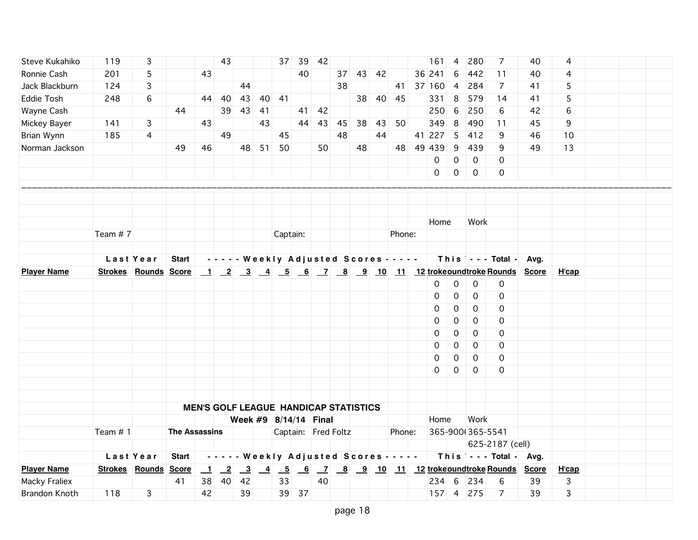| Steve Kukahiko     | 119        | 3                           |                      |                  | 43                         |    |    |                                                                     |       | 37 39 42                                     |    |    |       |        | 161                                                    | $\overline{4}$ | 280              | 7                                      | 40   | 4     |  |  |
|--------------------|------------|-----------------------------|----------------------|------------------|----------------------------|----|----|---------------------------------------------------------------------|-------|----------------------------------------------|----|----|-------|--------|--------------------------------------------------------|----------------|------------------|----------------------------------------|------|-------|--|--|
| Ronnie Cash        | 201        | 5                           |                      | 43               |                            |    |    |                                                                     | 40    |                                              | 37 |    | 43 42 |        | 36 241                                                 | 6              | 442              | 11                                     | 40   | 4     |  |  |
| Jack Blackburn     | 124        | 3                           |                      |                  |                            | 44 |    |                                                                     |       |                                              | 38 |    |       |        | 41 37 160                                              | $\overline{4}$ | 284              | $\overline{7}$                         | 41   | 5     |  |  |
| Eddie Tosh         | 248        | 6                           |                      | 44               | 40                         | 43 | 40 | 41                                                                  |       |                                              |    | 38 |       | 40 45  | 331                                                    | 8              | 579              | 14                                     | 41   | 5     |  |  |
| Wayne Cash         |            |                             | 44                   |                  | 39                         | 43 | 41 |                                                                     | 41    | 42                                           |    |    |       |        | 250                                                    | 6              | 250              | 6                                      | 42   | 6     |  |  |
| Mickey Bayer       | 141        | 3                           |                      | 43               |                            |    | 43 |                                                                     | 44    | 43                                           | 45 | 38 | 43    | 50     | 349                                                    | 8              | 490              | 11                                     | 45   | 9     |  |  |
| Brian Wynn         | 185        | 4                           |                      |                  | 49                         |    |    | 45                                                                  |       |                                              | 48 |    | 44    |        | 41 227                                                 | 5              | 412              | 9                                      | 46   | 10    |  |  |
| Norman Jackson     |            |                             | 49                   | 46               |                            | 48 | 51 | 50                                                                  |       | 50                                           |    | 48 |       |        | 48 49 439                                              | 9              | 439              | 9                                      | 49   | 13    |  |  |
|                    |            |                             |                      |                  |                            |    |    |                                                                     |       |                                              |    |    |       |        | 0                                                      | $\mathbf 0$    | $\mathbf 0$      | $\Omega$                               |      |       |  |  |
|                    |            |                             |                      |                  |                            |    |    |                                                                     |       |                                              |    |    |       |        | $\mathsf{O}$                                           | $\mathbf 0$    | $\mathbf 0$      | $\mathbf 0$                            |      |       |  |  |
|                    |            |                             |                      |                  |                            |    |    |                                                                     |       |                                              |    |    |       |        |                                                        |                |                  |                                        |      |       |  |  |
|                    |            |                             |                      |                  |                            |    |    |                                                                     |       |                                              |    |    |       |        |                                                        |                |                  |                                        |      |       |  |  |
|                    |            |                             |                      |                  |                            |    |    |                                                                     |       |                                              |    |    |       |        |                                                        |                |                  |                                        |      |       |  |  |
|                    |            |                             |                      |                  |                            |    |    |                                                                     |       |                                              |    |    |       |        | Home                                                   |                | Work             |                                        |      |       |  |  |
|                    | Team $# 7$ |                             |                      |                  |                            |    |    | Captain:                                                            |       |                                              |    |    |       | Phone: |                                                        |                |                  |                                        |      |       |  |  |
|                    |            |                             |                      |                  |                            |    |    |                                                                     |       |                                              |    |    |       |        |                                                        |                |                  |                                        |      |       |  |  |
|                    |            | Last Year                   | <b>Start</b>         |                  |                            |    |    |                                                                     |       |                                              |    |    |       |        | - - - - - Weekly Adjusted Scores - - - - -             |                |                  | This $\vert \cdot \cdot \cdot$ Total - | Avg. |       |  |  |
| <b>Player Name</b> |            | <b>Strokes Rounds Score</b> |                      |                  |                            |    |    |                                                                     |       |                                              |    |    |       |        | 1 2 3 4 5 6 7 8 9 10 11 12 trokeoundtroke Rounds Score |                |                  |                                        |      | H'cap |  |  |
|                    |            |                             |                      |                  |                            |    |    |                                                                     |       |                                              |    |    |       |        | 0                                                      | $\mathbf 0$    | 0                | $\mathsf{O}$                           |      |       |  |  |
|                    |            |                             |                      |                  |                            |    |    |                                                                     |       |                                              |    |    |       |        | 0                                                      | $\mathbf 0$    | 0                | 0                                      |      |       |  |  |
|                    |            |                             |                      |                  |                            |    |    |                                                                     |       |                                              |    |    |       |        | 0                                                      | 0              | $\mathbf 0$      | 0                                      |      |       |  |  |
|                    |            |                             |                      |                  |                            |    |    |                                                                     |       |                                              |    |    |       |        | 0                                                      | 0              | 0                | 0                                      |      |       |  |  |
|                    |            |                             |                      |                  |                            |    |    |                                                                     |       |                                              |    |    |       |        | $\mathbf 0$                                            | 0              | $\mathbf 0$      | $\mathbf 0$                            |      |       |  |  |
|                    |            |                             |                      |                  |                            |    |    |                                                                     |       |                                              |    |    |       |        | 0                                                      | 0              | $\mathbf 0$      | 0                                      |      |       |  |  |
|                    |            |                             |                      |                  |                            |    |    |                                                                     |       |                                              |    |    |       |        | 0                                                      | 0              | $\mathbf 0$      | $\mathbf 0$                            |      |       |  |  |
|                    |            |                             |                      |                  |                            |    |    |                                                                     |       |                                              |    |    |       |        | $\Omega$                                               | 0              | $\Omega$         | 0                                      |      |       |  |  |
|                    |            |                             |                      |                  |                            |    |    |                                                                     |       |                                              |    |    |       |        |                                                        |                |                  |                                        |      |       |  |  |
|                    |            |                             |                      |                  |                            |    |    |                                                                     |       |                                              |    |    |       |        |                                                        |                |                  |                                        |      |       |  |  |
|                    |            |                             |                      |                  |                            |    |    |                                                                     |       | <b>MEN'S GOLF LEAGUE HANDICAP STATISTICS</b> |    |    |       |        |                                                        |                |                  |                                        |      |       |  |  |
|                    |            |                             |                      |                  |                            |    |    |                                                                     |       | Week #9 8/14/14 Final                        |    |    |       |        | Home                                                   |                | Work             |                                        |      |       |  |  |
|                    | Team $# 1$ |                             | <b>The Assassins</b> |                  |                            |    |    |                                                                     |       | Captain: Fred Foltz                          |    |    |       | Phone: |                                                        |                | 365-900(365-5541 |                                        |      |       |  |  |
|                    |            |                             |                      |                  |                            |    |    |                                                                     |       |                                              |    |    |       |        |                                                        |                |                  | 625-2187 (cell)                        |      |       |  |  |
|                    |            | Last Year                   | <b>Start</b>         |                  |                            |    |    |                                                                     |       | - - - - - Weekly Adjusted Scores - - - - -   |    |    |       |        |                                                        |                |                  | This $\vert$ - - - Total - Avg.        |      |       |  |  |
| <b>Player Name</b> |            | Strokes Rounds Score        |                      | $\mathbf{\perp}$ | $\overline{\phantom{0}}^2$ |    |    | $\begin{array}{ c c c c c } \hline 3 & 4 & 5 \\ \hline \end{array}$ |       |                                              |    |    |       |        | <u>6 7 8 9 10 11 12 trokeoundtroke Rounds</u> Score    |                |                  |                                        |      | H'cap |  |  |
| Macky Fraliex      |            |                             | 41                   | 38               | 40                         | 42 |    | 33                                                                  |       | 40                                           |    |    |       |        | 234 6                                                  |                | 234              | 6                                      | 39   | 3     |  |  |
| Brandon Knoth      | 118        | 3                           |                      | 42               |                            | 39 |    |                                                                     | 39 37 |                                              |    |    |       |        |                                                        |                | 157 4 275        | $\overline{7}$                         | 39   | 3     |  |  |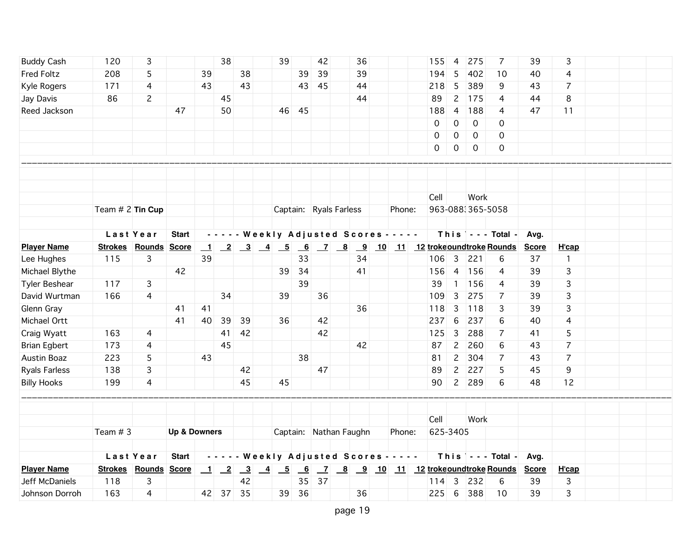| <b>Buddy Cash</b>    | 120                         | 3            |                         |                  | 38                         |                                                                               |                 | 39 |               | 42      |                        | 36 |                                            | 155                                         | $\overline{4}$ | 275              | 7                                      | 39           | 3              |  |  |
|----------------------|-----------------------------|--------------|-------------------------|------------------|----------------------------|-------------------------------------------------------------------------------|-----------------|----|---------------|---------|------------------------|----|--------------------------------------------|---------------------------------------------|----------------|------------------|----------------------------------------|--------------|----------------|--|--|
| Fred Foltz           | 208                         | 5            |                         | 39               |                            | 38                                                                            |                 |    | 39            | 39      |                        | 39 |                                            | 194                                         | 5              | 402              | 10                                     | 40           | 4              |  |  |
| Kyle Rogers          | 171                         | 4            |                         | 43               |                            | 43                                                                            |                 |    |               | 43 45   |                        | 44 |                                            | 218                                         | 5              | 389              | 9                                      | 43           | $\overline{7}$ |  |  |
| Jay Davis            | 86                          | $\mathsf{S}$ |                         |                  | 45                         |                                                                               |                 |    |               |         |                        | 44 |                                            | 89                                          | $\overline{c}$ | 175              | 4                                      | 44           | 8              |  |  |
| Reed Jackson         |                             |              | 47                      |                  | 50                         |                                                                               |                 |    | 46 45         |         |                        |    |                                            | 188                                         | $\overline{4}$ | 188              | 4                                      | 47           | 11             |  |  |
|                      |                             |              |                         |                  |                            |                                                                               |                 |    |               |         |                        |    |                                            | $\mathbf 0$                                 | $\mathbf 0$    | $\mathbf 0$      | 0                                      |              |                |  |  |
|                      |                             |              |                         |                  |                            |                                                                               |                 |    |               |         |                        |    |                                            | 0                                           | $\mathsf{O}$   | $\mathbf 0$      | 0                                      |              |                |  |  |
|                      |                             |              |                         |                  |                            |                                                                               |                 |    |               |         |                        |    |                                            | 0                                           | $\mathsf{O}$   | $\mathbf 0$      | $\mathbf 0$                            |              |                |  |  |
|                      |                             |              |                         |                  |                            |                                                                               |                 |    |               |         |                        |    |                                            |                                             |                |                  |                                        |              |                |  |  |
|                      |                             |              |                         |                  |                            |                                                                               |                 |    |               |         |                        |    |                                            |                                             |                |                  |                                        |              |                |  |  |
|                      |                             |              |                         |                  |                            |                                                                               |                 |    |               |         |                        |    |                                            |                                             |                |                  |                                        |              |                |  |  |
|                      |                             |              |                         |                  |                            |                                                                               |                 |    |               |         |                        |    |                                            | Cell                                        |                | Work             |                                        |              |                |  |  |
|                      | Team $# 2$ Tin Cup          |              |                         |                  |                            |                                                                               |                 |    |               |         | Captain: Ryals Farless |    | Phone:                                     |                                             |                | 963-0883365-5058 |                                        |              |                |  |  |
|                      |                             |              |                         |                  |                            |                                                                               |                 |    |               |         |                        |    |                                            |                                             |                |                  |                                        |              |                |  |  |
|                      |                             | Last Year    | <b>Start</b>            |                  |                            |                                                                               |                 |    |               |         |                        |    | - - - - - Weekly Adjusted Scores - - - - - |                                             |                |                  | This $\vert$ - - - Total -             | Avg.         |                |  |  |
| <b>Player Name</b>   | <b>Strokes Rounds Score</b> |              |                         | $\perp$          |                            | $\begin{array}{ c c c c c c c c } \hline 2 & 3 & 4 & 5 \\ \hline \end{array}$ |                 |    |               |         |                        |    |                                            | 6 7 8 9 10 11 12 trokeoundtroke Rounds      |                |                  |                                        | <b>Score</b> | H'cap          |  |  |
| Lee Hughes           | 115                         | 3            |                         | 39               |                            |                                                                               |                 |    | 33            |         |                        | 34 |                                            | 106                                         | $\overline{3}$ | 221              | 6                                      | 37           | $\mathbf{1}$   |  |  |
| Michael Blythe       |                             |              | 42                      |                  |                            |                                                                               |                 | 39 | 34            |         |                        | 41 |                                            | 156                                         | $\overline{4}$ | 156              | 4                                      | 39           | 3              |  |  |
| <b>Tyler Beshear</b> | 117                         | 3            |                         |                  |                            |                                                                               |                 |    | 39            |         |                        |    |                                            | 39                                          | $\overline{1}$ | 156              | 4                                      | 39           | 3              |  |  |
| David Wurtman        | 166                         | 4            |                         |                  | 34                         |                                                                               |                 | 39 |               | 36      |                        |    |                                            | 109                                         | 3              | 275              | $\overline{7}$                         | 39           | 3              |  |  |
| Glenn Gray           |                             |              | 41                      | 41               |                            |                                                                               |                 |    |               |         |                        | 36 |                                            | 118                                         | $\mathbf{3}$   | 118              | 3                                      | 39           | 3              |  |  |
| Michael Ortt         |                             |              | 41                      | 40               | 39                         | 39                                                                            |                 | 36 |               | 42      |                        |    |                                            | 237                                         | 6              | 237              | 6                                      | 40           | 4              |  |  |
| Craig Wyatt          | 163                         | 4            |                         |                  | 41                         | 42                                                                            |                 |    |               | 42      |                        |    |                                            | 125                                         | $\mathbf{3}$   | 288              | 7                                      | 41           | 5              |  |  |
| <b>Brian Egbert</b>  | 173                         | 4            |                         |                  | 45                         |                                                                               |                 |    |               |         |                        | 42 |                                            | 87                                          | $\overline{2}$ | 260              | 6                                      | 43           | $\overline{7}$ |  |  |
| Austin Boaz          | 223                         | 5            |                         | 43               |                            |                                                                               |                 |    | 38            |         |                        |    |                                            | 81                                          | $\overline{c}$ | 304              | 7                                      | 43           | $\overline{7}$ |  |  |
| <b>Ryals Farless</b> | 138                         | 3            |                         |                  |                            | 42                                                                            |                 |    |               | 47      |                        |    |                                            | 89                                          | $\mathbf{2}$   | 227              | 5                                      | 45           | 9              |  |  |
| <b>Billy Hooks</b>   | 199                         | 4            |                         |                  |                            | 45                                                                            |                 | 45 |               |         |                        |    |                                            | 90                                          | $2^{\circ}$    | 289              | 6                                      | 48           | 12             |  |  |
|                      |                             |              |                         |                  |                            |                                                                               |                 |    |               |         |                        |    |                                            |                                             |                |                  |                                        |              |                |  |  |
|                      |                             |              |                         |                  |                            |                                                                               |                 |    |               |         |                        |    |                                            | Cell                                        |                | Work             |                                        |              |                |  |  |
|                      | Team $#3$                   |              | <b>Up &amp; Downers</b> |                  |                            |                                                                               |                 |    |               |         | Captain: Nathan Faughn |    | Phone:                                     | 625-3405                                    |                |                  |                                        |              |                |  |  |
|                      |                             |              |                         |                  |                            |                                                                               |                 |    |               |         |                        |    |                                            |                                             |                |                  |                                        |              |                |  |  |
|                      |                             | Last Year    | <b>Start</b>            |                  |                            |                                                                               |                 |    |               |         |                        |    | - - - - - Weekly Adjusted Scores - - - - - |                                             |                |                  | This $\vert \cdot \cdot \cdot$ Total - | Avg.         |                |  |  |
| <b>Player Name</b>   | Strokes Rounds Score        |              |                         | $\mathbf{\perp}$ | $\overline{\phantom{0}}^2$ | $\overline{\phantom{0}3}$                                                     | $\overline{-4}$ |    | $\frac{5}{6}$ |         |                        |    |                                            | <u>7 8 9 10 11 12 trokeoundtroke Rounds</u> |                |                  |                                        | <b>Score</b> | H'cap          |  |  |
| Jeff McDaniels       | 118                         | 3            |                         |                  |                            | 42                                                                            |                 |    |               | $35$ 37 |                        |    |                                            | $114$                                       | $\overline{3}$ | 232              | 6                                      | 39           | 3              |  |  |
| Johnson Dorroh       | 163                         | 4            |                         | 42               |                            | $37$ 35                                                                       |                 |    | 39 36         |         |                        | 36 |                                            | $225$ 6                                     |                | 388              | 10                                     | 39           | 3              |  |  |
|                      |                             |              |                         |                  |                            |                                                                               |                 |    |               |         |                        |    |                                            |                                             |                |                  |                                        |              |                |  |  |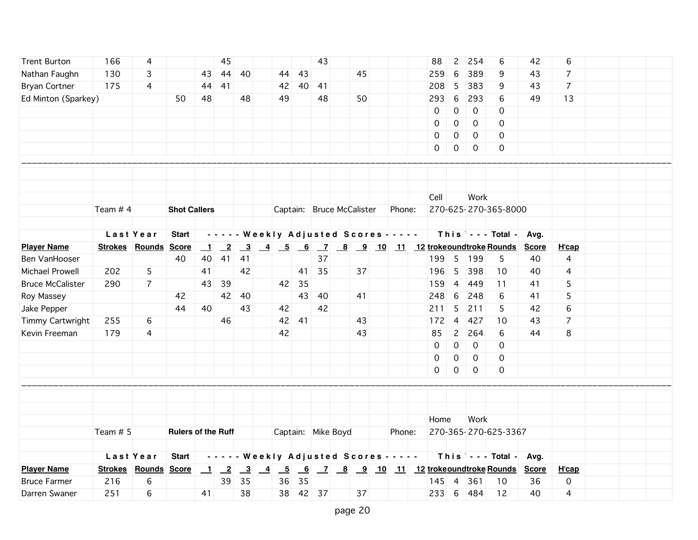| <b>Trent Burton</b>     | 166        | 4                    |                           |                          | 45                        |                         |                                            |      |    | 43                 |                           |        | 88       | $\overline{c}$ | 254         | 6                                                   | 42           | 6              |  |
|-------------------------|------------|----------------------|---------------------------|--------------------------|---------------------------|-------------------------|--------------------------------------------|------|----|--------------------|---------------------------|--------|----------|----------------|-------------|-----------------------------------------------------|--------------|----------------|--|
| Nathan Faughn           | 130        | 3                    |                           | 43                       | 44                        | 40                      |                                            | 44   | 43 |                    | 45                        |        | 259      | 6              | 389         | 9                                                   | 43           | 7              |  |
| <b>Bryan Cortner</b>    | 175        | 4                    |                           | 44                       | 41                        |                         |                                            | 42   | 40 | 41                 |                           |        | 208      | 5              | 383         | 9                                                   | 43           | $\overline{7}$ |  |
| Ed Minton (Sparkey)     |            |                      | 50                        | 48                       |                           | 48                      |                                            | 49   |    | 48                 | 50                        |        | 293      | 6              | 293         | 6                                                   | 49           | 13             |  |
|                         |            |                      |                           |                          |                           |                         |                                            |      |    |                    |                           |        | 0        | $\mathbf 0$    | 0           | 0                                                   |              |                |  |
|                         |            |                      |                           |                          |                           |                         |                                            |      |    |                    |                           |        | 0        | 0              | 0           | $\mathbf 0$                                         |              |                |  |
|                         |            |                      |                           |                          |                           |                         |                                            |      |    |                    |                           |        | 0        | 0              | 0           | $\mathbf 0$                                         |              |                |  |
|                         |            |                      |                           |                          |                           |                         |                                            |      |    |                    |                           |        | 0        | 0              | $\mathbf 0$ | 0                                                   |              |                |  |
|                         |            |                      |                           |                          |                           |                         |                                            |      |    |                    |                           |        |          |                |             |                                                     |              |                |  |
|                         |            |                      |                           |                          |                           |                         |                                            |      |    |                    |                           |        |          |                |             |                                                     |              |                |  |
|                         |            |                      |                           |                          |                           |                         |                                            |      |    |                    |                           |        |          |                |             |                                                     |              |                |  |
|                         |            |                      |                           |                          |                           |                         |                                            |      |    |                    |                           |        | Cell     |                | Work        |                                                     |              |                |  |
|                         | Team $# 4$ |                      | <b>Shot Callers</b>       |                          |                           |                         |                                            |      |    |                    | Captain: Bruce McCalister | Phone: |          |                |             | 270-625-270-365-8000                                |              |                |  |
|                         |            |                      |                           |                          |                           |                         |                                            |      |    |                    |                           |        |          |                |             |                                                     |              |                |  |
|                         |            | Last Year            | <b>Start</b>              |                          |                           |                         | - - - - - Weekly Adjusted Scores - - - - - |      |    |                    |                           |        |          |                |             | This $\vert \cdot \cdot -$ Total -                  | Avg.         |                |  |
| <b>Player Name</b>      |            | Strokes Rounds       | <b>Score</b>              | $\overline{\phantom{0}}$ | $\overline{-2}$           |                         |                                            |      |    |                    |                           |        |          |                |             | <u>3 4 5 6 7 8 9 10 11 12 trokeoundtroke Rounds</u> | <b>Score</b> | H'cap          |  |
| Ben VanHooser           |            |                      | 40                        | 40                       | 41                        | 41                      |                                            |      |    | 37                 |                           |        |          |                | 199 5 199   | 5                                                   | 40           | 4              |  |
| Michael Prowell         | 202        | 5                    |                           | 41                       |                           | 42                      |                                            |      | 41 | 35                 | 37                        |        | 196      | 5              | 398         | 10                                                  | 40           | 4              |  |
| <b>Bruce McCalister</b> | 290        | $\overline{7}$       |                           | 43                       | 39                        |                         |                                            | 42   | 35 |                    |                           |        | 159      | $\overline{4}$ | 449         | 11                                                  | 41           | 5              |  |
| Roy Massey              |            |                      | 42                        |                          | 42                        | 40                      |                                            |      | 43 | 40                 | 41                        |        | 248      | 6              | 248         | 6                                                   | 41           | 5              |  |
| Jake Pepper             |            |                      | 44                        | 40                       |                           | 43                      |                                            | 42   |    | 42                 |                           |        | 211      | 5              | 211         | 5                                                   | 42           | 6              |  |
| Timmy Cartwright        | 255        | 6                    |                           |                          | 46                        |                         |                                            | 42   | 41 |                    | 43                        |        | 172      | $\overline{4}$ | 427         | 10                                                  | 43           | $\overline{7}$ |  |
| Kevin Freeman           | 179        | 4                    |                           |                          |                           |                         |                                            | 42   |    |                    | 43                        |        | 85       | $\overline{2}$ | 264         | 6                                                   | 44           | 8              |  |
|                         |            |                      |                           |                          |                           |                         |                                            |      |    |                    |                           |        | 0        | 0              | $\mathbf 0$ | 0                                                   |              |                |  |
|                         |            |                      |                           |                          |                           |                         |                                            |      |    |                    |                           |        | 0        | 0              | $\mathbf 0$ | 0                                                   |              |                |  |
|                         |            |                      |                           |                          |                           |                         |                                            |      |    |                    |                           |        | $\Omega$ | $\mathsf{O}$   | $\mathbf 0$ | $\mathbf 0$                                         |              |                |  |
|                         |            |                      |                           |                          |                           |                         |                                            |      |    |                    |                           |        |          |                |             |                                                     |              |                |  |
|                         |            |                      |                           |                          |                           |                         |                                            |      |    |                    |                           |        |          |                |             |                                                     |              |                |  |
|                         |            |                      |                           |                          |                           |                         |                                            |      |    |                    |                           |        |          |                |             |                                                     |              |                |  |
|                         |            |                      |                           |                          |                           |                         |                                            |      |    |                    |                           |        | Home     |                | Work        |                                                     |              |                |  |
|                         | Team $# 5$ |                      | <b>Rulers of the Ruff</b> |                          |                           |                         |                                            |      |    | Captain: Mike Boyd |                           | Phone: |          |                |             | 270-365-270-625-3367                                |              |                |  |
|                         |            |                      |                           |                          |                           |                         |                                            |      |    |                    |                           |        |          |                |             |                                                     |              |                |  |
|                         |            | Last Year            | <b>Start</b>              |                          |                           |                         | - - - - - Weekly Adjusted Scores - - - - - |      |    |                    |                           |        |          |                |             | This $\vert$ - - - Total - Avg.                     |              |                |  |
| <b>Player Name</b>      |            | Strokes Rounds Score |                           | $\mathbf{\perp}$         | $\overline{\phantom{0}2}$ | $\overline{\mathbf{3}}$ | $-4$                                       | $-5$ |    |                    |                           |        |          |                |             | <u>6 7 8 9 10 11 12 trokeoundtroke Rounds</u>       | <b>Score</b> | H'cap          |  |
| <b>Bruce Farmer</b>     | 216        | 6                    |                           |                          | 39                        | 35                      |                                            | 36   | 35 |                    |                           |        | 145      | $\overline{4}$ | 361         | 10                                                  | 36           | $\mathbf 0$    |  |
| Darren Swaner           | 251        | 6                    |                           | 41                       |                           | 38                      |                                            |      |    | 38 42 37           | 37                        |        | $233$ 6  |                | 484         | 12                                                  | 40           | 4              |  |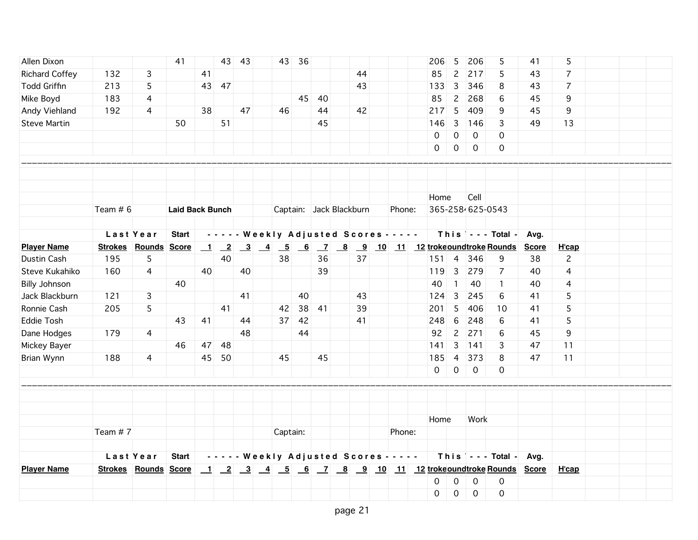| Allen Dixon           |            |                      | 41                     |                  |       | 43 43 |          | 43 36 |                         |    |                                            | 206            | 5                   | 206              | 5                               | 41           | 5              |  |  |
|-----------------------|------------|----------------------|------------------------|------------------|-------|-------|----------|-------|-------------------------|----|--------------------------------------------|----------------|---------------------|------------------|---------------------------------|--------------|----------------|--|--|
| <b>Richard Coffey</b> | 132        | 3                    |                        | 41               |       |       |          |       |                         | 44 |                                            | 85             | $\overline{c}$      | 217              | 5                               | 43           | $\overline{7}$ |  |  |
| <b>Todd Griffin</b>   | 213        | 5                    |                        |                  | 43 47 |       |          |       |                         | 43 |                                            | 133            | 3                   | 346              | 8                               | 43           | $\overline{7}$ |  |  |
| Mike Boyd             | 183        | 4                    |                        |                  |       |       |          | 45    | -40                     |    |                                            | 85             | $\overline{c}$      | 268              | 6                               | 45           | 9              |  |  |
| Andy Viehland         | 192        | 4                    |                        | 38               |       | 47    | 46       |       | 44                      | 42 |                                            | 217            | 5                   | 409              | 9                               | 45           | 9              |  |  |
| <b>Steve Martin</b>   |            |                      | 50                     |                  | 51    |       |          |       | 45                      |    |                                            | 146            | $\overline{3}$      | 146              | 3                               | 49           | 13             |  |  |
|                       |            |                      |                        |                  |       |       |          |       |                         |    |                                            | $\mathbf 0$    | $\boldsymbol{0}$    | $\mathbf 0$      | $\mathbf 0$                     |              |                |  |  |
|                       |            |                      |                        |                  |       |       |          |       |                         |    |                                            | $\mathsf{O}$   | $\mathsf{O}$        | $\mathbf 0$      | $\mathbf 0$                     |              |                |  |  |
|                       |            |                      |                        |                  |       |       |          |       |                         |    |                                            |                |                     |                  |                                 |              |                |  |  |
|                       |            |                      |                        |                  |       |       |          |       |                         |    |                                            |                |                     |                  |                                 |              |                |  |  |
|                       |            |                      |                        |                  |       |       |          |       |                         |    |                                            |                |                     |                  |                                 |              |                |  |  |
|                       |            |                      |                        |                  |       |       |          |       |                         |    |                                            | Home           |                     | Cell             |                                 |              |                |  |  |
|                       | Team $# 6$ |                      | <b>Laid Back Bunch</b> |                  |       |       |          |       | Captain: Jack Blackburn |    | Phone:                                     |                |                     | 365-258-625-0543 |                                 |              |                |  |  |
|                       |            |                      |                        |                  |       |       |          |       |                         |    |                                            |                |                     |                  |                                 |              |                |  |  |
|                       |            | Last Year            | <b>Start</b>           |                  |       |       |          |       |                         |    | - - - - - Weekly Adjusted Scores - - - - - |                |                     |                  | This $\vert$ - - - Total -      | Avg.         |                |  |  |
| <b>Player Name</b>    |            | Strokes Rounds Score |                        | $\mathbf{\perp}$ |       |       |          |       |                         |    |                                            |                |                     |                  |                                 | <b>Score</b> | H'cap          |  |  |
| Dustin Cash           | 195        | 5                    |                        |                  | 40    |       | 38       |       | 36                      | 37 |                                            | $151 \quad 4$  |                     | 346              | 9                               | 38           | $\overline{c}$ |  |  |
| Steve Kukahiko        | 160        | 4                    |                        | 40               |       | 40    |          |       | 39                      |    |                                            | 119            | $\overline{3}$      | 279              | 7                               | 40           | 4              |  |  |
| <b>Billy Johnson</b>  |            |                      | 40                     |                  |       |       |          |       |                         |    |                                            | 40             | $\overline{1}$      | 40               | $\mathbf{1}$                    | 40           | 4              |  |  |
| Jack Blackburn        | 121        | 3                    |                        |                  |       | 41    |          | 40    |                         | 43 |                                            | 124            | $\overline{3}$      | 245              | 6                               | 41           | 5              |  |  |
| Ronnie Cash           | 205        | 5                    |                        |                  | 41    |       | 42       |       | $38$ 41                 | 39 |                                            | 201            | 5                   | 406              | 10                              | 41           | 5              |  |  |
| Eddie Tosh            |            |                      | 43                     | 41               |       | 44    |          | 37 42 |                         | 41 |                                            | 248            | 6                   | 248              | 6                               | 41           | 5              |  |  |
| Dane Hodges           | 179        | 4                    |                        |                  |       | 48    |          | 44    |                         |    |                                            | 92             | $\overline{2}$      | 271              | 6                               | 45           | 9              |  |  |
| Mickey Bayer          |            |                      | 46                     | 47               | 48    |       |          |       |                         |    |                                            | 141            | 3                   | 141              | 3                               | 47           | 11             |  |  |
| Brian Wynn            | 188        | $\overline{4}$       |                        | 45               | 50    |       | 45       |       | 45                      |    |                                            | 185            | $\overline{4}$      | 373              | 8                               | 47           | 11             |  |  |
|                       |            |                      |                        |                  |       |       |          |       |                         |    |                                            | $\overline{0}$ | $\mathsf{O}\xspace$ | $\mathsf{O}$     | 0                               |              |                |  |  |
|                       |            |                      |                        |                  |       |       |          |       |                         |    |                                            |                |                     |                  |                                 |              |                |  |  |
|                       |            |                      |                        |                  |       |       |          |       |                         |    |                                            |                |                     |                  |                                 |              |                |  |  |
|                       |            |                      |                        |                  |       |       |          |       |                         |    |                                            | Home           |                     | Work             |                                 |              |                |  |  |
|                       | Team $# 7$ |                      |                        |                  |       |       | Captain: |       |                         |    | Phone:                                     |                |                     |                  |                                 |              |                |  |  |
|                       |            |                      |                        |                  |       |       |          |       |                         |    |                                            |                |                     |                  |                                 |              |                |  |  |
|                       |            | Last Year            | <b>Start</b>           |                  |       |       |          |       |                         |    | - - - - - Weekly Adjusted Scores - - - - - |                |                     |                  | This $\vert$ - - - Total - Avg. |              |                |  |  |
| <b>Player Name</b>    |            | Strokes Rounds Score |                        |                  |       |       |          |       |                         |    |                                            |                |                     |                  |                                 |              | H'cap          |  |  |
|                       |            |                      |                        |                  |       |       |          |       |                         |    |                                            | 0              | $\mathsf{O}\xspace$ | $\mathbf 0$      | $\mathbf 0$                     |              |                |  |  |
|                       |            |                      |                        |                  |       |       |          |       |                         |    |                                            | $\mathbf 0$    | $\mathsf{O}\xspace$ | $\mathbf 0$      | $\mathbf 0$                     |              |                |  |  |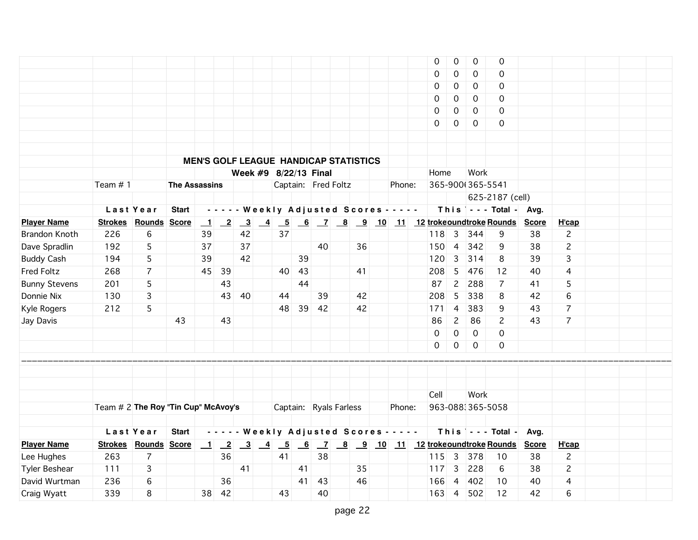|                      |                                     |                             |                      |                                              |                            |                         |                                                              |    |       |                        |    |                                            | 0                                                 | 0              | $\mathbf 0$      | 0                                      |              |                |  |  |
|----------------------|-------------------------------------|-----------------------------|----------------------|----------------------------------------------|----------------------------|-------------------------|--------------------------------------------------------------|----|-------|------------------------|----|--------------------------------------------|---------------------------------------------------|----------------|------------------|----------------------------------------|--------------|----------------|--|--|
|                      |                                     |                             |                      |                                              |                            |                         |                                                              |    |       |                        |    |                                            | 0                                                 | 0              | $\mathbf 0$      | 0                                      |              |                |  |  |
|                      |                                     |                             |                      |                                              |                            |                         |                                                              |    |       |                        |    |                                            | 0                                                 | 0              | 0                | 0                                      |              |                |  |  |
|                      |                                     |                             |                      |                                              |                            |                         |                                                              |    |       |                        |    |                                            | 0                                                 | 0              | $\mathbf 0$      | 0                                      |              |                |  |  |
|                      |                                     |                             |                      |                                              |                            |                         |                                                              |    |       |                        |    |                                            | 0                                                 | 0              | $\Omega$         | $\Omega$                               |              |                |  |  |
|                      |                                     |                             |                      |                                              |                            |                         |                                                              |    |       |                        |    |                                            | $\Omega$                                          | 0              | $\mathbf 0$      | $\Omega$                               |              |                |  |  |
|                      |                                     |                             |                      |                                              |                            |                         |                                                              |    |       |                        |    |                                            |                                                   |                |                  |                                        |              |                |  |  |
|                      |                                     |                             |                      |                                              |                            |                         |                                                              |    |       |                        |    |                                            |                                                   |                |                  |                                        |              |                |  |  |
|                      |                                     |                             |                      | <b>MEN'S GOLF LEAGUE HANDICAP STATISTICS</b> |                            |                         |                                                              |    |       |                        |    |                                            |                                                   |                |                  |                                        |              |                |  |  |
|                      |                                     |                             |                      |                                              |                            |                         | Week #9 8/22/13 Final                                        |    |       |                        |    |                                            | Home                                              |                | Work             |                                        |              |                |  |  |
|                      | Team $# 1$                          |                             | <b>The Assassins</b> |                                              |                            |                         |                                                              |    |       | Captain: Fred Foltz    |    | Phone:                                     |                                                   |                | 365-900(365-5541 |                                        |              |                |  |  |
|                      |                                     |                             |                      |                                              |                            |                         |                                                              |    |       |                        |    |                                            |                                                   |                |                  | 625-2187 (cell)                        |              |                |  |  |
|                      |                                     | Last Year                   | <b>Start</b>         |                                              |                            |                         |                                                              |    |       |                        |    | - - - - - Weekly Adjusted Scores - - - - - |                                                   |                |                  | This --- Total - Avg.                  |              |                |  |  |
| <b>Player Name</b>   |                                     | <b>Strokes Rounds Score</b> |                      | $\overline{\phantom{0}}$                     | $\overline{-2}$            | $\overline{\mathbf{3}}$ |                                                              |    |       |                        |    |                                            | <u>4 5 6 7 8 9 10 11 12 trokeoundtroke Rounds</u> |                |                  |                                        | <b>Score</b> | H'cap          |  |  |
| <b>Brandon Knoth</b> | 226                                 | 6                           |                      | 39                                           |                            | 42                      | 37                                                           |    |       |                        |    |                                            | $ 118 $ 3                                         |                | 344              | 9                                      | 38           | $\overline{c}$ |  |  |
| Dave Spradlin        | 192                                 | 5                           |                      | 37                                           |                            | 37                      |                                                              |    | 40    |                        | 36 |                                            | 150                                               | $\overline{4}$ | 342              | 9                                      | 38           | $\overline{c}$ |  |  |
| <b>Buddy Cash</b>    | 194                                 | 5                           |                      | 39                                           |                            | 42                      |                                                              | 39 |       |                        |    |                                            | 120                                               | $\mathbf{3}$   | 314              | 8                                      | 39           | 3              |  |  |
| <b>Fred Foltz</b>    | 268                                 | $\overline{7}$              |                      | 45                                           | 39                         |                         | 40                                                           | 43 |       |                        | 41 |                                            | 208                                               | 5              | 476              | 12                                     | 40           | 4              |  |  |
| <b>Bunny Stevens</b> | 201                                 | 5                           |                      |                                              | 43                         |                         |                                                              | 44 |       |                        |    |                                            | 87                                                | $\mathbf{2}$   | 288              | $\overline{7}$                         | 41           | 5              |  |  |
| Donnie Nix           | 130                                 | 3                           |                      |                                              | 43                         | - 40                    | 44                                                           |    | 39    |                        | 42 |                                            | 208                                               | 5              | 338              | 8                                      | 42           | 6              |  |  |
| Kyle Rogers          | 212                                 | 5                           |                      |                                              |                            |                         | 48                                                           |    | 39 42 |                        | 42 |                                            | 171                                               | $\overline{4}$ | 383              | 9                                      | 43           | $\overline{7}$ |  |  |
| Jay Davis            |                                     |                             | 43                   |                                              | 43                         |                         |                                                              |    |       |                        |    |                                            | 86                                                | $\overline{2}$ | 86               | $\overline{c}$                         | 43           | $\overline{7}$ |  |  |
|                      |                                     |                             |                      |                                              |                            |                         |                                                              |    |       |                        |    |                                            | $\mathbf 0$                                       | $\mathbf 0$    | $\mathbf 0$      | 0                                      |              |                |  |  |
|                      |                                     |                             |                      |                                              |                            |                         |                                                              |    |       |                        |    |                                            | 0                                                 | $\overline{0}$ | $\mathbf 0$      | 0                                      |              |                |  |  |
|                      |                                     |                             |                      |                                              |                            |                         |                                                              |    |       |                        |    |                                            |                                                   |                |                  |                                        |              |                |  |  |
|                      |                                     |                             |                      |                                              |                            |                         |                                                              |    |       |                        |    |                                            |                                                   |                |                  |                                        |              |                |  |  |
|                      |                                     |                             |                      |                                              |                            |                         |                                                              |    |       |                        |    |                                            |                                                   |                |                  |                                        |              |                |  |  |
|                      |                                     |                             |                      |                                              |                            |                         |                                                              |    |       |                        |    |                                            | Cell                                              |                | Work             |                                        |              |                |  |  |
|                      | Team # 2 The Roy "Tin Cup" McAvoy's |                             |                      |                                              |                            |                         |                                                              |    |       | Captain: Ryals Farless |    | Phone:                                     |                                                   |                | 963-0883365-5058 |                                        |              |                |  |  |
|                      |                                     | Last Year                   | <b>Start</b>         |                                              |                            |                         |                                                              |    |       |                        |    | - - - - - Weekly Adjusted Scores - - - - - |                                                   |                |                  | This $\vert \cdot \cdot \cdot$ Total - | Avg.         |                |  |  |
| <b>Player Name</b>   |                                     | <b>Strokes Rounds Score</b> |                      | $\blacksquare$                               | $\overline{\phantom{2}}^2$ |                         | $\begin{array}{ c c c c c }\n\hline\n3 & 4 & 5\n\end{array}$ |    |       |                        |    |                                            | 6 7 8 9 10 11 12 trokeoundtroke Rounds            |                |                  |                                        | <b>Score</b> | H'cap          |  |  |
| Lee Hughes           | 263                                 | $\overline{7}$              |                      |                                              | 36                         |                         | 41                                                           |    | 38    |                        |    |                                            | 115                                               | $\vert$ 3      | 378              | 10                                     | 38           | $\mathbf{2}$   |  |  |
| <b>Tyler Beshear</b> | 111                                 | 3                           |                      |                                              |                            | 41                      |                                                              | 41 |       |                        | 35 |                                            | 117                                               | $\overline{3}$ | 228              | 6                                      | 38           | 2              |  |  |
| David Wurtman        | 236                                 | 6                           |                      |                                              | 36                         |                         |                                                              | 41 | 43    |                        | 46 |                                            | 166                                               | $\overline{4}$ | 402              | 10                                     | 40           | 4              |  |  |
| Craig Wyatt          | 339                                 | 8                           |                      |                                              | 38 42                      |                         | 43                                                           |    | 40    |                        |    |                                            | $163 \quad 4$                                     |                | 502              | 12                                     | 42           | 6              |  |  |
|                      |                                     |                             |                      |                                              |                            |                         |                                                              |    |       |                        |    |                                            |                                                   |                |                  |                                        |              |                |  |  |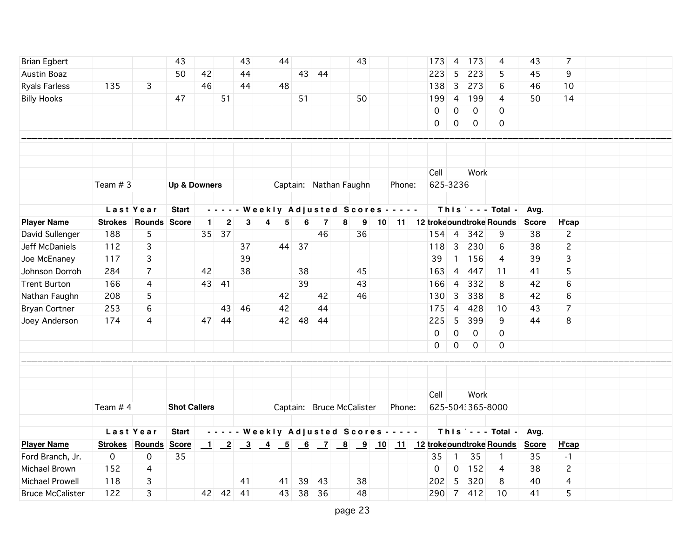| <b>Brian Egbert</b>     |            |                             | 43                      |                          |          | 43 | 44 |       |                                            | 43 |        | 173                                                   | 4                   | 173              | 4                          | 43           | 7              |  |  |
|-------------------------|------------|-----------------------------|-------------------------|--------------------------|----------|----|----|-------|--------------------------------------------|----|--------|-------------------------------------------------------|---------------------|------------------|----------------------------|--------------|----------------|--|--|
| Austin Boaz             |            |                             | 50                      | 42                       |          | 44 |    |       | 43 44                                      |    |        | 223                                                   | 5                   | 223              | 5                          | 45           | 9              |  |  |
| <b>Ryals Farless</b>    | 135        | 3                           |                         | 46                       |          | 44 | 48 |       |                                            |    |        | 138                                                   | $\overline{3}$      | 273              | 6                          | 46           | 10             |  |  |
| <b>Billy Hooks</b>      |            |                             | 47                      |                          | 51       |    |    | 51    |                                            | 50 |        | 199                                                   | $\overline{4}$      | 199              | 4                          | 50           | 14             |  |  |
|                         |            |                             |                         |                          |          |    |    |       |                                            |    |        | 0                                                     | $\mathsf{O}\xspace$ | $\mathbf 0$      | 0                          |              |                |  |  |
|                         |            |                             |                         |                          |          |    |    |       |                                            |    |        | 0                                                     | $\mathsf{O}$        | 0                | $\mathbf 0$                |              |                |  |  |
|                         |            |                             |                         |                          |          |    |    |       |                                            |    |        |                                                       |                     |                  |                            |              |                |  |  |
|                         |            |                             |                         |                          |          |    |    |       |                                            |    |        |                                                       |                     |                  |                            |              |                |  |  |
|                         |            |                             |                         |                          |          |    |    |       |                                            |    |        |                                                       |                     |                  |                            |              |                |  |  |
|                         |            |                             |                         |                          |          |    |    |       |                                            |    |        | Cell                                                  |                     | Work             |                            |              |                |  |  |
|                         | Team $#3$  |                             | <b>Up &amp; Downers</b> |                          |          |    |    |       | Captain: Nathan Faughn                     |    | Phone: | 625-3236                                              |                     |                  |                            |              |                |  |  |
|                         |            |                             |                         |                          |          |    |    |       |                                            |    |        |                                                       |                     |                  |                            |              |                |  |  |
|                         |            | Last Year                   | <b>Start</b>            |                          |          |    |    |       | - - - - - Weekly Adjusted Scores - - - - - |    |        |                                                       |                     |                  | $This$ $-$ - Total -       | Avg.         |                |  |  |
| <b>Player Name</b>      |            | <b>Strokes Rounds Score</b> |                         | $\overline{\phantom{0}}$ |          |    |    |       |                                            |    |        | <u>2 3 4 5 6 7 8 9 10 11 12 trokeoundtroke Rounds</u> |                     |                  |                            | <b>Score</b> | H'cap          |  |  |
| David Sullenger         | 188        | 5                           |                         |                          | 35 37    |    |    |       | 46                                         | 36 |        | $154$ 4                                               |                     | 342              | 9                          | 38           | $\overline{c}$ |  |  |
| Jeff McDaniels          | 112        | 3                           |                         |                          |          | 37 |    | 44 37 |                                            |    |        | 118                                                   | $\overline{3}$      | 230              | 6                          | 38           | $\overline{c}$ |  |  |
| Joe McEnaney            | 117        | 3                           |                         |                          |          | 39 |    |       |                                            |    |        | 39                                                    | $\overline{1}$      | 156              | 4                          | 39           | 3              |  |  |
| Johnson Dorroh          | 284        | $\overline{7}$              |                         | 42                       |          | 38 |    | 38    |                                            | 45 |        | 163                                                   | $\overline{4}$      | 447              | 11                         | 41           | 5              |  |  |
| <b>Trent Burton</b>     | 166        | 4                           |                         | 43                       | 41       |    |    | 39    |                                            | 43 |        | 166                                                   | $\overline{4}$      | 332              | 8                          | 42           | 6              |  |  |
| Nathan Faughn           | 208        | 5                           |                         |                          |          |    | 42 |       | 42                                         | 46 |        | 130                                                   | 3                   | 338              | 8                          | 42           | 6              |  |  |
| <b>Bryan Cortner</b>    | 253        | 6                           |                         |                          | 43       | 46 | 42 |       | 44                                         |    |        | 175                                                   | $\overline{4}$      | 428              | 10                         | 43           | $\overline{7}$ |  |  |
| Joey Anderson           | 174        | 4                           |                         | 47                       | 44       |    | 42 | 48    | 44                                         |    |        | 225                                                   | 5                   | 399              | 9                          | 44           | 8              |  |  |
|                         |            |                             |                         |                          |          |    |    |       |                                            |    |        | $\Omega$                                              | $\mathbf 0$         | $\mathbf 0$      | 0                          |              |                |  |  |
|                         |            |                             |                         |                          |          |    |    |       |                                            |    |        | $\Omega$                                              | $\mathsf{O}$        | $\mathbf 0$      | $\mathbf 0$                |              |                |  |  |
|                         |            |                             |                         |                          |          |    |    |       |                                            |    |        |                                                       |                     |                  |                            |              |                |  |  |
|                         |            |                             |                         |                          |          |    |    |       |                                            |    |        |                                                       |                     |                  |                            |              |                |  |  |
|                         |            |                             |                         |                          |          |    |    |       |                                            |    |        |                                                       |                     |                  |                            |              |                |  |  |
|                         |            |                             |                         |                          |          |    |    |       |                                            |    |        | Cell                                                  |                     | Work             |                            |              |                |  |  |
|                         | Team $# 4$ |                             | <b>Shot Callers</b>     |                          |          |    |    |       | Captain: Bruce McCalister                  |    | Phone: |                                                       |                     | 625-504:365-8000 |                            |              |                |  |  |
|                         |            |                             |                         |                          |          |    |    |       |                                            |    |        |                                                       |                     |                  |                            |              |                |  |  |
|                         |            | Last Year                   | <b>Start</b>            |                          |          |    |    |       | - - - - - Weekly Adjusted Scores - - - - - |    |        |                                                       |                     |                  | This $\vert$ - - - Total - | Avg.         |                |  |  |
| <b>Player Name</b>      |            | <b>Strokes Rounds</b>       | <b>Score</b>            |                          |          |    |    |       |                                            |    |        |                                                       |                     |                  |                            | <b>Score</b> | H'cap          |  |  |
| Ford Branch, Jr.        | 0          | 0                           | 35                      |                          |          |    |    |       |                                            |    |        | 35                                                    | $\overline{1}$      | 35               | $\mathbf{1}$               | 35           | $-1$           |  |  |
| Michael Brown           | 152        | 4                           |                         |                          |          |    |    |       |                                            |    |        | $\Omega$                                              | 0                   | $152$            | 4                          | 38           | $\mathbf{2}$   |  |  |
| Michael Prowell         | 118        | 3                           |                         |                          |          | 41 | 41 | 39    | 43                                         | 38 |        | 202                                                   | 5                   | 320              | 8                          | 40           | 4              |  |  |
| <b>Bruce McCalister</b> | 122        | 3                           |                         |                          | 42 42 41 |    | 43 |       | 38 36                                      | 48 |        |                                                       |                     | 290 7 412        | 10                         | 41           | 5              |  |  |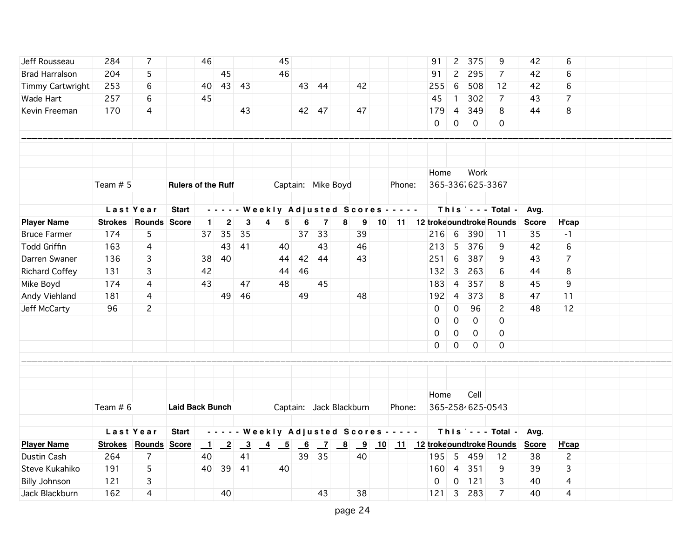| Jeff Rousseau         | 284            | 7                    |                           | 46             |                 |                         | 45                                                                  |                           |       |                         |    |                                            | 91                                          | $\overline{c}$ | 375              | 9                          | 42           | 6              |  |
|-----------------------|----------------|----------------------|---------------------------|----------------|-----------------|-------------------------|---------------------------------------------------------------------|---------------------------|-------|-------------------------|----|--------------------------------------------|---------------------------------------------|----------------|------------------|----------------------------|--------------|----------------|--|
| <b>Brad Harralson</b> | 204            | 5                    |                           |                | 45              |                         | 46                                                                  |                           |       |                         |    |                                            | 91                                          | $\overline{c}$ | 295              | $\overline{7}$             | 42           | 6              |  |
| Timmy Cartwright      | 253            | 6                    |                           | 40             |                 | 43 43                   |                                                                     |                           | 43 44 |                         | 42 |                                            | 255                                         | 6              | 508              | 12                         | 42           | 6              |  |
| Wade Hart             | 257            | 6                    |                           | 45             |                 |                         |                                                                     |                           |       |                         |    |                                            | 45                                          | $\overline{1}$ | 302              | $\overline{7}$             | 43           | $\overline{7}$ |  |
| Kevin Freeman         | 170            | 4                    |                           |                |                 | 43                      |                                                                     |                           | 42 47 |                         | 47 |                                            | 179                                         | 4              | 349              | 8                          | 44           | 8              |  |
|                       |                |                      |                           |                |                 |                         |                                                                     |                           |       |                         |    |                                            | $\mathsf{O}$                                | $\mathsf{O}$   | $\overline{0}$   | 0                          |              |                |  |
|                       |                |                      |                           |                |                 |                         |                                                                     |                           |       |                         |    |                                            |                                             |                |                  |                            |              |                |  |
|                       |                |                      |                           |                |                 |                         |                                                                     |                           |       |                         |    |                                            |                                             |                |                  |                            |              |                |  |
|                       |                |                      |                           |                |                 |                         |                                                                     |                           |       |                         |    |                                            |                                             |                |                  |                            |              |                |  |
|                       |                |                      |                           |                |                 |                         |                                                                     |                           |       |                         |    |                                            | Home                                        |                | Work             |                            |              |                |  |
|                       | Team # 5       |                      | <b>Rulers of the Ruff</b> |                |                 |                         | Captain: Mike Boyd                                                  |                           |       |                         |    | Phone:                                     |                                             |                | 365-336 625-3367 |                            |              |                |  |
|                       |                |                      |                           |                |                 |                         |                                                                     |                           |       |                         |    |                                            |                                             |                |                  |                            |              |                |  |
|                       |                | Last Year            | <b>Start</b>              |                |                 |                         |                                                                     |                           |       |                         |    | - - - - - Weekly Adjusted Scores - - - - - |                                             |                |                  | This $\vert$ - - - Total - | Avg.         |                |  |
| <b>Player Name</b>    |                | Strokes Rounds Score |                           | $\blacksquare$ | $\overline{-2}$ |                         | $\begin{array}{ c c c c c } \hline 3 & 4 & 5 \\ \hline \end{array}$ | $\underline{\phantom{0}}$ |       |                         |    |                                            | <u>7 8 9 10 11 12 trokeoundtroke Rounds</u> |                |                  |                            | <b>Score</b> | H'cap          |  |
| <b>Bruce Farmer</b>   | 174            | 5                    |                           | 37             | 35              | 35                      |                                                                     |                           | 37 33 |                         | 39 |                                            | $216$ 6                                     |                | 390              | 11                         | 35           | $-1$           |  |
| <b>Todd Griffin</b>   | 163            | 4                    |                           |                | 43              | 41                      | 40                                                                  |                           | 43    |                         | 46 |                                            | 213                                         | 5              | 376              | 9                          | 42           | 6              |  |
| Darren Swaner         | 136            | 3                    |                           | 38             | 40              |                         | 44                                                                  |                           | 42 44 |                         | 43 |                                            | 251                                         | 6              | 387              | 9                          | 43           | 7              |  |
| <b>Richard Coffey</b> | 131            | 3                    |                           | 42             |                 |                         | 44                                                                  | 46                        |       |                         |    |                                            | $132$ 3                                     |                | 263              | 6                          | 44           | 8              |  |
| Mike Boyd             | 174            | 4                    |                           | 43             |                 | 47                      | 48                                                                  |                           | 45    |                         |    |                                            | 183                                         | $\overline{4}$ | 357              | 8                          | 45           | 9              |  |
| Andy Viehland         | 181            | 4                    |                           |                |                 | 49 46                   |                                                                     | 49                        |       |                         | 48 |                                            | 192                                         | $\overline{4}$ | 373              | 8                          | 47           | 11             |  |
| Jeff McCarty          | 96             | $\overline{c}$       |                           |                |                 |                         |                                                                     |                           |       |                         |    |                                            | $\mathbf 0$                                 | $\mathsf{O}$   | 96               | $\overline{c}$             | 48           | 12             |  |
|                       |                |                      |                           |                |                 |                         |                                                                     |                           |       |                         |    |                                            | 0                                           | 0              | $\mathbf 0$      | $\mathbf 0$                |              |                |  |
|                       |                |                      |                           |                |                 |                         |                                                                     |                           |       |                         |    |                                            | 0                                           | 0              | $\mathbf 0$      | 0                          |              |                |  |
|                       |                |                      |                           |                |                 |                         |                                                                     |                           |       |                         |    |                                            | 0                                           | 0              | $\mathbf 0$      | 0                          |              |                |  |
|                       |                |                      |                           |                |                 |                         |                                                                     |                           |       |                         |    |                                            |                                             |                |                  |                            |              |                |  |
|                       |                |                      |                           |                |                 |                         |                                                                     |                           |       |                         |    |                                            |                                             |                |                  |                            |              |                |  |
|                       |                |                      |                           |                |                 |                         |                                                                     |                           |       |                         |    |                                            |                                             |                |                  |                            |              |                |  |
|                       |                |                      |                           |                |                 |                         |                                                                     |                           |       |                         |    |                                            | Home                                        |                | Cell             |                            |              |                |  |
|                       | Team # 6       |                      | <b>Laid Back Bunch</b>    |                |                 |                         |                                                                     |                           |       | Captain: Jack Blackburn |    | Phone:                                     |                                             |                | 365-2584625-0543 |                            |              |                |  |
|                       |                |                      |                           |                |                 |                         |                                                                     |                           |       |                         |    |                                            |                                             |                |                  |                            |              |                |  |
|                       |                | Last Year            | <b>Start</b>              |                |                 |                         |                                                                     |                           |       |                         |    | - - - - - Weekly Adjusted Scores - - - - - |                                             |                |                  | This $\vert$ - - - Total - | Avg.         |                |  |
| <b>Player Name</b>    | <b>Strokes</b> | Rounds Score         |                           | $\blacksquare$ | $\overline{-2}$ | $\overline{\mathbf{3}}$ | $\frac{4}{5}$ 6                                                     |                           |       |                         |    |                                            | <u>7 8 9 10 11 12 trokeoundtroke Rounds</u> |                |                  |                            | <b>Score</b> | H'cap          |  |
| Dustin Cash           | 264            | $\overline{7}$       |                           | 40             |                 | 41                      |                                                                     | 39                        | 35    |                         | 40 |                                            | 195                                         | $\overline{5}$ | 459              | 12                         | 38           | $\mathbf{2}$   |  |
| Steve Kukahiko        | 191            | 5                    |                           | 40             |                 | 39 41                   | 40                                                                  |                           |       |                         |    |                                            | 160                                         | $\overline{4}$ | 351              | 9                          | 39           | 3              |  |
| <b>Billy Johnson</b>  | 121            | 3                    |                           |                |                 |                         |                                                                     |                           |       |                         |    |                                            | $\Omega$                                    | $\overline{O}$ | $121$            | 3                          | 40           | 4              |  |
| Jack Blackburn        | 162            | 4                    |                           |                | 40              |                         |                                                                     |                           | 43    |                         | 38 |                                            | $121 \overline{\smash{\big)}\ 3}$           |                | 283              | $\overline{7}$             | 40           | 4              |  |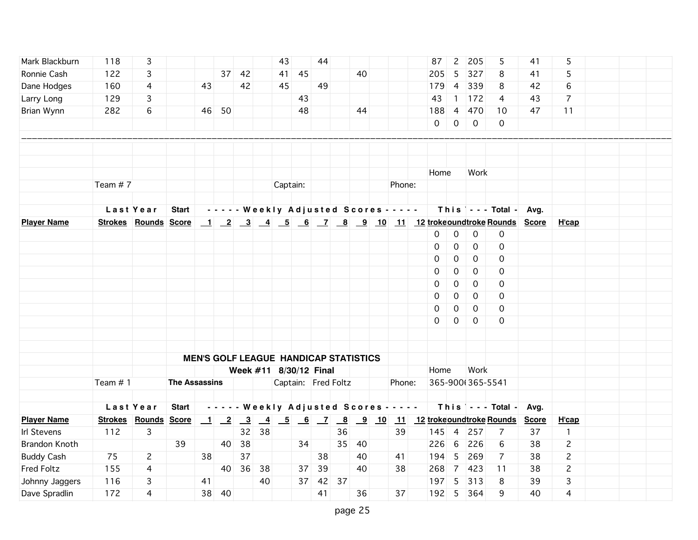| Mark Blackburn     | 118        | 3                           |                      |    |       |    |         | 43                                           |    | 44       |    |    |                                            | 87             | $\overline{c}$      | 205              | 5                                                             | 41 | 5              |  |  |
|--------------------|------------|-----------------------------|----------------------|----|-------|----|---------|----------------------------------------------|----|----------|----|----|--------------------------------------------|----------------|---------------------|------------------|---------------------------------------------------------------|----|----------------|--|--|
| Ronnie Cash        | 122        | 3                           |                      |    | 37    | 42 |         | 41                                           | 45 |          |    | 40 |                                            | 205            | 5                   | 327              | 8                                                             | 41 | 5              |  |  |
| Dane Hodges        | 160        | 4                           |                      | 43 |       | 42 |         | 45                                           |    | 49       |    |    |                                            | 179            | $\overline{4}$      | 339              | 8                                                             | 42 | 6              |  |  |
| Larry Long         | 129        | 3                           |                      |    |       |    |         |                                              | 43 |          |    |    |                                            | 43             | $\mathbf{1}$        | $172$            | 4                                                             | 43 | $\overline{7}$ |  |  |
| Brian Wynn         | 282        | 6                           |                      |    | 46 50 |    |         |                                              | 48 |          |    | 44 |                                            | 188            |                     | 4 470            | 10                                                            | 47 | 11             |  |  |
|                    |            |                             |                      |    |       |    |         |                                              |    |          |    |    |                                            | $\overline{0}$ | $\overline{0}$      | $\overline{0}$   | 0                                                             |    |                |  |  |
|                    |            |                             |                      |    |       |    |         |                                              |    |          |    |    |                                            |                |                     |                  |                                                               |    |                |  |  |
|                    |            |                             |                      |    |       |    |         |                                              |    |          |    |    |                                            |                |                     |                  |                                                               |    |                |  |  |
|                    |            |                             |                      |    |       |    |         |                                              |    |          |    |    |                                            |                |                     |                  |                                                               |    |                |  |  |
|                    |            |                             |                      |    |       |    |         |                                              |    |          |    |    |                                            | Home           |                     | Work             |                                                               |    |                |  |  |
|                    | Team #7    |                             |                      |    |       |    |         | Captain:                                     |    |          |    |    | Phone:                                     |                |                     |                  |                                                               |    |                |  |  |
|                    |            |                             |                      |    |       |    |         |                                              |    |          |    |    |                                            |                |                     |                  |                                                               |    |                |  |  |
|                    |            | Last Year                   | <b>Start</b>         |    |       |    |         |                                              |    |          |    |    | - - - - - Weekly Adjusted Scores - - - - - |                |                     |                  | This $\vert$ - - - Total - Avg.                               |    |                |  |  |
| <b>Player Name</b> |            | <b>Strokes Rounds Score</b> |                      |    |       |    |         |                                              |    |          |    |    |                                            |                |                     |                  | 1 2 3 4 5 6 7 8 9 10 11 12 trokeoundtroke Rounds Score        |    | H'cap          |  |  |
|                    |            |                             |                      |    |       |    |         |                                              |    |          |    |    |                                            | $\mathbf 0$    | $\mathbf 0$         | $\mathbf 0$      | $\mathbf 0$                                                   |    |                |  |  |
|                    |            |                             |                      |    |       |    |         |                                              |    |          |    |    |                                            | $\mathbf 0$    | $\mathbf 0$         | $\mathbf 0$      | 0                                                             |    |                |  |  |
|                    |            |                             |                      |    |       |    |         |                                              |    |          |    |    |                                            | $\mathbf 0$    | $\mathsf{O}\xspace$ | $\mathbf 0$      | $\mathbf 0$                                                   |    |                |  |  |
|                    |            |                             |                      |    |       |    |         |                                              |    |          |    |    |                                            | $\mathbf 0$    | $\mathsf{O}\xspace$ | $\mathbf 0$      | 0                                                             |    |                |  |  |
|                    |            |                             |                      |    |       |    |         |                                              |    |          |    |    |                                            | 0              | 0                   | 0                | 0                                                             |    |                |  |  |
|                    |            |                             |                      |    |       |    |         |                                              |    |          |    |    |                                            | $\Omega$       | 0                   | 0                | 0                                                             |    |                |  |  |
|                    |            |                             |                      |    |       |    |         |                                              |    |          |    |    |                                            | $\Omega$       | 0                   | 0                | 0                                                             |    |                |  |  |
|                    |            |                             |                      |    |       |    |         |                                              |    |          |    |    |                                            | $\Omega$       | 0                   | $\mathbf 0$      | $\Omega$                                                      |    |                |  |  |
|                    |            |                             |                      |    |       |    |         |                                              |    |          |    |    |                                            |                |                     |                  |                                                               |    |                |  |  |
|                    |            |                             |                      |    |       |    |         |                                              |    |          |    |    |                                            |                |                     |                  |                                                               |    |                |  |  |
|                    |            |                             |                      |    |       |    |         | <b>MEN'S GOLF LEAGUE HANDICAP STATISTICS</b> |    |          |    |    |                                            |                |                     |                  |                                                               |    |                |  |  |
|                    |            |                             |                      |    |       |    |         | Week #11 8/30/12 Final                       |    |          |    |    |                                            | Home           |                     | Work             |                                                               |    |                |  |  |
|                    | Team $# 1$ |                             | <b>The Assassins</b> |    |       |    |         | Captain: Fred Foltz                          |    |          |    |    | Phone:                                     |                |                     | 365-900(365-5541 |                                                               |    |                |  |  |
|                    |            |                             |                      |    |       |    |         |                                              |    |          |    |    |                                            |                |                     |                  |                                                               |    |                |  |  |
|                    |            | Last Year                   | <b>Start</b>         |    |       |    |         |                                              |    |          |    |    | - - - - - Weekly Adjusted Scores - - - - - |                |                     |                  | This $\vert$ - - - Total - Avg.                               |    |                |  |  |
| <b>Player Name</b> |            | <b>Strokes Rounds Score</b> |                      |    |       |    |         |                                              |    |          |    |    |                                            |                |                     |                  | <u>1 2 3 4 5 6 7 8 9 10 11 12 trokeoundtroke Rounds Score</u> |    | H'cap          |  |  |
| Irl Stevens        | 112        | 3                           |                      |    |       |    | $32$ 38 |                                              |    |          | 36 |    | 39                                         |                |                     | 145 4 257        | 7                                                             | 37 | $\mathbf{1}$   |  |  |
| Brandon Knoth      |            |                             | 39                   |    | 40    | 38 |         |                                              | 34 |          | 35 | 40 |                                            | 226            | 6                   | 226              | 6                                                             | 38 | $\mathbf{2}$   |  |  |
| <b>Buddy Cash</b>  | 75         | $\mathbf{2}$                |                      | 38 |       | 37 |         |                                              |    | 38       |    | 40 | 41                                         | 194 5          |                     | 269              | $\overline{7}$                                                | 38 | $\mathbf{2}$   |  |  |
| Fred Foltz         | 155        | 4                           |                      |    | 40    | 36 | 38      |                                              |    | 37 39    |    | 40 | 38                                         | 268            |                     | 7 423            | 11                                                            | 38 | $\mathbf{2}$   |  |  |
| Johnny Jaggers     | 116        | 3                           |                      | 41 |       |    | 40      |                                              |    | 37 42 37 |    |    |                                            | 197 5          |                     | 313              | 8                                                             | 39 | 3              |  |  |
| Dave Spradlin      | 172        | 4                           |                      |    | 38 40 |    |         |                                              |    | 41       |    | 36 | 37                                         |                |                     | 192 5 364        | 9                                                             | 40 | 4              |  |  |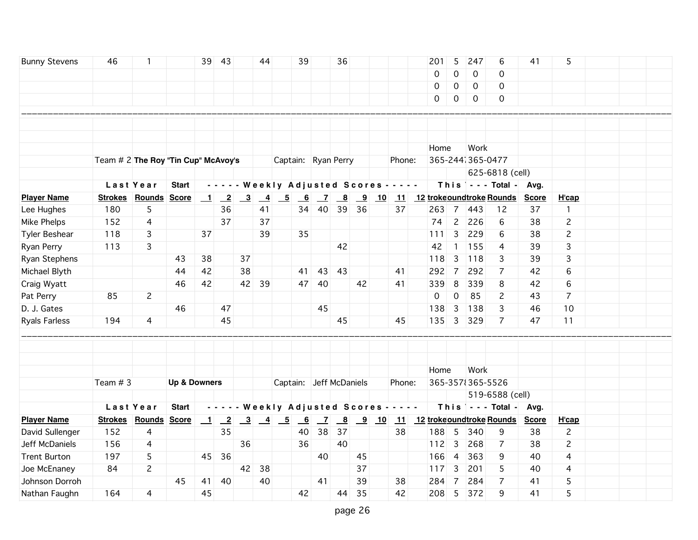| <b>Bunny Stevens</b> | 46                                    | 1                    |                         |                          | 39 43           |                         | 44             |                                                                     | 39                        |                | 36                      |                         |                                                                      |                                            | 201                          | 5                   | 247              | 6                               | 41           | 5              |  |  |
|----------------------|---------------------------------------|----------------------|-------------------------|--------------------------|-----------------|-------------------------|----------------|---------------------------------------------------------------------|---------------------------|----------------|-------------------------|-------------------------|----------------------------------------------------------------------|--------------------------------------------|------------------------------|---------------------|------------------|---------------------------------|--------------|----------------|--|--|
|                      |                                       |                      |                         |                          |                 |                         |                |                                                                     |                           |                |                         |                         |                                                                      |                                            | 0                            | $\mathbf 0$         | $\mathbf 0$      | $\Omega$                        |              |                |  |  |
|                      |                                       |                      |                         |                          |                 |                         |                |                                                                     |                           |                |                         |                         |                                                                      |                                            | 0                            | $\mathsf{O}\xspace$ | 0                | 0                               |              |                |  |  |
|                      |                                       |                      |                         |                          |                 |                         |                |                                                                     |                           |                |                         |                         |                                                                      |                                            | 0                            | 0                   | 0                | 0                               |              |                |  |  |
|                      |                                       |                      |                         |                          |                 |                         |                |                                                                     |                           |                |                         |                         |                                                                      |                                            |                              |                     |                  |                                 |              |                |  |  |
|                      |                                       |                      |                         |                          |                 |                         |                |                                                                     |                           |                |                         |                         |                                                                      |                                            |                              |                     |                  |                                 |              |                |  |  |
|                      |                                       |                      |                         |                          |                 |                         |                |                                                                     |                           |                |                         |                         |                                                                      |                                            |                              |                     |                  |                                 |              |                |  |  |
|                      |                                       |                      |                         |                          |                 |                         |                |                                                                     |                           |                |                         |                         |                                                                      |                                            | Home                         |                     | Work             |                                 |              |                |  |  |
|                      | Team $# 2$ The Roy "Tin Cup" McAvoy's |                      |                         |                          |                 |                         |                | Captain: Ryan Perry                                                 |                           |                |                         |                         |                                                                      | Phone:                                     |                              |                     | 365-2441365-0477 |                                 |              |                |  |  |
|                      |                                       |                      |                         |                          |                 |                         |                |                                                                     |                           |                |                         |                         |                                                                      |                                            |                              |                     |                  | 625-6818 (cell)                 |              |                |  |  |
|                      |                                       | Last Year            | <b>Start</b>            |                          |                 |                         |                |                                                                     |                           |                |                         |                         |                                                                      | - - - - - Weekly Adjusted Scores - - - - - |                              |                     |                  | This $\vert$ - - - Total - Avg. |              |                |  |  |
| <b>Player Name</b>   |                                       | Strokes Rounds Score |                         | $\blacksquare$           | $\overline{2}$  | $\overline{\mathbf{3}}$ | $\overline{4}$ | $\overline{-5}$                                                     | 6                         | $\overline{z}$ | $\overline{\mathbf{8}}$ | $\overline{\mathbf{9}}$ | 10                                                                   |                                            | 11 12 troke oundtroke Rounds |                     |                  |                                 | <b>Score</b> | H'cap          |  |  |
| Lee Hughes           | 180                                   | 5                    |                         |                          | 36              |                         | 41             |                                                                     | 34                        | 40             | 39                      | 36                      |                                                                      | 37                                         | 263                          | $\overline{7}$      | 443              | 12                              | 37           | $\mathbf{1}$   |  |  |
| Mike Phelps          | 152                                   | 4                    |                         |                          | 37              |                         | 37             |                                                                     |                           |                |                         |                         |                                                                      |                                            | 74                           | $\overline{2}$      | 226              | 6                               | 38           | $\mathbf{2}$   |  |  |
| Tyler Beshear        | 118                                   | 3                    |                         | 37                       |                 |                         | 39             |                                                                     | 35                        |                |                         |                         |                                                                      |                                            | 111                          | $\overline{3}$      | 229              | 6                               | 38           | 2              |  |  |
| Ryan Perry           | 113                                   | 3                    |                         |                          |                 |                         |                |                                                                     |                           |                | 42                      |                         |                                                                      |                                            | 42                           | $\mathbf{1}$        | 155              | 4                               | 39           | 3              |  |  |
| Ryan Stephens        |                                       |                      | 43                      | 38                       |                 | 37                      |                |                                                                     |                           |                |                         |                         |                                                                      |                                            | 118                          | 3                   | 118              | 3                               | 39           | 3              |  |  |
| Michael Blyth        |                                       |                      | 44                      | 42                       |                 | 38                      |                |                                                                     | 41                        | 43             | 43                      |                         |                                                                      | 41                                         | 292                          | $\overline{7}$      | 292              | $\overline{7}$                  | 42           | 6              |  |  |
| Craig Wyatt          |                                       |                      | 46                      | 42                       |                 |                         | 42 39          |                                                                     |                           | 47 40          |                         | 42                      |                                                                      | 41                                         | 339                          | 8                   | 339              | 8                               | 42           | 6              |  |  |
| Pat Perry            | 85                                    | $\mathbf{2}$         |                         |                          |                 |                         |                |                                                                     |                           |                |                         |                         |                                                                      |                                            | 0                            | 0                   | 85               | 2                               | 43           | $\overline{7}$ |  |  |
| D. J. Gates          |                                       |                      | 46                      |                          | 47              |                         |                |                                                                     |                           | 45             |                         |                         |                                                                      |                                            | 138                          | $\overline{3}$      | 138              | 3                               | 46           | 10             |  |  |
| <b>Ryals Farless</b> | 194                                   | 4                    |                         |                          | 45              |                         |                |                                                                     |                           |                | 45                      |                         |                                                                      | 45                                         | 135                          | $\overline{3}$      | 329              | $\overline{7}$                  | 47           | 11             |  |  |
|                      |                                       |                      |                         |                          |                 |                         |                |                                                                     |                           |                |                         |                         |                                                                      |                                            |                              |                     |                  |                                 |              |                |  |  |
|                      |                                       |                      |                         |                          |                 |                         |                |                                                                     |                           |                |                         |                         |                                                                      |                                            |                              |                     |                  |                                 |              |                |  |  |
|                      |                                       |                      |                         |                          |                 |                         |                |                                                                     |                           |                |                         |                         |                                                                      |                                            |                              |                     |                  |                                 |              |                |  |  |
|                      |                                       |                      |                         |                          |                 |                         |                |                                                                     |                           |                |                         |                         |                                                                      |                                            | Home                         |                     | Work             |                                 |              |                |  |  |
|                      | Team $# 3$                            |                      | <b>Up &amp; Downers</b> |                          |                 |                         |                |                                                                     |                           |                | Captain: Jeff McDaniels |                         |                                                                      | Phone:                                     |                              |                     | 365-357 365-5526 |                                 |              |                |  |  |
|                      |                                       |                      |                         |                          |                 |                         |                |                                                                     |                           |                |                         |                         |                                                                      |                                            |                              |                     |                  | 519-6588 (cell)                 |              |                |  |  |
|                      |                                       | Last Year            | <b>Start</b>            |                          |                 |                         |                |                                                                     |                           |                |                         |                         |                                                                      | - - - - - Weekly Adjusted Scores - - - - - |                              |                     |                  | This   - - - Total - Avg.       |              |                |  |  |
| <b>Player Name</b>   |                                       | Strokes Rounds Score |                         | $\overline{\phantom{0}}$ | $\overline{-2}$ |                         |                | $\begin{array}{ c c c c c } \hline 3 & 4 & 5 \\ \hline \end{array}$ | $\underline{\phantom{0}}$ | $\overline{z}$ |                         |                         | $\begin{array}{ c c c c c } \hline 8 & 9 & 10 \\ \hline \end{array}$ |                                            | 11 12 trokeoundtroke Rounds  |                     |                  |                                 | <b>Score</b> | H'cap          |  |  |
| David Sullenger      | 152                                   | 4                    |                         |                          | 35              |                         |                |                                                                     | 40                        | 38             | 37                      |                         |                                                                      | 38                                         | 188                          | 5                   | 340              | 9                               | 38           | $\mathbf{2}$   |  |  |
| Jeff McDaniels       | 156                                   | 4                    |                         |                          |                 | 36                      |                |                                                                     | 36                        |                | 40                      |                         |                                                                      |                                            | $112$                        | $\overline{3}$      | 268              | 7                               | 38           | $\overline{c}$ |  |  |
| <b>Trent Burton</b>  | 197                                   | 5                    |                         | 45                       | 36              |                         |                |                                                                     |                           | 40             |                         | 45                      |                                                                      |                                            | 166                          | $\overline{4}$      | 363              | 9                               | 40           | 4              |  |  |
| Joe McEnaney         | 84                                    | $\overline{c}$       |                         |                          |                 | 42                      | 38             |                                                                     |                           |                |                         | 37                      |                                                                      |                                            | 117                          | 3                   | 201              | 5                               | 40           | 4              |  |  |
| Johnson Dorroh       |                                       |                      | 45                      | 41                       | 40              |                         | 40             |                                                                     |                           | 41             |                         | 39                      |                                                                      | 38                                         | 284                          | $\overline{7}$      | 284              | $\overline{7}$                  | 41           | 5              |  |  |
| Nathan Faughn        | 164                                   | 4                    |                         | 45                       |                 |                         |                |                                                                     | 42                        |                | 44                      | 35                      |                                                                      | 42                                         | 208                          | 5                   | 372              | 9                               | 41           | 5              |  |  |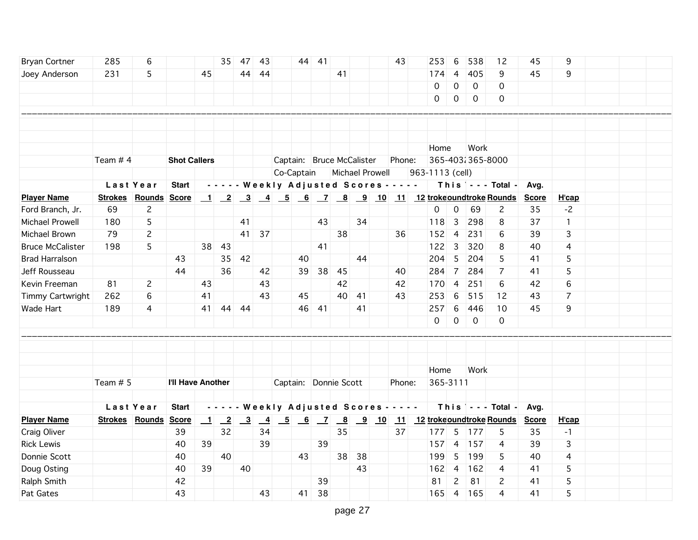| <b>Bryan Cortner</b>    | 285        | 6                    |                     |                  | 35 <sup>1</sup>          | 47                      | 43              |                                                                     | 44 41 |                                            |    | 43     | 253                                                     | 6               | 538              | 12                                     | 45           | 9            |  |  |
|-------------------------|------------|----------------------|---------------------|------------------|--------------------------|-------------------------|-----------------|---------------------------------------------------------------------|-------|--------------------------------------------|----|--------|---------------------------------------------------------|-----------------|------------------|----------------------------------------|--------------|--------------|--|--|
| Joey Anderson           | 231        | 5                    |                     | 45               |                          | 44                      | -44             |                                                                     |       | 41                                         |    |        | 174                                                     | $\overline{4}$  | 405              | 9                                      | 45           | 9            |  |  |
|                         |            |                      |                     |                  |                          |                         |                 |                                                                     |       |                                            |    |        | 0                                                       | $\mathbf 0$     | $\mathbf 0$      | 0                                      |              |              |  |  |
|                         |            |                      |                     |                  |                          |                         |                 |                                                                     |       |                                            |    |        | 0                                                       | 0               | $\mathbf 0$      | 0                                      |              |              |  |  |
|                         |            |                      |                     |                  |                          |                         |                 |                                                                     |       |                                            |    |        |                                                         |                 |                  |                                        |              |              |  |  |
|                         |            |                      |                     |                  |                          |                         |                 |                                                                     |       |                                            |    |        |                                                         |                 |                  |                                        |              |              |  |  |
|                         |            |                      |                     |                  |                          |                         |                 |                                                                     |       |                                            |    |        |                                                         |                 |                  |                                        |              |              |  |  |
|                         |            |                      |                     |                  |                          |                         |                 |                                                                     |       |                                            |    |        | Home                                                    |                 | Work             |                                        |              |              |  |  |
|                         | Team $# 4$ |                      | <b>Shot Callers</b> |                  |                          |                         |                 |                                                                     |       | Captain: Bruce McCalister                  |    | Phone: |                                                         |                 | 365-403 365-8000 |                                        |              |              |  |  |
|                         |            |                      |                     |                  |                          |                         |                 | Co-Captain                                                          |       | Michael Prowell                            |    |        | 963-1113 (cell)                                         |                 |                  |                                        |              |              |  |  |
|                         |            | Last Year            | <b>Start</b>        |                  |                          |                         |                 |                                                                     |       | - - - - - Weekly Adjusted Scores - - - - - |    |        |                                                         |                 |                  | This $\vert$ - - - Total -             | Avg.         |              |  |  |
| <b>Player Name</b>      |            | Strokes Rounds Score |                     |                  |                          |                         |                 |                                                                     |       |                                            |    |        | <u>1 2 3 4 5 6 7 8 9 10 11 12 trokeoundtroke Rounds</u> |                 |                  |                                        | <b>Score</b> | H'cap        |  |  |
| Ford Branch, Jr.        | 69         | $\overline{c}$       |                     |                  |                          |                         |                 |                                                                     |       |                                            |    |        | $\mathsf{O}$                                            | $\overline{0}$  | 69               | 2                                      | 35           | $-2$         |  |  |
| Michael Prowell         | 180        | 5                    |                     |                  |                          | 41                      |                 |                                                                     | 43    |                                            | 34 |        | 118                                                     | 3               | 298              | 8                                      | 37           | $\mathbf{1}$ |  |  |
| Michael Brown           | 79         | $\overline{c}$       |                     |                  |                          | 41                      | 37              |                                                                     |       | 38                                         |    | 36     | 152                                                     | $\overline{4}$  | 231              | 6                                      | 39           | 3            |  |  |
| <b>Bruce McCalister</b> | 198        | 5                    |                     | 38               | 43                       |                         |                 |                                                                     | 41    |                                            |    |        | 122                                                     | $\overline{3}$  | 320              | 8                                      | 40           | 4            |  |  |
| <b>Brad Harralson</b>   |            |                      | 43                  |                  | 35                       | 42                      |                 | 40                                                                  |       |                                            | 44 |        | 204                                                     | 5               | 204              | 5                                      | 41           | 5            |  |  |
| Jeff Rousseau           |            |                      | 44                  |                  | 36                       |                         | 42              | 39                                                                  | 38    | 45                                         |    | 40     | 284                                                     | $\overline{7}$  | 284              | 7                                      | 41           | 5            |  |  |
| Kevin Freeman           | 81         | $\overline{c}$       |                     | 43               |                          |                         | 43              |                                                                     |       | 42                                         |    | 42     | 170                                                     | $\overline{4}$  | 251              | 6                                      | 42           | 6            |  |  |
| Timmy Cartwright        | 262        | 6                    |                     | 41               |                          |                         | 43              | 45                                                                  |       | 40                                         | 41 | 43     | 253                                                     | 6               | 515              | 12                                     | 43           | 7            |  |  |
| Wade Hart               | 189        | 4                    |                     | 41               |                          | 44 44                   |                 |                                                                     | 46 41 |                                            | 41 |        | 257                                                     | $6\phantom{.}6$ | 446              | 10                                     | 45           | 9            |  |  |
|                         |            |                      |                     |                  |                          |                         |                 |                                                                     |       |                                            |    |        | 0                                                       | $\mathsf{O}$    | $\mathbf 0$      | 0                                      |              |              |  |  |
|                         |            |                      |                     |                  |                          |                         |                 |                                                                     |       |                                            |    |        |                                                         |                 |                  |                                        |              |              |  |  |
|                         |            |                      |                     |                  |                          |                         |                 |                                                                     |       |                                            |    |        |                                                         |                 |                  |                                        |              |              |  |  |
|                         |            |                      |                     |                  |                          |                         |                 |                                                                     |       |                                            |    |        |                                                         |                 |                  |                                        |              |              |  |  |
|                         |            |                      |                     |                  |                          |                         |                 |                                                                     |       |                                            |    |        | Home                                                    |                 | Work             |                                        |              |              |  |  |
|                         | Team $# 5$ |                      | I'll Have Another   |                  |                          |                         |                 |                                                                     |       | Captain: Donnie Scott                      |    | Phone: | 365-3111                                                |                 |                  |                                        |              |              |  |  |
|                         |            |                      |                     |                  |                          |                         |                 |                                                                     |       |                                            |    |        |                                                         |                 |                  |                                        |              |              |  |  |
|                         |            | Last Year            | <b>Start</b>        |                  | - - - - -                |                         |                 |                                                                     |       | Weekly Adjusted Scores - - - - -           |    |        |                                                         |                 |                  | This $\vert \cdot \cdot \cdot$ Total - | Avg.         |              |  |  |
| <b>Player Name</b>      |            | Strokes Rounds Score |                     | $\mathbf{\perp}$ | $\overline{\phantom{2}}$ | $\overline{\mathbf{3}}$ | $\overline{-4}$ | $\begin{array}{ c c c c c } \hline 5 & 6 & 7 \\ \hline \end{array}$ |       |                                            |    |        | 8 9 10 11 12 trokeoundtroke Rounds                      |                 |                  |                                        | <b>Score</b> | H'cap        |  |  |
| Craig Oliver            |            |                      | 39                  |                  | 32                       |                         | 34              |                                                                     |       | 35                                         |    | 37     |                                                         |                 | $ 177 $ 5   177  | 5                                      | 35           | $-1$         |  |  |
| <b>Rick Lewis</b>       |            |                      | 40                  | 39               |                          |                         | 39              |                                                                     | 39    |                                            |    |        | $157$ 4                                                 |                 | 157              | 4                                      | 39           | 3            |  |  |
| Donnie Scott            |            |                      | 40                  |                  | 40                       |                         |                 | 43                                                                  |       | 38                                         | 38 |        | 199                                                     | 5               | 199              | 5                                      | 40           | 4            |  |  |
| Doug Osting             |            |                      | 40                  | 39               |                          | 40                      |                 |                                                                     |       |                                            | 43 |        | 162                                                     | $\overline{4}$  | 162              | 4                                      | 41           | 5            |  |  |
| Ralph Smith             |            |                      | 42                  |                  |                          |                         |                 |                                                                     | 39    |                                            |    |        | 81                                                      | $\mathbf{2}$    | 81               | 2                                      | 41           | 5            |  |  |
| Pat Gates               |            |                      | 43                  |                  |                          |                         | 43              | 41                                                                  | 38    |                                            |    |        |                                                         |                 | 165 4 165        | 4                                      | 41           | 5            |  |  |
|                         |            |                      |                     |                  |                          |                         |                 |                                                                     |       |                                            |    |        |                                                         |                 |                  |                                        |              |              |  |  |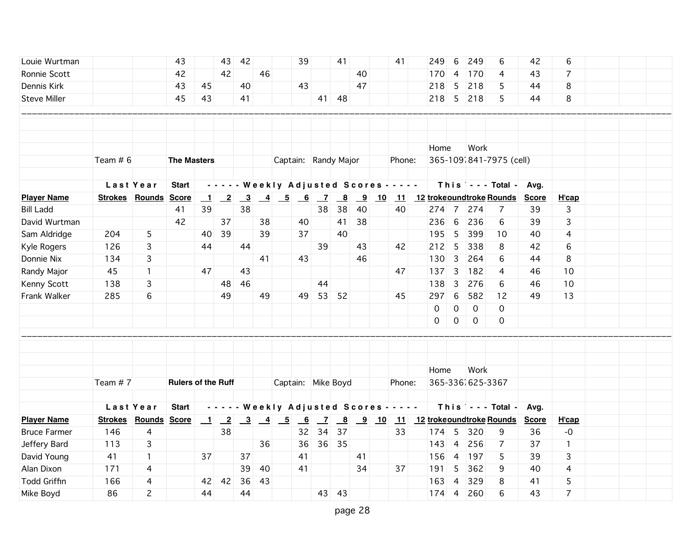| Louie Wurtman       |            |                             | 43                        |                          | 43 | 42                                                          |    |                                                                                 | 39 |       | 41                                                                                                                                        |    | 41                                         | 249  | 6               | 249              | 6                               | 42           | 6              |  |
|---------------------|------------|-----------------------------|---------------------------|--------------------------|----|-------------------------------------------------------------|----|---------------------------------------------------------------------------------|----|-------|-------------------------------------------------------------------------------------------------------------------------------------------|----|--------------------------------------------|------|-----------------|------------------|---------------------------------|--------------|----------------|--|
| Ronnie Scott        |            |                             | 42                        |                          | 42 |                                                             | 46 |                                                                                 |    |       |                                                                                                                                           | 40 |                                            | 170  | $\overline{4}$  | 170              | 4                               | 43           | 7              |  |
| Dennis Kirk         |            |                             | 43                        | 45                       |    | 40                                                          |    |                                                                                 | 43 |       |                                                                                                                                           | 47 |                                            | 218  | $5\overline{5}$ | 218              | 5                               | 44           | 8              |  |
| <b>Steve Miller</b> |            |                             | 45                        | 43                       |    | 41                                                          |    |                                                                                 |    | 41    | 48                                                                                                                                        |    |                                            |      | 218 5           | 218              | 5                               | 44           | 8              |  |
|                     |            |                             |                           |                          |    |                                                             |    |                                                                                 |    |       |                                                                                                                                           |    |                                            |      |                 |                  |                                 |              |                |  |
|                     |            |                             |                           |                          |    |                                                             |    |                                                                                 |    |       |                                                                                                                                           |    |                                            |      |                 |                  |                                 |              |                |  |
|                     |            |                             |                           |                          |    |                                                             |    |                                                                                 |    |       |                                                                                                                                           |    |                                            |      |                 |                  |                                 |              |                |  |
|                     |            |                             |                           |                          |    |                                                             |    |                                                                                 |    |       |                                                                                                                                           |    |                                            | Home |                 | Work             |                                 |              |                |  |
|                     | Team $# 6$ |                             | <b>The Masters</b>        |                          |    |                                                             |    | Captain: Randy Major                                                            |    |       |                                                                                                                                           |    | Phone:                                     |      |                 |                  | 365-1091841-7975 (cell)         |              |                |  |
|                     |            |                             |                           |                          |    |                                                             |    |                                                                                 |    |       |                                                                                                                                           |    |                                            |      |                 |                  |                                 |              |                |  |
|                     |            | Last Year                   | <b>Start</b>              |                          |    |                                                             |    |                                                                                 |    |       |                                                                                                                                           |    | - - - - - Weekly Adjusted Scores - - - - - |      |                 |                  | This $\vert$ - - - Total - Avg. |              |                |  |
| <b>Player Name</b>  |            | <b>Strokes Rounds Score</b> |                           | $\overline{\phantom{0}}$ |    | $\begin{array}{ c c c } \hline 2 & 3 \\ \hline \end{array}$ |    |                                                                                 |    |       |                                                                                                                                           |    |                                            |      |                 |                  | 11 12 trokeoundtroke Rounds     | <b>Score</b> | H'cap          |  |
| <b>Bill Ladd</b>    |            |                             | 41                        | 39                       |    | 38                                                          |    |                                                                                 |    | 38    | 38                                                                                                                                        | 40 | 40                                         |      |                 | 274 7 274        | 7                               | 39           | 3              |  |
| David Wurtman       |            |                             | 42                        |                          | 37 |                                                             | 38 |                                                                                 | 40 |       | 41                                                                                                                                        | 38 |                                            | 236  | 6               | 236              | 6                               | 39           | 3              |  |
| Sam Aldridge        | 204        | 5                           |                           | 40                       | 39 |                                                             | 39 |                                                                                 | 37 |       | 40                                                                                                                                        |    |                                            | 195  | 5               | 399              | 10                              | 40           | 4              |  |
| Kyle Rogers         | 126        | 3                           |                           | 44                       |    | 44                                                          |    |                                                                                 |    | 39    |                                                                                                                                           | 43 | 42                                         |      | $212$ 5         | 338              | 8                               | 42           | 6              |  |
| Donnie Nix          | 134        | 3                           |                           |                          |    |                                                             | 41 |                                                                                 | 43 |       |                                                                                                                                           | 46 |                                            | 130  | $\overline{3}$  | 264              | 6                               | 44           | 8              |  |
| Randy Major         | 45         | $\mathbf{1}$                |                           | 47                       |    | 43                                                          |    |                                                                                 |    |       |                                                                                                                                           |    | 47                                         |      | $ 137 $ 3       | 182              | 4                               | 46           | 10             |  |
| Kenny Scott         | 138        | 3                           |                           |                          |    | 48 46                                                       |    |                                                                                 |    | 44    |                                                                                                                                           |    |                                            | 138  | $\overline{3}$  | 276              | 6                               | 46           | 10             |  |
| Frank Walker        | 285        | 6                           |                           |                          | 49 |                                                             | 49 |                                                                                 |    | 49 53 | 52                                                                                                                                        |    | 45                                         | 297  | 6               | 582              | 12                              | 49           | 13             |  |
|                     |            |                             |                           |                          |    |                                                             |    |                                                                                 |    |       |                                                                                                                                           |    |                                            | 0    | 0               | $\mathbf 0$      | 0                               |              |                |  |
|                     |            |                             |                           |                          |    |                                                             |    |                                                                                 |    |       |                                                                                                                                           |    |                                            | 0    | $\mathbf 0$     | $\mathbf 0$      | 0                               |              |                |  |
|                     |            |                             |                           |                          |    |                                                             |    |                                                                                 |    |       |                                                                                                                                           |    |                                            |      |                 |                  |                                 |              |                |  |
|                     |            |                             |                           |                          |    |                                                             |    |                                                                                 |    |       |                                                                                                                                           |    |                                            |      |                 |                  |                                 |              |                |  |
|                     |            |                             |                           |                          |    |                                                             |    |                                                                                 |    |       |                                                                                                                                           |    |                                            |      |                 |                  |                                 |              |                |  |
|                     |            |                             |                           |                          |    |                                                             |    |                                                                                 |    |       |                                                                                                                                           |    |                                            | Home |                 | Work             |                                 |              |                |  |
|                     | Team $# 7$ |                             | <b>Rulers of the Ruff</b> |                          |    |                                                             |    | Captain: Mike Boyd                                                              |    |       |                                                                                                                                           |    | Phone:                                     |      |                 | 365-336 625-3367 |                                 |              |                |  |
|                     |            |                             |                           |                          |    |                                                             |    |                                                                                 |    |       |                                                                                                                                           |    |                                            |      |                 |                  |                                 |              |                |  |
|                     |            | Last Year                   | <b>Start</b>              |                          |    |                                                             |    |                                                                                 |    |       |                                                                                                                                           |    | - - - - - Weekly Adjusted Scores - - - - - |      |                 |                  | This $\vert$ - - - Total -      | Avg.         |                |  |
| <b>Player Name</b>  |            | Strokes Rounds Score        |                           | $\overline{\phantom{0}}$ |    |                                                             |    | $\begin{array}{ c c c c c c c c c } \hline 2 & 3 & 4 & 5 \\ \hline \end{array}$ | 6  |       | $\begin{array}{ c c c c c c } \hline \rule{0pt}{1em} 7 & \rule{0pt}{1em} 8 & \rule{0pt}{1em} 9 & \rule{0pt}{1em} 10 \\\hline \end{array}$ |    |                                            |      |                 |                  | 11 12 trokeoundtroke Rounds     | <b>Score</b> | H'cap          |  |
| <b>Bruce Farmer</b> | 146        | 4                           |                           |                          | 38 |                                                             |    |                                                                                 |    | 32 34 | 37                                                                                                                                        |    | 33                                         |      | 174 5           | 320              | 9                               | 36           | $-o$           |  |
| Jeffery Bard        | 113        | 3                           |                           |                          |    |                                                             | 36 |                                                                                 | 36 |       | 36 35                                                                                                                                     |    |                                            | 143  | $\overline{4}$  | 256              | 7                               | 37           | $\mathbf{1}$   |  |
| David Young         | 41         | $\mathbf{1}$                |                           | 37                       |    | 37                                                          |    |                                                                                 | 41 |       |                                                                                                                                           | 41 |                                            | 156  | $\overline{4}$  | 197              | 5                               | 39           | 3              |  |
| Alan Dixon          | 171        | 4                           |                           |                          |    | 39                                                          | 40 |                                                                                 | 41 |       |                                                                                                                                           | 34 | 37                                         | 191  | 5               | 362              | 9                               | 40           | 4              |  |
| <b>Todd Griffin</b> | 166        | 4                           |                           | 42                       | 42 | 36                                                          | 43 |                                                                                 |    |       |                                                                                                                                           |    |                                            | 163  | $\overline{4}$  | 329              | 8                               | 41           | 5              |  |
| Mike Boyd           | 86         | $\mathbf{2}$                |                           | 44                       |    | 44                                                          |    |                                                                                 |    |       | 43 43                                                                                                                                     |    |                                            |      | $174$ 4         | 260              | 6                               | 43           | $\overline{7}$ |  |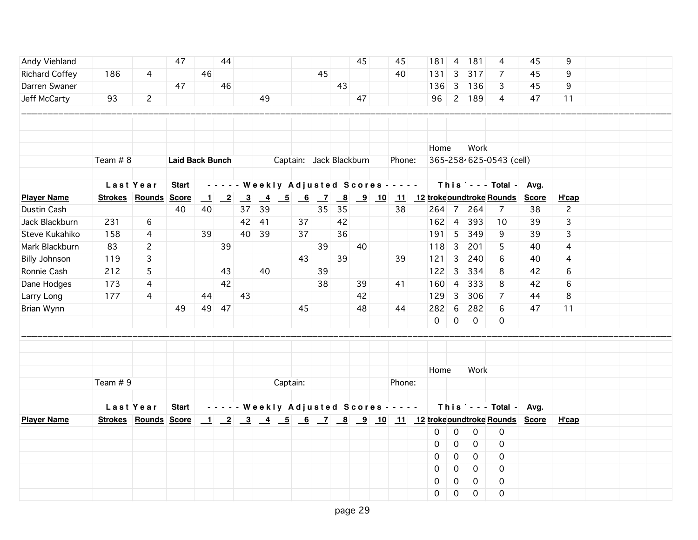| Andy Viehland         |                      |                | 47                     |                | 44                        |                         |                 |          |      |                |                         | 45 | 45                                         | 181                                                    | $\overline{4}$          | $\boxed{181}$ | 4                         | 45 | 9              |  |  |
|-----------------------|----------------------|----------------|------------------------|----------------|---------------------------|-------------------------|-----------------|----------|------|----------------|-------------------------|----|--------------------------------------------|--------------------------------------------------------|-------------------------|---------------|---------------------------|----|----------------|--|--|
| <b>Richard Coffey</b> | 186                  | 4              |                        | 46             |                           |                         |                 |          |      | 45             |                         |    | 40                                         | 131                                                    | 3                       | 317           | $\overline{7}$            | 45 | 9              |  |  |
| Darren Swaner         |                      |                | 47                     |                | 46                        |                         |                 |          |      |                | 43                      |    |                                            | 136                                                    | $\overline{\mathbf{3}}$ | 136           | 3                         | 45 | 9              |  |  |
| Jeff McCarty          | 93                   | $\mathbf{2}$   |                        |                |                           |                         | 49              |          |      |                |                         | 47 |                                            | 96                                                     |                         | 2 189         | 4                         | 47 | 11             |  |  |
|                       |                      |                |                        |                |                           |                         |                 |          |      |                |                         |    |                                            |                                                        |                         |               |                           |    |                |  |  |
|                       |                      |                |                        |                |                           |                         |                 |          |      |                |                         |    |                                            |                                                        |                         |               |                           |    |                |  |  |
|                       |                      |                |                        |                |                           |                         |                 |          |      |                |                         |    |                                            |                                                        |                         |               |                           |    |                |  |  |
|                       |                      |                |                        |                |                           |                         |                 |          |      |                |                         |    |                                            | Home                                                   |                         | Work          |                           |    |                |  |  |
|                       | Team # 8             |                | <b>Laid Back Bunch</b> |                |                           |                         |                 |          |      |                | Captain: Jack Blackburn |    | Phone:                                     |                                                        |                         |               | 365-2584625-0543 (cell)   |    |                |  |  |
|                       |                      |                |                        |                |                           |                         |                 |          |      |                |                         |    |                                            |                                                        |                         |               |                           |    |                |  |  |
|                       |                      | Last Year      | <b>Start</b>           |                |                           |                         |                 |          |      |                |                         |    | - - - - - Weekly Adjusted Scores - - - - - |                                                        |                         |               | This --- Total - Avg.     |    |                |  |  |
| <b>Player Name</b>    | Strokes Rounds Score |                |                        | $\blacksquare$ | $\overline{\phantom{0}2}$ | $\overline{\mathbf{3}}$ | $\overline{-4}$ | $-5$     | $-6$ | $\overline{z}$ |                         |    |                                            | 8 9 10 11 12 trokeoundtroke Rounds Score               |                         |               |                           |    | H'cap          |  |  |
| Dustin Cash           |                      |                | 40                     | 40             |                           | 37                      | 39              |          |      | 35             | 35                      |    | 38                                         |                                                        |                         | 264 7 264     | 7                         | 38 | $\overline{c}$ |  |  |
| Jack Blackburn        | 231                  | 6              |                        |                |                           | 42                      | 41              |          | 37   |                | 42                      |    |                                            |                                                        | $162$ 4                 | 393           | 10                        | 39 | 3              |  |  |
| Steve Kukahiko        | 158                  | $\overline{4}$ |                        | 39             |                           | 40                      | 39              |          | 37   |                | 36                      |    |                                            | 191                                                    | $\overline{5}$          | 349           | 9                         | 39 | 3              |  |  |
| Mark Blackburn        | 83                   | $\overline{c}$ |                        |                | 39                        |                         |                 |          |      | 39             |                         | 40 |                                            | 118                                                    | $\overline{\mathbf{3}}$ | 201           | 5                         | 40 | 4              |  |  |
| <b>Billy Johnson</b>  | 119                  | 3              |                        |                |                           |                         |                 |          | 43   |                | 39                      |    | 39                                         | $121 \quad 3$                                          |                         | 240           | 6                         | 40 | 4              |  |  |
| Ronnie Cash           | 212                  | 5              |                        |                | 43                        |                         | 40              |          |      | 39             |                         |    |                                            | 122                                                    | $\overline{\mathbf{3}}$ | 334           | 8                         | 42 | 6              |  |  |
| Dane Hodges           | 173                  | 4              |                        |                | 42                        |                         |                 |          |      | 38             |                         | 39 | 41                                         | 160                                                    | $\vert$ 4               | 333           | 8                         | 42 | 6              |  |  |
| Larry Long            | 177                  | 4              |                        | 44             |                           | 43                      |                 |          |      |                |                         | 42 |                                            | 129                                                    | $\overline{3}$          | 306           | $\overline{7}$            | 44 | 8              |  |  |
| Brian Wynn            |                      |                | 49                     | 49             | 47                        |                         |                 |          | 45   |                |                         | 48 | 44                                         | 282                                                    | 6                       | 282           | 6                         | 47 | 11             |  |  |
|                       |                      |                |                        |                |                           |                         |                 |          |      |                |                         |    |                                            | $\overline{0}$                                         | $\mathbf 0$             | $\mathbf 0$   | 0                         |    |                |  |  |
|                       |                      |                |                        |                |                           |                         |                 |          |      |                |                         |    |                                            |                                                        |                         |               |                           |    |                |  |  |
|                       |                      |                |                        |                |                           |                         |                 |          |      |                |                         |    |                                            |                                                        |                         |               |                           |    |                |  |  |
|                       |                      |                |                        |                |                           |                         |                 |          |      |                |                         |    |                                            |                                                        |                         |               |                           |    |                |  |  |
|                       |                      |                |                        |                |                           |                         |                 |          |      |                |                         |    |                                            | Home                                                   |                         | Work          |                           |    |                |  |  |
|                       | Team $# 9$           |                |                        |                |                           |                         |                 | Captain: |      |                |                         |    | Phone:                                     |                                                        |                         |               |                           |    |                |  |  |
|                       |                      |                |                        |                |                           |                         |                 |          |      |                |                         |    |                                            |                                                        |                         |               |                           |    |                |  |  |
|                       | Last Year            |                | <b>Start</b>           |                |                           |                         |                 |          |      |                |                         |    | - - - - - Weekly Adjusted Scores - - - - - |                                                        |                         |               | This   - - - Total - Avg. |    |                |  |  |
| <b>Player Name</b>    | Strokes Rounds Score |                |                        |                |                           |                         |                 |          |      |                |                         |    |                                            | 1 2 3 4 5 6 7 8 9 10 11 12 trokeoundtroke Rounds Score |                         |               |                           |    | H'cap          |  |  |
|                       |                      |                |                        |                |                           |                         |                 |          |      |                |                         |    |                                            | 0                                                      | $\mathsf{O}\xspace$     | 0             | $\boldsymbol{0}$          |    |                |  |  |
|                       |                      |                |                        |                |                           |                         |                 |          |      |                |                         |    |                                            | 0                                                      | 0                       | $\mathbf 0$   | $\mathbf 0$               |    |                |  |  |
|                       |                      |                |                        |                |                           |                         |                 |          |      |                |                         |    |                                            | 0                                                      | 0                       | $\mathbf 0$   | $\mathbf 0$               |    |                |  |  |
|                       |                      |                |                        |                |                           |                         |                 |          |      |                |                         |    |                                            | 0                                                      | 0                       | $\mathbf 0$   | 0                         |    |                |  |  |
|                       |                      |                |                        |                |                           |                         |                 |          |      |                |                         |    |                                            | 0                                                      | 0                       | 0             | 0                         |    |                |  |  |
|                       |                      |                |                        |                |                           |                         |                 |          |      |                |                         |    |                                            | 0                                                      | 0                       | $\mathbf 0$   | $\mathbf 0$               |    |                |  |  |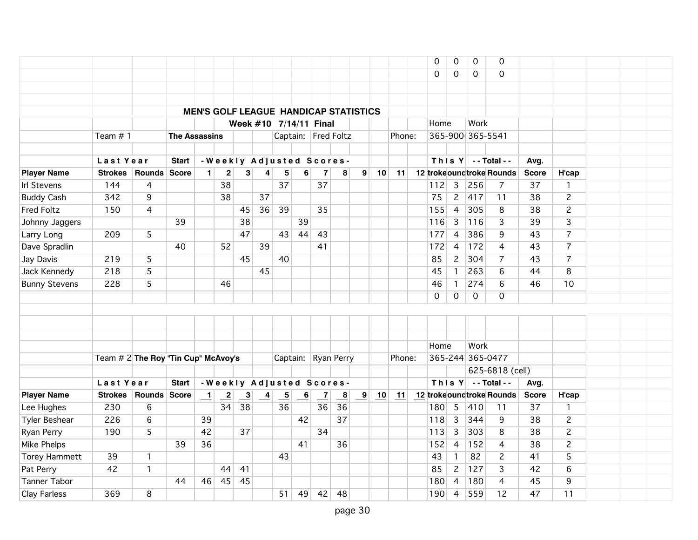|                      |                                        |              |                      |                          |                         |                         |               |                           |                          |                          |                                              |                         |    |        | 0        | 0               | $\mathbf 0$      | $\mathbf 0$               |              |                |  |  |
|----------------------|----------------------------------------|--------------|----------------------|--------------------------|-------------------------|-------------------------|---------------|---------------------------|--------------------------|--------------------------|----------------------------------------------|-------------------------|----|--------|----------|-----------------|------------------|---------------------------|--------------|----------------|--|--|
|                      |                                        |              |                      |                          |                         |                         |               |                           |                          |                          |                                              |                         |    |        | $\Omega$ | 0               | $\mathbf 0$      | 0                         |              |                |  |  |
|                      |                                        |              |                      |                          |                         |                         |               |                           |                          |                          |                                              |                         |    |        |          |                 |                  |                           |              |                |  |  |
|                      |                                        |              |                      |                          |                         |                         |               |                           |                          |                          |                                              |                         |    |        |          |                 |                  |                           |              |                |  |  |
|                      |                                        |              |                      |                          |                         |                         |               |                           |                          |                          | <b>MEN'S GOLF LEAGUE HANDICAP STATISTICS</b> |                         |    |        |          |                 |                  |                           |              |                |  |  |
|                      |                                        |              |                      |                          |                         |                         |               |                           |                          | Week #10 7/14/11 Final   |                                              |                         |    |        | Home     |                 | Work             |                           |              |                |  |  |
|                      | Team $# 1$                             |              | <b>The Assassins</b> |                          |                         |                         |               |                           |                          |                          | Captain: Fred Foltz                          |                         |    | Phone: |          |                 | 365-900 365-5541 |                           |              |                |  |  |
|                      |                                        |              |                      |                          |                         |                         |               |                           |                          |                          |                                              |                         |    |        |          |                 |                  |                           |              |                |  |  |
|                      | Last Year                              |              | <b>Start</b>         |                          |                         |                         |               |                           |                          |                          | -Weekly Adjusted Scores-                     |                         |    |        |          |                 |                  | This $Y$ --Total--        | Avg.         |                |  |  |
| <b>Player Name</b>   | <b>Strokes</b>                         | Rounds Score |                      | $\blacksquare$           | $\mathbf{2}$            | 3 <sup>1</sup>          | 4             | 5                         | 6                        | $\overline{7}$           | 8                                            | 9                       | 10 | 11     |          |                 |                  | 12 trokeoundtroke Rounds  | <b>Score</b> | H'cap          |  |  |
| <b>Irl Stevens</b>   | 144                                    | 4            |                      |                          | 38                      |                         |               | 37                        |                          | 37                       |                                              |                         |    |        | 112      | $\overline{3}$  | 256              | $\overline{7}$            | 37           | $\mathbf{1}$   |  |  |
| <b>Buddy Cash</b>    | 342                                    | 9            |                      |                          | 38                      |                         | 37            |                           |                          |                          |                                              |                         |    |        | 75       | $\overline{2}$  | 417              | 11                        | 38           | $\overline{c}$ |  |  |
| <b>Fred Foltz</b>    | 150                                    | 4            |                      |                          |                         | 45                      | 36            | 39                        |                          | 35                       |                                              |                         |    |        | 155      | $\overline{4}$  | 305              | 8                         | 38           | $\overline{c}$ |  |  |
| Johnny Jaggers       |                                        |              | 39                   |                          |                         | 38                      |               |                           | 39                       |                          |                                              |                         |    |        | 116      | $\overline{3}$  | 116              | 3                         | 39           | $\overline{3}$ |  |  |
| Larry Long           | 209                                    | 5            |                      |                          |                         | 47                      |               | 43                        | 44                       | 43                       |                                              |                         |    |        | 177      | $\overline{4}$  | 386              | 9                         | 43           | $\overline{7}$ |  |  |
| Dave Spradlin        |                                        |              | 40                   |                          | 52                      |                         | 39            |                           |                          | 41                       |                                              |                         |    |        | 172      | 4               | 172              | 4                         | 43           | $\overline{7}$ |  |  |
| Jay Davis            | 219                                    | 5            |                      |                          |                         | 45                      |               | 40                        |                          |                          |                                              |                         |    |        | 85       | $\mathbf{2}$    | 304              | $\overline{7}$            | 43           | $\overline{7}$ |  |  |
| Jack Kennedy         | 218                                    | 5            |                      |                          |                         |                         | 45            |                           |                          |                          |                                              |                         |    |        | 45       | $\mathbf{1}$    | 263              | 6                         | 44           | 8              |  |  |
| <b>Bunny Stevens</b> | 228                                    | 5            |                      |                          | 46                      |                         |               |                           |                          |                          |                                              |                         |    |        | 46       | $\mathbf{1}$    | 274              | 6                         | 46           | 10             |  |  |
|                      |                                        |              |                      |                          |                         |                         |               |                           |                          |                          |                                              |                         |    |        | $\Omega$ | $\Omega$        | $\mathbf 0$      | 0                         |              |                |  |  |
|                      |                                        |              |                      |                          |                         |                         |               |                           |                          |                          |                                              |                         |    |        |          |                 |                  |                           |              |                |  |  |
|                      |                                        |              |                      |                          |                         |                         |               |                           |                          |                          |                                              |                         |    |        |          |                 |                  |                           |              |                |  |  |
|                      |                                        |              |                      |                          |                         |                         |               |                           |                          |                          |                                              |                         |    |        |          |                 |                  |                           |              |                |  |  |
|                      |                                        |              |                      |                          |                         |                         |               |                           |                          |                          |                                              |                         |    |        | Home     |                 | Work             |                           |              |                |  |  |
|                      | Team $\#$ 2 The Roy "Tin Cup" McAvoy's |              |                      |                          |                         |                         |               |                           |                          |                          | Captain: Ryan Perry                          |                         |    | Phone: |          |                 | 365-244 365-0477 |                           |              |                |  |  |
|                      |                                        |              |                      |                          |                         |                         |               |                           |                          |                          |                                              |                         |    |        |          |                 |                  | 625-6818 (cell)           |              |                |  |  |
|                      | Last Year                              |              | <b>Start</b>         |                          |                         |                         |               |                           |                          | -Weekly Adjusted Scores- |                                              |                         |    |        |          |                 |                  | This $Y$ -- Total --      | Avg.         |                |  |  |
| <b>Player Name</b>   | <b>Strokes</b>                         | Rounds Score |                      | $\overline{\phantom{0}}$ | $\overline{\mathbf{2}}$ | $\overline{\mathbf{3}}$ | $\frac{4}{1}$ | $\underline{\phantom{a}}$ | $\overline{\phantom{0}}$ | $\overline{z}$           | $\overline{\mathbf{8}}$                      | $\overline{\mathbf{9}}$ | 10 | 11     |          |                 |                  | 12 troke oundtroke Rounds | <b>Score</b> | H'cap          |  |  |
| Lee Hughes           | 230                                    | 6            |                      |                          | 34                      | 38                      |               | 36                        |                          | 36                       | 36                                           |                         |    |        | 180      | $5\phantom{.0}$ | 410              | 11                        | 37           | $\mathbf{1}$   |  |  |
| <b>Tyler Beshear</b> | 226                                    | 6            |                      | 39                       |                         |                         |               |                           | 42                       |                          | 37                                           |                         |    |        | 118      | $\overline{3}$  | 344              | 9                         | 38           | $\overline{c}$ |  |  |
| Ryan Perry           | 190                                    | 5            |                      | 42                       |                         | 37                      |               |                           |                          | 34                       |                                              |                         |    |        | 113      | 3               | 303              | 8                         | 38           | $\overline{c}$ |  |  |
| Mike Phelps          |                                        |              | 39                   | 36                       |                         |                         |               |                           | 41                       |                          | 36                                           |                         |    |        | 152      | $\overline{4}$  | 152              | $\overline{4}$            | 38           | $\overline{c}$ |  |  |
| <b>Torey Hammett</b> | 39                                     | $\mathbf{1}$ |                      |                          |                         |                         |               | 43                        |                          |                          |                                              |                         |    |        | 43       | $\mathbf{1}$    | 82               | 2                         | 41           | 5              |  |  |
| Pat Perry            | 42                                     | $\mathbf{1}$ |                      |                          | 44                      | 41                      |               |                           |                          |                          |                                              |                         |    |        | 85       | $\mathbf{2}$    | 127              | 3                         | 42           | 6              |  |  |
| <b>Tanner Tabor</b>  |                                        |              | 44                   | 46                       | 45                      | 45                      |               |                           |                          |                          |                                              |                         |    |        | 180      | $\overline{4}$  | 180              | 4                         | 45           | 9              |  |  |
| Clay Farless         | 369                                    | 8            |                      |                          |                         |                         |               | 51                        | 49                       | 42                       | 48                                           |                         |    |        | 190      | $\overline{4}$  | 559              | 12                        | 47           | 11             |  |  |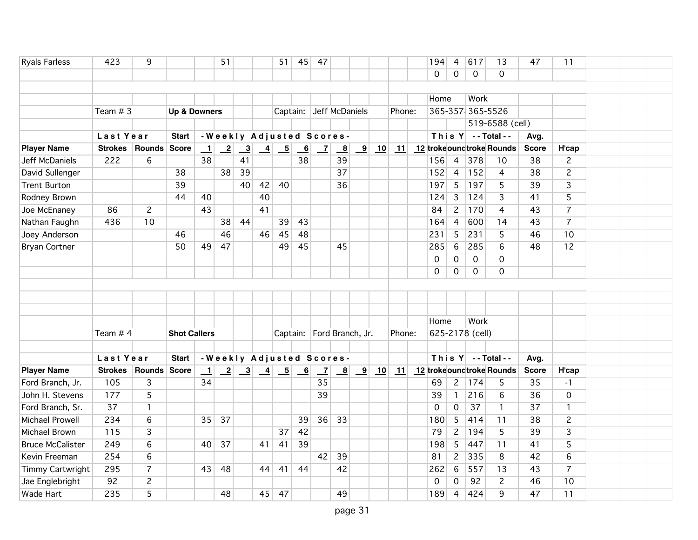| <b>Ryals Farless</b>    | 423                      | 9              |                         |                          | 51              |                         |                                                              | 51              | 45                        | 47              |                           |                         |    |        | 194                      | $\overline{4}$ | 617                | 13                       | 47           | 11             |  |  |
|-------------------------|--------------------------|----------------|-------------------------|--------------------------|-----------------|-------------------------|--------------------------------------------------------------|-----------------|---------------------------|-----------------|---------------------------|-------------------------|----|--------|--------------------------|----------------|--------------------|--------------------------|--------------|----------------|--|--|
|                         |                          |                |                         |                          |                 |                         |                                                              |                 |                           |                 |                           |                         |    |        | 0                        | 0              | $\mathbf 0$        | 0                        |              |                |  |  |
|                         |                          |                |                         |                          |                 |                         |                                                              |                 |                           |                 |                           |                         |    |        |                          |                |                    |                          |              |                |  |  |
|                         |                          |                |                         |                          |                 |                         |                                                              |                 |                           |                 |                           |                         |    |        | Home                     |                | Work               |                          |              |                |  |  |
|                         | Team $# 3$               |                | <b>Up &amp; Downers</b> |                          |                 |                         |                                                              |                 |                           |                 | Captain: Jeff McDaniels   |                         |    | Phone: |                          |                | 365-357(365-5526   |                          |              |                |  |  |
|                         |                          |                |                         |                          |                 |                         |                                                              |                 |                           |                 |                           |                         |    |        |                          |                |                    | 519-6588 (cell)          |              |                |  |  |
|                         | Last Year                |                | <b>Start</b>            |                          |                 |                         |                                                              |                 |                           |                 | - Weekly Adjusted Scores- |                         |    |        |                          |                | This $Y$ --Total-- |                          | Avg.         |                |  |  |
| <b>Player Name</b>      | <b>Strokes</b>           | Rounds Score   |                         | $\overline{\phantom{0}}$ | $\overline{-2}$ | $\overline{\mathbf{3}}$ | $\frac{4}{1}$                                                | $\overline{-5}$ | $\overline{6}$            | $\mathbf{Z}$    | $\overline{\mathbf{8}}$   | $\overline{\mathbf{9}}$ | 10 | 11     |                          |                |                    | 12 trokeoundtroke Rounds | <b>Score</b> | H'cap          |  |  |
| Jeff McDaniels          | 222                      | 6              |                         | 38                       |                 | 41                      |                                                              |                 | 38                        |                 | 39                        |                         |    |        | 156                      | $\overline{4}$ | 378                | 10                       | 38           | $\overline{c}$ |  |  |
| David Sullenger         |                          |                | 38                      |                          | 38              | 39                      |                                                              |                 |                           |                 | 37                        |                         |    |        | 152                      | $\overline{4}$ | 152                | 4                        | 38           | $\overline{c}$ |  |  |
| <b>Trent Burton</b>     |                          |                | 39                      |                          |                 | 40                      | 42                                                           | 40              |                           |                 | 36                        |                         |    |        | 197                      | $5\phantom{.}$ | 197                | 5                        | 39           | $\overline{3}$ |  |  |
| Rodney Brown            |                          |                | 44                      | 40                       |                 |                         | 40                                                           |                 |                           |                 |                           |                         |    |        | 124                      | 3              | 124                | 3                        | 41           | 5              |  |  |
| Joe McEnaney            | 86                       | $\overline{c}$ |                         | 43                       |                 |                         | 41                                                           |                 |                           |                 |                           |                         |    |        | 84                       | $\overline{2}$ | 170                | 4                        | 43           | $\overline{7}$ |  |  |
| Nathan Faughn           | 436                      | 10             |                         |                          | 38              | 44                      |                                                              | 39              | 43                        |                 |                           |                         |    |        | 164                      | $\overline{4}$ | 600                | 14                       | 43           | $\overline{7}$ |  |  |
| Joey Anderson           |                          |                | 46                      |                          | 46              |                         | 46                                                           | 45              | 48                        |                 |                           |                         |    |        | 231                      | 5              | 231                | 5                        | 46           | 10             |  |  |
| <b>Bryan Cortner</b>    |                          |                | 50                      | 49                       | 47              |                         |                                                              | 49              | 45                        |                 | 45                        |                         |    |        | 285                      | 6              | 285                | 6                        | 48           | 12             |  |  |
|                         |                          |                |                         |                          |                 |                         |                                                              |                 |                           |                 |                           |                         |    |        | 0                        | 0              | $\mathsf{O}$       | $\mathbf 0$              |              |                |  |  |
|                         |                          |                |                         |                          |                 |                         |                                                              |                 |                           |                 |                           |                         |    |        | 0                        | 0              | 0                  | 0                        |              |                |  |  |
|                         |                          |                |                         |                          |                 |                         |                                                              |                 |                           |                 |                           |                         |    |        |                          |                |                    |                          |              |                |  |  |
|                         |                          |                |                         |                          |                 |                         |                                                              |                 |                           |                 |                           |                         |    |        |                          |                |                    |                          |              |                |  |  |
|                         |                          |                |                         |                          |                 |                         |                                                              |                 |                           |                 |                           |                         |    |        |                          |                |                    |                          |              |                |  |  |
|                         |                          |                |                         |                          |                 |                         |                                                              |                 |                           |                 |                           |                         |    |        | Home                     |                | Work               |                          |              |                |  |  |
|                         | Team $# 4$               |                | <b>Shot Callers</b>     |                          |                 |                         |                                                              |                 |                           |                 | Captain: Ford Branch, Jr. |                         |    | Phone: |                          |                | 625-2178 (cell)    |                          |              |                |  |  |
|                         |                          |                |                         |                          |                 |                         |                                                              |                 |                           |                 |                           |                         |    |        |                          |                |                    |                          |              |                |  |  |
|                         | Last Year                |                | <b>Start</b>            |                          |                 |                         |                                                              |                 |                           |                 | - Weekly Adjusted Scores- |                         |    |        |                          |                | This $Y$ --Total-- |                          | Avg.         |                |  |  |
| <b>Player Name</b>      | Strokes   Rounds   Score |                |                         | $\perp$                  |                 |                         | $\begin{array}{ c c c c c }\n\hline\n2 & 3 & 4\n\end{array}$ | $-5$            | $\underline{\phantom{a}}$ | $\vert$ $\vert$ | $\mathbf{B}$              | $\overline{\mathbf{9}}$ | 10 | 11     | 12 trokeoundtroke Rounds |                |                    |                          | <b>Score</b> | H'cap          |  |  |
| Ford Branch, Jr.        | 105                      | 3              |                         | 34                       |                 |                         |                                                              |                 |                           | 35              |                           |                         |    |        | 69                       | $\mathbf{2}$   | 174                | 5                        | 35           | $-1$           |  |  |
| John H. Stevens         | 177                      | 5              |                         |                          |                 |                         |                                                              |                 |                           | 39              |                           |                         |    |        | 39                       | $\mathbf{1}$   | 216                | 6                        | 36           | $\mathbf 0$    |  |  |
| Ford Branch, Sr.        | 37                       | $\mathbf{1}$   |                         |                          |                 |                         |                                                              |                 |                           |                 |                           |                         |    |        | 0                        | $\mathsf{O}$   | 37                 | $\mathbf{1}$             | 37           | $\mathbf{1}$   |  |  |
| Michael Prowell         | 234                      | 6              |                         | 35                       | 37              |                         |                                                              |                 | 39                        | 36              | 33                        |                         |    |        | 180                      | 5              | 414                | 11                       | 38           | $\overline{c}$ |  |  |
| Michael Brown           | 115                      | 3              |                         |                          |                 |                         |                                                              | 37              | 42                        |                 |                           |                         |    |        | 79                       | $\overline{2}$ | 194                | 5                        | 39           | $\overline{3}$ |  |  |
| <b>Bruce McCalister</b> | 249                      | 6              |                         | 40                       | 37              |                         | 41                                                           | 41              | 39                        |                 |                           |                         |    |        | 198                      | 5              | 447                | 11                       | 41           | 5              |  |  |
| Kevin Freeman           | 254                      | 6              |                         |                          |                 |                         |                                                              |                 |                           | 42              | 39                        |                         |    |        | 81                       | $\overline{c}$ | 335                | 8                        | 42           | 6              |  |  |
| Timmy Cartwright        | 295                      | $\overline{7}$ |                         | 43                       | 48              |                         | 44                                                           | 41              | 44                        |                 | 42                        |                         |    |        | 262                      | 6              | 557                | 13                       | 43           | $\overline{7}$ |  |  |
| Jae Englebright         |                          |                |                         |                          |                 |                         |                                                              |                 |                           |                 |                           |                         |    |        |                          |                |                    |                          |              |                |  |  |
|                         | 92                       | $\overline{c}$ |                         |                          |                 |                         |                                                              |                 |                           |                 |                           |                         |    |        | $\Omega$                 | 0              | 92                 | $\overline{c}$           | 46           | 10             |  |  |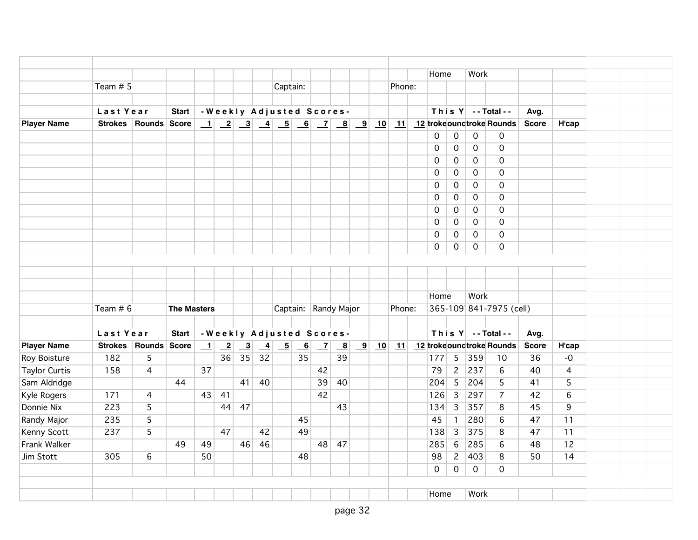|                      |            |                      |                    |         |                 |    |    |                                                                     |                          |    |                                                             |                |                              | Home                |                | Work                |                          |              |                |
|----------------------|------------|----------------------|--------------------|---------|-----------------|----|----|---------------------------------------------------------------------|--------------------------|----|-------------------------------------------------------------|----------------|------------------------------|---------------------|----------------|---------------------|--------------------------|--------------|----------------|
|                      | Team $# 5$ |                      |                    |         |                 |    |    | Captain:                                                            |                          |    |                                                             |                | Phone:                       |                     |                |                     |                          |              |                |
|                      |            |                      |                    |         |                 |    |    |                                                                     |                          |    |                                                             |                |                              |                     |                |                     |                          |              |                |
|                      | Last Year  |                      | <b>Start</b>       |         |                 |    |    | - Weekly Adjusted Scores-                                           |                          |    |                                                             |                |                              |                     |                |                     | This Y -- Total --       | Avg.         |                |
| <b>Player Name</b>   |            | Strokes Rounds Score |                    |         |                 |    |    |                                                                     |                          |    |                                                             |                |                              |                     |                |                     |                          | <b>Score</b> | H'cap          |
|                      |            |                      |                    |         |                 |    |    |                                                                     |                          |    |                                                             |                |                              | 0                   | $\mathbf 0$    | $\mathbf{O}$        | 0                        |              |                |
|                      |            |                      |                    |         |                 |    |    |                                                                     |                          |    |                                                             |                |                              | 0                   | $\overline{0}$ | $\mathsf{O}$        | $\mathbf 0$              |              |                |
|                      |            |                      |                    |         |                 |    |    |                                                                     |                          |    |                                                             |                |                              | 0                   | $\overline{0}$ | $\mathsf{O}$        | $\Omega$                 |              |                |
|                      |            |                      |                    |         |                 |    |    |                                                                     |                          |    |                                                             |                |                              | 0                   | $\mathsf{O}$   | $\mathbf 0$         | $\Omega$                 |              |                |
|                      |            |                      |                    |         |                 |    |    |                                                                     |                          |    |                                                             |                |                              | 0                   | $\overline{0}$ | 0                   | $\Omega$                 |              |                |
|                      |            |                      |                    |         |                 |    |    |                                                                     |                          |    |                                                             |                |                              | $\mathsf{O}$        | $\mathsf{O}$   | $\mathbf 0$         | $\mathbf 0$              |              |                |
|                      |            |                      |                    |         |                 |    |    |                                                                     |                          |    |                                                             |                |                              | 0                   | $\mathbf 0$    | $\mathbf 0$         | $\Omega$                 |              |                |
|                      |            |                      |                    |         |                 |    |    |                                                                     |                          |    |                                                             |                |                              | $\mathsf{O}\xspace$ | $\mathsf{O}$   | $\mathsf{O}$        | $\mathbf 0$              |              |                |
|                      |            |                      |                    |         |                 |    |    |                                                                     |                          |    |                                                             |                |                              | 0                   | $\mathbf 0$    | $\mathsf{O}$        | $\Omega$                 |              |                |
|                      |            |                      |                    |         |                 |    |    |                                                                     |                          |    |                                                             |                |                              | $\mathsf{O}$        | $\overline{0}$ | $\mathsf{O}\xspace$ | $\mathbf 0$              |              |                |
|                      |            |                      |                    |         |                 |    |    |                                                                     |                          |    |                                                             |                |                              |                     |                |                     |                          |              |                |
|                      |            |                      |                    |         |                 |    |    |                                                                     |                          |    |                                                             |                |                              |                     |                |                     |                          |              |                |
|                      |            |                      |                    |         |                 |    |    |                                                                     |                          |    |                                                             |                |                              |                     |                |                     |                          |              |                |
|                      |            |                      |                    |         |                 |    |    |                                                                     |                          |    |                                                             |                |                              | Home                |                | Work                |                          |              |                |
|                      | Team $# 6$ |                      | <b>The Masters</b> |         |                 |    |    |                                                                     |                          |    | Captain: Randy Major                                        |                | Phone:                       |                     |                |                     | 365-109 841-7975 (cell)  |              |                |
|                      | Last Year  |                      | <b>Start</b>       |         |                 |    |    | -Weekly Adjusted Scores-                                            |                          |    |                                                             |                |                              |                     |                |                     | This $Y$ -- Total --     | Avg.         |                |
| <b>Player Name</b>   |            | Strokes Rounds Score |                    | $\perp$ | $\overline{-2}$ |    |    | $\begin{array}{ c c c c c } \hline 3 & 4 & 5 \\ \hline \end{array}$ | $\overline{\phantom{0}}$ |    | $\begin{array}{ c c c } \hline 7 & 8 \\ \hline \end{array}$ | $\boxed{9}$ 10 | $\vert \underline{11} \vert$ |                     |                |                     | 12 trokeoundtroke Rounds | <b>Score</b> | H'cap          |
| Roy Boisture         | 182        | 5                    |                    |         | 36              | 35 | 32 |                                                                     | 35                       |    | 39                                                          |                |                              | 177                 |                | 5 359               | 10                       | 36           | $-0$           |
| <b>Taylor Curtis</b> | 158        | 4                    |                    | 37      |                 |    |    |                                                                     |                          | 42 |                                                             |                |                              | 79                  | $\overline{2}$ | 237                 | 6                        | 40           | $\overline{4}$ |
| Sam Aldridge         |            |                      | 44                 |         |                 | 41 | 40 |                                                                     |                          | 39 | 40                                                          |                |                              | 204                 | $\overline{5}$ | 204                 | 5                        | 41           | 5              |
| Kyle Rogers          | 171        | 4                    |                    | 43      | 41              |    |    |                                                                     |                          | 42 |                                                             |                |                              | 126                 | 3              | 297                 | $\overline{7}$           | 42           | 6              |
| Donnie Nix           | 223        | 5                    |                    |         | 44              | 47 |    |                                                                     |                          |    | 43                                                          |                |                              | 134                 | $\overline{3}$ | 357                 | 8                        | 45           | 9              |
| Randy Major          | 235        | 5                    |                    |         |                 |    |    |                                                                     | 45                       |    |                                                             |                |                              | 45                  | $\mathbf{1}$   | 280                 | 6                        | 47           | 11             |
| Kenny Scott          | 237        | 5                    |                    |         | 47              |    | 42 |                                                                     | 49                       |    |                                                             |                |                              | 138                 | 3              | 375                 | 8                        | 47           | 11             |
| Frank Walker         |            |                      | 49                 | 49      |                 | 46 | 46 |                                                                     |                          |    | 48 47                                                       |                |                              | 285                 | 6              | 285                 | 6                        | 48           | 12             |
| Jim Stott            | 305        | 6                    |                    | 50      |                 |    |    |                                                                     | 48                       |    |                                                             |                |                              | 98                  | $\mathbf{2}$   | 403                 | 8                        | 50           | 14             |
|                      |            |                      |                    |         |                 |    |    |                                                                     |                          |    |                                                             |                |                              | $\overline{0}$      | $\overline{0}$ | $\mathbf 0$         | $\Omega$                 |              |                |
|                      |            |                      |                    |         |                 |    |    |                                                                     |                          |    |                                                             |                |                              |                     |                |                     |                          |              |                |
|                      |            |                      |                    |         |                 |    |    |                                                                     |                          |    |                                                             |                |                              | Home                |                | Work                |                          |              |                |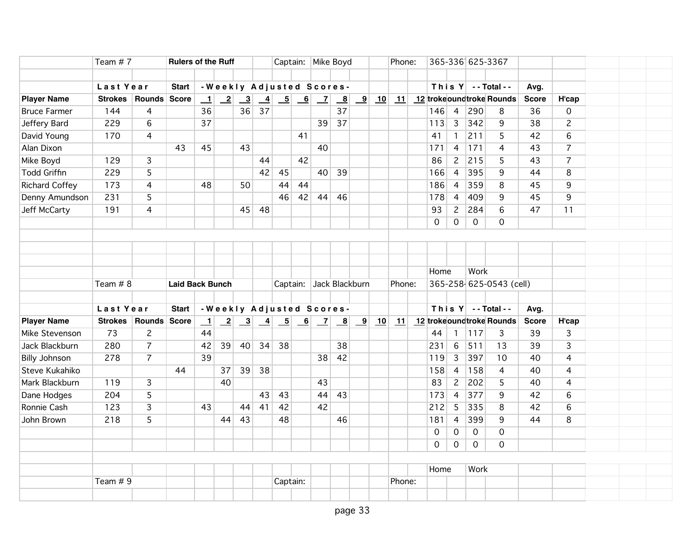| Last Year<br>-Weekly Adjusted Scores-<br>This $Y$ -- Total --<br><b>Start</b><br>Avg.<br><b>Player Name</b><br><b>Strokes</b><br>Rounds Score<br>$\begin{array}{ c c c c c c c c c } \hline 2 & 3 & 4 & 5 & 6 & 7 \ \hline \end{array}$<br>$\boxed{9}$ 10 11 12 trokeoundtroke Rounds<br>H'cap<br>$\perp$<br>$\mathbf{B}$<br><b>Score</b><br>$\overline{37}$<br>36<br>36<br>37<br>146<br>$\overline{4}$<br>290<br><b>Bruce Farmer</b><br>144<br>4<br>8<br>36<br>$\mathbf 0$ |  |
|-----------------------------------------------------------------------------------------------------------------------------------------------------------------------------------------------------------------------------------------------------------------------------------------------------------------------------------------------------------------------------------------------------------------------------------------------------------------------------|--|
|                                                                                                                                                                                                                                                                                                                                                                                                                                                                             |  |
|                                                                                                                                                                                                                                                                                                                                                                                                                                                                             |  |
|                                                                                                                                                                                                                                                                                                                                                                                                                                                                             |  |
|                                                                                                                                                                                                                                                                                                                                                                                                                                                                             |  |
| $6\overline{6}$<br>37<br>37<br>$\overline{3}$<br>342<br>$\overline{c}$<br>Jeffery Bard<br>229<br>39<br>113<br>9<br>38                                                                                                                                                                                                                                                                                                                                                       |  |
| 211<br>David Young<br>170<br>$\overline{4}$<br>41<br>41<br>42<br>6<br>$\mathbf{1}$<br>5                                                                                                                                                                                                                                                                                                                                                                                     |  |
| Alan Dixon<br>43<br>40<br>$171$<br>$\overline{7}$<br>45<br>43<br>171<br>$\overline{4}$<br>4<br>43                                                                                                                                                                                                                                                                                                                                                                           |  |
| 42<br>$\overline{7}$<br>Mike Boyd<br>129<br>3<br>86<br>$\mathbf{2}$<br>215<br>5<br>44<br>43                                                                                                                                                                                                                                                                                                                                                                                 |  |
| <b>Todd Griffin</b><br>$\overline{5}$<br>40 39<br>229<br>42<br>45<br>166<br>$\overline{4}$<br>395<br>8<br>9<br>44                                                                                                                                                                                                                                                                                                                                                           |  |
| <b>Richard Coffey</b><br>173<br>44<br>186<br>$\overline{4}$<br>359<br>8<br>45<br>9<br>4<br>48<br>50<br>44                                                                                                                                                                                                                                                                                                                                                                   |  |
| Denny Amundson<br>231<br>5<br>42<br>409<br>45<br>9<br>46<br>44<br>46<br>178<br>$\overline{4}$<br>9                                                                                                                                                                                                                                                                                                                                                                          |  |
| Jeff McCarty<br>$\overline{4}$<br>$\mathbf{2}$<br>284<br>6<br>47<br>191<br>45<br>48<br>93<br>11                                                                                                                                                                                                                                                                                                                                                                             |  |
| $\mathsf{O}$<br>$\mathsf{O}$<br>$\mathsf{O}\xspace$<br>0                                                                                                                                                                                                                                                                                                                                                                                                                    |  |
|                                                                                                                                                                                                                                                                                                                                                                                                                                                                             |  |
|                                                                                                                                                                                                                                                                                                                                                                                                                                                                             |  |
|                                                                                                                                                                                                                                                                                                                                                                                                                                                                             |  |
| Work<br>Home                                                                                                                                                                                                                                                                                                                                                                                                                                                                |  |
| 365-258-625-0543 (cell)<br>Team $# 8$<br>Captain: Jack Blackburn<br>Phone:<br><b>Laid Back Bunch</b>                                                                                                                                                                                                                                                                                                                                                                        |  |
|                                                                                                                                                                                                                                                                                                                                                                                                                                                                             |  |
| This $Y$ -- Total --<br>Last Year<br><b>Start</b><br>-Weekly Adjusted Scores-<br>Avg.                                                                                                                                                                                                                                                                                                                                                                                       |  |
| 10 11 12 trokeoundtroke Rounds<br><b>Player Name</b><br>Strokes   Rounds   Score<br>$\perp$<br>$\vert$ $\vert$<br>B<br>$\overline{\mathbf{9}}$<br><b>Score</b><br><b>H'cap</b>                                                                                                                                                                                                                                                                                              |  |
| 73<br>$\overline{2}$<br>Mike Stevenson<br>44<br>44<br>117<br>$\overline{3}$<br>39<br>$\overline{3}$<br>$\mathbf{1}$                                                                                                                                                                                                                                                                                                                                                         |  |
| $\overline{7}$<br>511<br>$\overline{3}$<br>280<br>34<br>38<br>6<br>39<br>Jack Blackburn<br>42<br>$39 \mid 40 \mid$<br>38<br>231<br>13                                                                                                                                                                                                                                                                                                                                       |  |
| 278<br>$\overline{7}$<br>39<br>42<br>397<br>10<br>40<br><b>Billy Johnson</b><br>38<br>119<br>$\mathbf{3}$<br>4                                                                                                                                                                                                                                                                                                                                                              |  |
| Steve Kukahiko<br>44<br>39<br>38<br>158<br>40<br>37<br>158<br>$\overline{4}$<br>$\overline{4}$<br>4                                                                                                                                                                                                                                                                                                                                                                         |  |
| $\overline{3}$<br>202<br>5<br>Mark Blackburn<br>119<br>40<br>43<br>83<br>$\mathbf{2}$<br>40<br>$\overline{4}$                                                                                                                                                                                                                                                                                                                                                               |  |
| $\overline{5}$<br>377<br>204<br>43<br>$\overline{4}$<br>9<br>6<br>Dane Hodges<br>43<br>44<br>173<br>42<br>43                                                                                                                                                                                                                                                                                                                                                                |  |
| Ronnie Cash<br>123<br>$\overline{3}$<br>41<br>42<br>42<br>335<br>$6\phantom{a}$<br>44<br>212<br>5 <sup>5</sup><br>8<br>42<br>43                                                                                                                                                                                                                                                                                                                                             |  |
| $\overline{5}$<br>218<br>43<br>46<br>399<br>9<br>8<br>John Brown<br>44<br>48<br>181<br>44<br>$\overline{4}$                                                                                                                                                                                                                                                                                                                                                                 |  |
| $\mathbf 0$<br>0<br>$\mathsf{O}$<br>0                                                                                                                                                                                                                                                                                                                                                                                                                                       |  |
| $\mathbf 0$<br>$\mathbf{O}$<br>$\mathbf{O}$<br>0                                                                                                                                                                                                                                                                                                                                                                                                                            |  |
|                                                                                                                                                                                                                                                                                                                                                                                                                                                                             |  |
| Home<br>Work                                                                                                                                                                                                                                                                                                                                                                                                                                                                |  |
| Team # 9<br>Phone:<br>Captain:                                                                                                                                                                                                                                                                                                                                                                                                                                              |  |
|                                                                                                                                                                                                                                                                                                                                                                                                                                                                             |  |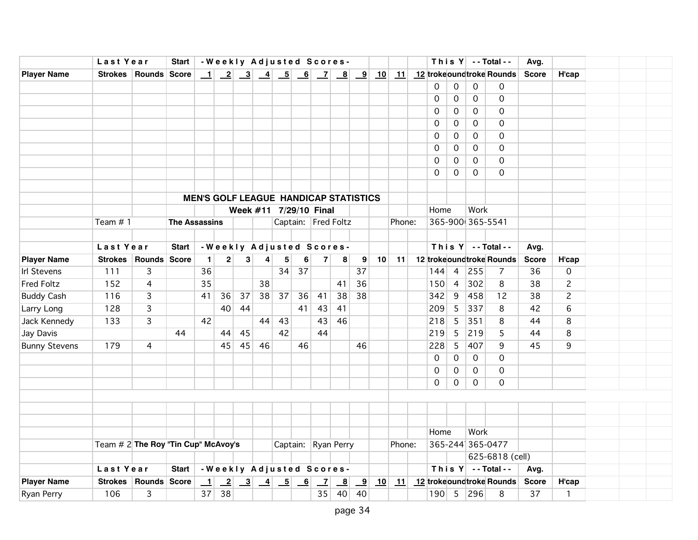|                      | Last Year                              |                          | <b>Start</b>         |              |             |                                                             |                 |                        |    |              | -Weekly Adjusted Scores-                     |                         |    |        |          |                 |                  | This $Y$ --Total--             | Avg.         |                     |  |  |
|----------------------|----------------------------------------|--------------------------|----------------------|--------------|-------------|-------------------------------------------------------------|-----------------|------------------------|----|--------------|----------------------------------------------|-------------------------|----|--------|----------|-----------------|------------------|--------------------------------|--------------|---------------------|--|--|
| <b>Player Name</b>   |                                        | Strokes   Rounds   Score |                      |              |             |                                                             |                 |                        |    |              |                                              |                         |    |        |          |                 |                  |                                | <b>Score</b> | H'cap               |  |  |
|                      |                                        |                          |                      |              |             |                                                             |                 |                        |    |              |                                              |                         |    |        | 0        | 0               | 0                | 0                              |              |                     |  |  |
|                      |                                        |                          |                      |              |             |                                                             |                 |                        |    |              |                                              |                         |    |        | 0        | 0               | 0                | 0                              |              |                     |  |  |
|                      |                                        |                          |                      |              |             |                                                             |                 |                        |    |              |                                              |                         |    |        | 0        | 0               | 0                | 0                              |              |                     |  |  |
|                      |                                        |                          |                      |              |             |                                                             |                 |                        |    |              |                                              |                         |    |        | 0        | 0               | 0                | $\Omega$                       |              |                     |  |  |
|                      |                                        |                          |                      |              |             |                                                             |                 |                        |    |              |                                              |                         |    |        | 0        | 0               | 0                | $\Omega$                       |              |                     |  |  |
|                      |                                        |                          |                      |              |             |                                                             |                 |                        |    |              |                                              |                         |    |        | 0        | 0               | 0                | $\Omega$                       |              |                     |  |  |
|                      |                                        |                          |                      |              |             |                                                             |                 |                        |    |              |                                              |                         |    |        | 0        | 0               | $\Omega$         | $\Omega$                       |              |                     |  |  |
|                      |                                        |                          |                      |              |             |                                                             |                 |                        |    |              |                                              |                         |    |        | $\Omega$ | 0               | $\Omega$         | $\Omega$                       |              |                     |  |  |
|                      |                                        |                          |                      |              |             |                                                             |                 |                        |    |              |                                              |                         |    |        |          |                 |                  |                                |              |                     |  |  |
|                      |                                        |                          |                      |              |             |                                                             |                 |                        |    |              | <b>MEN'S GOLF LEAGUE HANDICAP STATISTICS</b> |                         |    |        |          |                 |                  |                                |              |                     |  |  |
|                      |                                        |                          |                      |              |             |                                                             |                 | Week #11 7/29/10 Final |    |              |                                              |                         |    |        | Home     |                 | Work             |                                |              |                     |  |  |
|                      | Team $# 1$                             |                          | <b>The Assassins</b> |              |             |                                                             |                 |                        |    |              | Captain: Fred Foltz                          |                         |    | Phone: |          |                 | 365-900 365-5541 |                                |              |                     |  |  |
|                      |                                        |                          |                      |              |             |                                                             |                 |                        |    |              |                                              |                         |    |        |          |                 |                  |                                |              |                     |  |  |
|                      | Last Year                              |                          | <b>Start</b>         |              |             |                                                             |                 |                        |    |              | - Weekly Adjusted Scores-                    |                         |    |        |          |                 |                  | This $Y$ --Total--             | Avg.         |                     |  |  |
| <b>Player Name</b>   |                                        | Strokes Rounds Score     |                      | $\mathbf{1}$ | $\mathbf 2$ | 3                                                           | 4               | ${\bf 5}$              | 6  | $\mathbf{7}$ | 8                                            | $\boldsymbol{9}$        | 10 | 11     |          |                 |                  | 12 trokeoundtroke Rounds       | <b>Score</b> | H'cap               |  |  |
| <b>Irl Stevens</b>   | 111                                    | 3                        |                      | 36           |             |                                                             |                 | 34                     | 37 |              |                                              | 37                      |    |        | 144      | $\overline{4}$  | 255              | $\overline{7}$                 | 36           | $\mathsf{O}\xspace$ |  |  |
| Fred Foltz           | 152                                    | $\overline{4}$           |                      | 35           |             |                                                             | 38              |                        |    |              | 41                                           | 36                      |    |        | 150      | $\overline{4}$  | 302              | 8                              | 38           | $\overline{c}$      |  |  |
| <b>Buddy Cash</b>    | 116                                    | $\overline{3}$           |                      | 41           | 36          | 37                                                          | 38              | 37                     | 36 | 41           | 38                                           | 38                      |    |        | 342      | 9               | 458              | 12                             | 38           | $\overline{c}$      |  |  |
| Larry Long           | 128                                    | 3                        |                      |              | 40          | 44                                                          |                 |                        | 41 | 43           | 41                                           |                         |    |        | 209      | $5\overline{)}$ | 337              | 8                              | 42           | 6                   |  |  |
| Jack Kennedy         | 133                                    | 3                        |                      | 42           |             |                                                             | 44              | 43                     |    | 43           | 46                                           |                         |    |        | 218      | $5\phantom{.0}$ | 351              | 8                              | 44           | 8                   |  |  |
| Jay Davis            |                                        |                          | 44                   |              | 44          | 45                                                          |                 | 42                     |    | 44           |                                              |                         |    |        | 219      | 5               | 219              | 5                              | 44           | 8                   |  |  |
| <b>Bunny Stevens</b> | 179                                    | 4                        |                      |              | 45          | 45                                                          | 46              |                        | 46 |              |                                              | 46                      |    |        | 228      | 5               | 407              | 9                              | 45           | 9                   |  |  |
|                      |                                        |                          |                      |              |             |                                                             |                 |                        |    |              |                                              |                         |    |        | 0        | 0               | $\mathbf 0$      | $\mathbf 0$                    |              |                     |  |  |
|                      |                                        |                          |                      |              |             |                                                             |                 |                        |    |              |                                              |                         |    |        | 0        | 0               | 0                | 0                              |              |                     |  |  |
|                      |                                        |                          |                      |              |             |                                                             |                 |                        |    |              |                                              |                         |    |        | 0        | 0               | 0                | $\Omega$                       |              |                     |  |  |
|                      |                                        |                          |                      |              |             |                                                             |                 |                        |    |              |                                              |                         |    |        |          |                 |                  |                                |              |                     |  |  |
|                      |                                        |                          |                      |              |             |                                                             |                 |                        |    |              |                                              |                         |    |        |          |                 |                  |                                |              |                     |  |  |
|                      |                                        |                          |                      |              |             |                                                             |                 |                        |    |              |                                              |                         |    |        |          |                 |                  |                                |              |                     |  |  |
|                      |                                        |                          |                      |              |             |                                                             |                 |                        |    |              |                                              |                         |    |        | Home     |                 | Work             |                                |              |                     |  |  |
|                      | Team $\# 2$ The Roy "Tin Cup" McAvoy's |                          |                      |              |             |                                                             |                 |                        |    |              | Captain: Ryan Perry                          |                         |    | Phone: |          |                 |                  | 365-244 365-0477               |              |                     |  |  |
|                      |                                        |                          |                      |              |             |                                                             |                 |                        |    |              |                                              |                         |    |        |          |                 |                  | 625-6818 (cell)                |              |                     |  |  |
|                      | Last Year                              |                          | <b>Start</b>         |              |             |                                                             |                 |                        |    |              | -Weekly Adjusted Scores-                     |                         |    |        |          |                 |                  | This $Y$ --Total--             | Avg.         |                     |  |  |
| <b>Player Name</b>   |                                        | Strokes   Rounds   Score |                      | $\perp$      |             | $\begin{array}{ c c c } \hline 2 & 3 \\ \hline \end{array}$ | $\overline{-4}$ | $\overline{-5}$        | 6  | $\mathbf{Z}$ | $\mathbf{B}$                                 | $\overline{\mathbf{9}}$ | 10 | 11     |          |                 |                  | 12 trokeoundtroke Rounds Score |              | H'cap               |  |  |
| Ryan Perry           | 106                                    | 3                        |                      | 37           | 38          |                                                             |                 |                        |    | 35           | 40                                           | 40                      |    |        |          |                 | 190 5 296        | 8                              | 37           | $\mathbf{1}$        |  |  |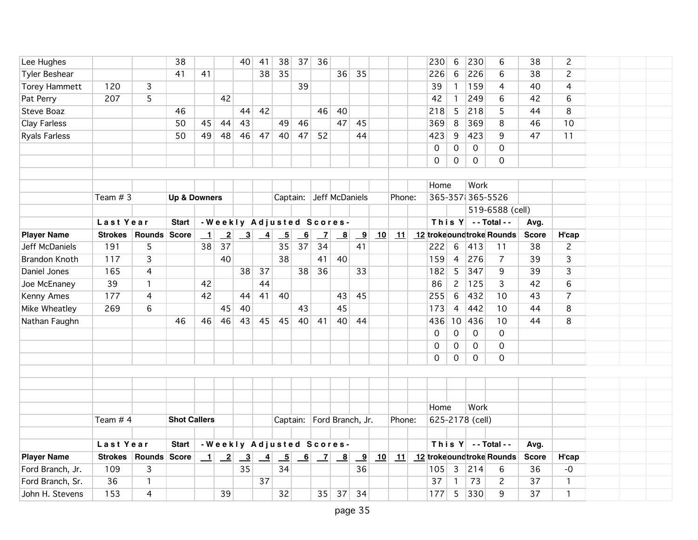| Lee Hughes           |                |                | 38                      |         |                | 40             | 41              | 38                       | 37 | 36             |                                                             |                         |    |        | 230         | 6               | 230              | 6                              | 38           | $\overline{c}$ |  |  |
|----------------------|----------------|----------------|-------------------------|---------|----------------|----------------|-----------------|--------------------------|----|----------------|-------------------------------------------------------------|-------------------------|----|--------|-------------|-----------------|------------------|--------------------------------|--------------|----------------|--|--|
| <b>Tyler Beshear</b> |                |                | 41                      | 41      |                |                | 38              | 35                       |    |                | 36                                                          | 35                      |    |        | 226         | 6               | 226              | 6                              | 38           | $\overline{c}$ |  |  |
| <b>Torey Hammett</b> | 120            | 3              |                         |         |                |                |                 |                          | 39 |                |                                                             |                         |    |        | 39          | $\mathbf{1}$    | 159              | 4                              | 40           | 4              |  |  |
| Pat Perry            | 207            | 5              |                         |         | 42             |                |                 |                          |    |                |                                                             |                         |    |        | 42          | $\mathbf{1}$    | 249              | 6                              | 42           | 6              |  |  |
| Steve Boaz           |                |                | 46                      |         |                | 44             | 42              |                          |    | 46             | 40                                                          |                         |    |        | 218         | 5               | 218              | 5                              | 44           | 8              |  |  |
| <b>Clay Farless</b>  |                |                | 50                      | 45      | 44             | 43             |                 | 49                       | 46 |                | 47                                                          | 45                      |    |        | 369         | 8               | 369              | 8                              | 46           | 10             |  |  |
| <b>Ryals Farless</b> |                |                | 50                      | 49      | 48             | 46             | 47              | 40                       | 47 | 52             |                                                             | 44                      |    |        | 423         | 9               | 423              | 9                              | 47           | 11             |  |  |
|                      |                |                |                         |         |                |                |                 |                          |    |                |                                                             |                         |    |        | $\mathbf 0$ | 0               | 0                | 0                              |              |                |  |  |
|                      |                |                |                         |         |                |                |                 |                          |    |                |                                                             |                         |    |        | 0           | $\mathsf{O}$    | 0                | $\mathbf 0$                    |              |                |  |  |
|                      |                |                |                         |         |                |                |                 |                          |    |                |                                                             |                         |    |        |             |                 |                  |                                |              |                |  |  |
|                      |                |                |                         |         |                |                |                 |                          |    |                |                                                             |                         |    |        | Home        |                 | Work             |                                |              |                |  |  |
|                      | Team $# 3$     |                | <b>Up &amp; Downers</b> |         |                |                |                 |                          |    |                | Captain: Jeff McDaniels                                     |                         |    | Phone: |             |                 | 365-357 365-5526 |                                |              |                |  |  |
|                      |                |                |                         |         |                |                |                 |                          |    |                |                                                             |                         |    |        |             |                 |                  | 519-6588 (cell)                |              |                |  |  |
|                      | Last Year      |                | <b>Start</b>            |         |                |                |                 |                          |    |                | -Weekly Adjusted Scores-                                    |                         |    |        |             |                 |                  | This $Y$ --Total--             | Avg.         |                |  |  |
| <b>Player Name</b>   | <b>Strokes</b> | Rounds Score   |                         | $\perp$ | $\overline{2}$ | $\overline{3}$ | $\frac{4}{}$    | $\overline{\phantom{0}}$ | 6  | $\overline{Z}$ | $\mathbf{B}$                                                | <u>_9</u>               | 10 | 11     |             |                 |                  | 12 trokeoundtroke Rounds       | <b>Score</b> | H'cap          |  |  |
| Jeff McDaniels       | 191            | 5              |                         | 38      | 37             |                |                 | 35                       | 37 | 34             |                                                             | 41                      |    |        | 222         | $6\overline{6}$ | 413              | 11                             | 38           | $\overline{c}$ |  |  |
| <b>Brandon Knoth</b> | 117            | $\overline{3}$ |                         |         | 40             |                |                 | 38                       |    | 41             | 40                                                          |                         |    |        | 159         | $\overline{4}$  | 276              | $\overline{7}$                 | 39           | $\overline{3}$ |  |  |
| Daniel Jones         | 165            | 4              |                         |         |                | 38             | 37              |                          | 38 | 36             |                                                             | 33                      |    |        | 182         | $5\overline{)}$ | 347              | 9                              | 39           | 3              |  |  |
| Joe McEnaney         | 39             | 1              |                         | 42      |                |                | 44              |                          |    |                |                                                             |                         |    |        | 86          | $\mathbf{2}$    | 125              | 3                              | 42           | 6              |  |  |
| Kenny Ames           | 177            | 4              |                         | 42      |                | 44             | 41              | 40                       |    |                | 43                                                          | 45                      |    |        | 255         | $6\,$           | 432              | 10                             | 43           | $\overline{7}$ |  |  |
| Mike Wheatley        | 269            | 6              |                         |         | 45             | 40             |                 |                          | 43 |                | 45                                                          |                         |    |        | 173         | $\overline{4}$  | 442              | 10                             | 44           | 8              |  |  |
| Nathan Faughn        |                |                | 46                      | 46      | 46             | 43             | 45              | 45                       | 40 | 41             | 40                                                          | 44                      |    |        | 436         | 10              | 436              | 10                             | 44           | 8              |  |  |
|                      |                |                |                         |         |                |                |                 |                          |    |                |                                                             |                         |    |        | 0           | 0               | 0                | $\mathbf 0$                    |              |                |  |  |
|                      |                |                |                         |         |                |                |                 |                          |    |                |                                                             |                         |    |        | 0           | $\mathbf 0$     | 0                | $\mathbf 0$                    |              |                |  |  |
|                      |                |                |                         |         |                |                |                 |                          |    |                |                                                             |                         |    |        | $\Omega$    | $\Omega$        | 0                | $\Omega$                       |              |                |  |  |
|                      |                |                |                         |         |                |                |                 |                          |    |                |                                                             |                         |    |        |             |                 |                  |                                |              |                |  |  |
|                      |                |                |                         |         |                |                |                 |                          |    |                |                                                             |                         |    |        |             |                 |                  |                                |              |                |  |  |
|                      |                |                |                         |         |                |                |                 |                          |    |                |                                                             |                         |    |        |             |                 |                  |                                |              |                |  |  |
|                      |                |                |                         |         |                |                |                 |                          |    |                |                                                             |                         |    |        | Home        |                 | Work             |                                |              |                |  |  |
|                      | Team $# 4$     |                | <b>Shot Callers</b>     |         |                |                |                 |                          |    |                | Captain: Ford Branch, Jr.                                   |                         |    | Phone: |             |                 | 625-2178 (cell)  |                                |              |                |  |  |
|                      |                |                |                         |         |                |                |                 |                          |    |                |                                                             |                         |    |        |             |                 |                  |                                |              |                |  |  |
|                      | Last Year      |                | <b>Start</b>            |         |                |                |                 |                          |    |                | -Weekly Adjusted Scores-                                    |                         |    |        |             |                 |                  | This $Y$ --Total--             | Avg.         |                |  |  |
| <b>Player Name</b>   | <b>Strokes</b> | Rounds Score   |                         | $\perp$ | $\mathbf{2}$   | $\frac{3}{2}$  | $\overline{-4}$ | $\overline{-5}$          | 6  |                | $\begin{array}{ c c c } \hline 7 & 8 \\ \hline \end{array}$ | $\overline{\mathbf{9}}$ |    |        |             |                 |                  | 10 11 12 trokeoundtroke Rounds | <b>Score</b> | H'cap          |  |  |
| Ford Branch, Jr.     | 109            | 3              |                         |         |                | 35             |                 | 34                       |    |                |                                                             | 36                      |    |        | 105         | $\mathbf{3}$    | 214              | 6                              | 36           | $-0$           |  |  |
| Ford Branch, Sr.     | 36             | 1              |                         |         |                |                | 37              |                          |    |                |                                                             |                         |    |        | 37          | 1               | 73               | $\overline{c}$                 | 37           | $\mathbf{1}$   |  |  |
| John H. Stevens      | 153            | 4              |                         |         | 39             |                |                 | 32                       |    | 35             | 37                                                          | 34                      |    |        | 177         | 5               | 330              | 9                              | 37           | $\mathbf{1}$   |  |  |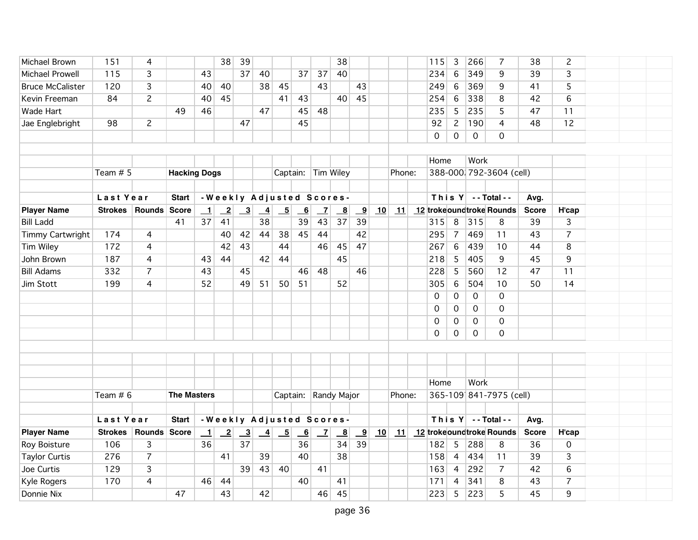| Michael Brown           | 151            | 4              |                     |              | 38                      | 39            |                |                          |                |                 | 38                      |                         |    |        | 115         | 3              | 266          | $\overline{7}$               | 38           | $\overline{c}$ |  |  |
|-------------------------|----------------|----------------|---------------------|--------------|-------------------------|---------------|----------------|--------------------------|----------------|-----------------|-------------------------|-------------------------|----|--------|-------------|----------------|--------------|------------------------------|--------------|----------------|--|--|
| <b>Michael Prowell</b>  | 115            | $\overline{3}$ |                     | 43           |                         | 37            | 40             |                          | 37             | 37              | 40                      |                         |    |        | 234         | $6\,$          | 349          | 9                            | 39           | 3              |  |  |
| <b>Bruce McCalister</b> | 120            | 3              |                     | 40           | 40                      |               | 38             | 45                       |                | 43              |                         | 43                      |    |        | 249         | $6\,$          | 369          | 9                            | 41           | 5              |  |  |
| Kevin Freeman           | 84             | $\overline{c}$ |                     | 40           | 45                      |               |                | 41                       | 43             |                 | 40                      | 45                      |    |        | 254         | 6              | 338          | 8                            | 42           | 6              |  |  |
| Wade Hart               |                |                | 49                  | 46           |                         |               | 47             |                          | 45             | 48              |                         |                         |    |        | 235         | 5              | 235          | 5                            | 47           | 11             |  |  |
| Jae Englebright         | 98             | $\overline{2}$ |                     |              |                         | 47            |                |                          | 45             |                 |                         |                         |    |        | 92          | $\mathbf{2}$   | 190          | $\overline{4}$               | 48           | 12             |  |  |
|                         |                |                |                     |              |                         |               |                |                          |                |                 |                         |                         |    |        | $\mathbf 0$ | $\mathsf{O}$   | $\mathsf{O}$ | $\Omega$                     |              |                |  |  |
|                         |                |                |                     |              |                         |               |                |                          |                |                 |                         |                         |    |        |             |                |              |                              |              |                |  |  |
|                         |                |                |                     |              |                         |               |                |                          |                |                 |                         |                         |    |        | Home        |                | Work         |                              |              |                |  |  |
|                         | Team $# 5$     |                | <b>Hacking Dogs</b> |              |                         |               |                |                          |                |                 | Captain: Tim Wiley      |                         |    | Phone: |             |                |              | 388-000 792-3604 (cell)      |              |                |  |  |
|                         |                |                |                     |              |                         |               |                |                          |                |                 |                         |                         |    |        |             |                |              |                              |              |                |  |  |
|                         | Last Year      |                | Start               |              |                         |               |                | -Weekly Adjusted Scores- |                |                 |                         |                         |    |        |             |                |              | This $Y$ - Total - -         | Avg.         |                |  |  |
| <b>Player Name</b>      | <b>Strokes</b> | Rounds Score   |                     | $\mathbf{1}$ | $\overline{\mathbf{2}}$ | $\frac{3}{2}$ | $\overline{4}$ | $\overline{\phantom{0}}$ | 6              | $\overline{z}$  | $\overline{\mathbf{8}}$ | $\overline{\mathbf{9}}$ | 10 | 11     |             |                |              | 12 trokeoundtroke Rounds     | <b>Score</b> | <b>H'cap</b>   |  |  |
| <b>Bill Ladd</b>        |                |                | 41                  | 37           | 41                      |               | 38             |                          | 39             | 43              | 37                      | 39                      |    |        | 315         | 8              | $ 315$       | 8                            | 39           | 3              |  |  |
| Timmy Cartwright        | 174            | 4              |                     |              | 40                      | 42            | 44             | 38                       | 45             | 44              |                         | 42                      |    |        | 295         | $\overline{7}$ | 469          | 11                           | 43           | $\overline{7}$ |  |  |
| Tim Wiley               | 172            | 4              |                     |              | 42                      | 43            |                | 44                       |                | 46              | 45                      | 47                      |    |        | 267         | $\,6\,$        | 439          | 10                           | 44           | 8              |  |  |
| John Brown              | 187            | 4              |                     | 43           | 44                      |               | 42             | 44                       |                |                 | 45                      |                         |    |        | 218         | 5              | 405          | 9                            | 45           | 9              |  |  |
| <b>Bill Adams</b>       | 332            | 7              |                     | 43           |                         | 45            |                |                          | 46             | 48              |                         | 46                      |    |        | 228         | 5              | 560          | 12                           | 47           | 11             |  |  |
| Jim Stott               | 199            | 4              |                     | 52           |                         | 49            | 51             | 50                       | 51             |                 | 52                      |                         |    |        | 305         | 6              | 504          | 10                           | 50           | 14             |  |  |
|                         |                |                |                     |              |                         |               |                |                          |                |                 |                         |                         |    |        | $\mathbf 0$ | $\mathsf{O}$   | $\mathsf{O}$ | $\mathbf 0$                  |              |                |  |  |
|                         |                |                |                     |              |                         |               |                |                          |                |                 |                         |                         |    |        | 0           | $\overline{0}$ | $\mathbf{0}$ | $\mathbf 0$                  |              |                |  |  |
|                         |                |                |                     |              |                         |               |                |                          |                |                 |                         |                         |    |        | 0           | $\mathsf{O}$   | 0            | 0                            |              |                |  |  |
|                         |                |                |                     |              |                         |               |                |                          |                |                 |                         |                         |    |        | $\Omega$    | $\Omega$       | $\mathbf 0$  | $\mathbf 0$                  |              |                |  |  |
|                         |                |                |                     |              |                         |               |                |                          |                |                 |                         |                         |    |        |             |                |              |                              |              |                |  |  |
|                         |                |                |                     |              |                         |               |                |                          |                |                 |                         |                         |    |        |             |                |              |                              |              |                |  |  |
|                         |                |                |                     |              |                         |               |                |                          |                |                 |                         |                         |    |        |             |                |              |                              |              |                |  |  |
|                         |                |                |                     |              |                         |               |                |                          |                |                 |                         |                         |    |        | Home        |                | Work         |                              |              |                |  |  |
|                         | Team $# 6$     |                | <b>The Masters</b>  |              |                         |               |                |                          |                |                 | Captain: Randy Major    |                         |    | Phone: |             |                |              | 365-109 841-7975 (cell)      |              |                |  |  |
|                         |                |                |                     |              |                         |               |                |                          |                |                 |                         |                         |    |        |             |                |              |                              |              |                |  |  |
|                         | Last Year      |                | <b>Start</b>        |              |                         |               |                | -Weekly Adjusted Scores- |                |                 |                         |                         |    |        |             |                |              | This $Y$ -- Total --         | Avg.         |                |  |  |
| <b>Player Name</b>      | <b>Strokes</b> | Rounds Score   |                     | $\perp$      | $\overline{-2}$         | $\frac{3}{2}$ | $\frac{4}{1}$  | $-5$                     | $\overline{6}$ | $\vert$ $\vert$ | $\mathbf{B}$            | $\overline{\mathbf{9}}$ | 10 |        |             |                |              | 11 12 troke oundtroke Rounds | <b>Score</b> | <b>H'cap</b>   |  |  |
| Roy Boisture            | 106            | 3              |                     | 36           |                         | 37            |                |                          | 36             |                 | 34                      | 39                      |    |        | 182         | 5              | 288          | 8                            | 36           | 0              |  |  |
| <b>Taylor Curtis</b>    | 276            | $\overline{7}$ |                     |              | 41                      |               | 39             |                          | 40             |                 | 38                      |                         |    |        | 158         | $\overline{4}$ | 434          | 11                           | 39           | 3              |  |  |
| Joe Curtis              | 129            | 3              |                     |              |                         | 39            | 43             | 40                       |                | 41              |                         |                         |    |        | 163         | $\overline{4}$ | 292          | $\overline{7}$               | 42           | 6              |  |  |
| <b>Kyle Rogers</b>      | 170            | 4              |                     | 46           | 44                      |               |                |                          | 40             |                 | 41                      |                         |    |        | 171         | 4              | 341          | 8                            | 43           | $\overline{7}$ |  |  |
| Donnie Nix              |                |                | 47                  |              | 43                      |               | 42             |                          |                | 46              | 45                      |                         |    |        | 223         | 5              | 223          | 5                            | 45           | 9              |  |  |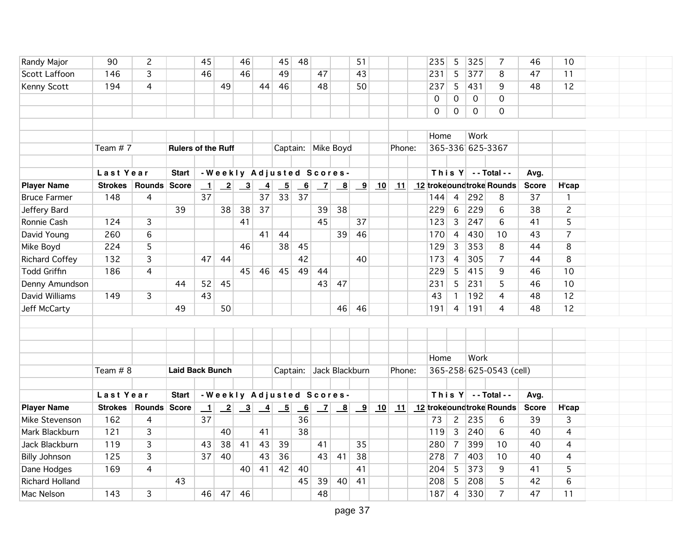| Randy Major            | 90             | $\overline{c}$                           |                           | 45                       |                 | 46                        |                 | 45                       | 48                        |                    |                                            | 51                      |        |        |                         | 235                | 5                | 325                       | 7              | 46           | 10             |  |  |
|------------------------|----------------|------------------------------------------|---------------------------|--------------------------|-----------------|---------------------------|-----------------|--------------------------|---------------------------|--------------------|--------------------------------------------|-------------------------|--------|--------|-------------------------|--------------------|------------------|---------------------------|----------------|--------------|----------------|--|--|
| Scott Laffoon          | 146            | 3                                        |                           | 46                       |                 | 46                        |                 | 49                       |                           | 47                 |                                            | 43                      |        |        |                         | 231                | 5                | 377                       | 8              | 47           | 11             |  |  |
| Kenny Scott            | 194            | 4                                        |                           |                          | 49              |                           | 44              | 46                       |                           | 48                 |                                            | 50                      |        |        |                         | 237                | 5                | 431                       | 9              | 48           | 12             |  |  |
|                        |                |                                          |                           |                          |                 |                           |                 |                          |                           |                    |                                            |                         |        |        |                         | 0                  | 0                | 0                         | $\mathbf{O}$   |              |                |  |  |
|                        |                |                                          |                           |                          |                 |                           |                 |                          |                           |                    |                                            |                         |        |        |                         | 0                  | 0                | 0                         | $\Omega$       |              |                |  |  |
|                        |                |                                          |                           |                          |                 |                           |                 |                          |                           |                    |                                            |                         |        |        |                         |                    |                  |                           |                |              |                |  |  |
|                        |                |                                          |                           |                          |                 |                           |                 |                          |                           |                    |                                            |                         |        |        |                         | Home               |                  | Work                      |                |              |                |  |  |
|                        | Team #7        |                                          | <b>Rulers of the Ruff</b> |                          |                 |                           |                 |                          |                           | Captain: Mike Boyd |                                            |                         | Phone: |        |                         |                    | 365-336 625-3367 |                           |                |              |                |  |  |
|                        |                |                                          |                           |                          |                 |                           |                 |                          |                           |                    |                                            |                         |        |        |                         |                    |                  |                           |                |              |                |  |  |
|                        | Last Year      | -Weekly Adjusted Scores-<br><b>Start</b> |                           |                          |                 |                           |                 |                          |                           |                    |                                            |                         |        |        |                         | This $Y$ --Total-- |                  | Avg.                      |                |              |                |  |  |
| <b>Player Name</b>     |                | Strokes   Rounds   Score                 |                           | $\mathbf{\underline{1}}$ | $\overline{-2}$ | $\overline{\phantom{0}3}$ | $\overline{-4}$ | $\overline{\phantom{0}}$ | $\underline{\phantom{a}}$ | $\mathbf{Z}$       | $\overline{\mathbf{8}}$                    | $\overline{\mathbf{9}}$ | 10     | 11     |                         |                    |                  | 12 troke oundtroke Rounds |                | <b>Score</b> | H'cap          |  |  |
| <b>Bruce Farmer</b>    | 148            | 4                                        |                           | 37                       |                 |                           | 37              | 33                       | 37                        |                    |                                            |                         |        |        |                         | 144                | $\overline{4}$   | 292                       | 8              | 37           | $\mathbf{1}$   |  |  |
| Jeffery Bard           |                |                                          | 39                        |                          | 38              | 38                        | 37              |                          |                           | 39                 | 38                                         |                         |        |        |                         | 229                | $6\overline{6}$  | 229                       | 6              | 38           | $\overline{c}$ |  |  |
| Ronnie Cash            | 124            | 3                                        |                           |                          |                 | 41                        |                 |                          |                           | 45                 |                                            | 37                      |        |        |                         | 123                | $\overline{3}$   | 247                       | 6              | 41           | $\overline{5}$ |  |  |
| David Young            | 260            | 6                                        |                           |                          |                 |                           | 41              | 44                       |                           |                    | 39                                         | 46                      |        |        |                         | 170                | $\overline{4}$   | 430                       | 10             | 43           | $\overline{7}$ |  |  |
| Mike Boyd              | 224            | 5                                        |                           |                          |                 | 46                        |                 | 38                       | 45                        |                    |                                            |                         |        |        |                         | 129                | 3 <sup>1</sup>   | 353                       | 8              | 44           | 8              |  |  |
| <b>Richard Coffey</b>  | 132            | 3                                        |                           | 47                       | 44              |                           |                 |                          | 42                        |                    |                                            | 40                      |        |        |                         | 173                | $\overline{4}$   | 305                       | $\overline{7}$ | 44           | 8              |  |  |
| <b>Todd Griffin</b>    | 186            | 4                                        |                           |                          |                 | 45                        | 46              | 45                       | 49                        | 44                 |                                            |                         |        |        |                         | 229                | 5                | 415                       | 9              | 46           | 10             |  |  |
| Denny Amundson         |                |                                          | 44                        | 52                       | 45              |                           |                 |                          |                           | 43                 | 47                                         |                         |        |        |                         | 231                | 5                | 231                       | 5              | 46           | 10             |  |  |
| David Williams         | 149            | 3                                        |                           | 43                       |                 |                           |                 |                          |                           |                    |                                            |                         |        |        |                         | 43                 | $\mathbf{1}$     | 192                       | 4              | 48           | 12             |  |  |
| Jeff McCarty           |                |                                          | 49                        |                          | 50              |                           |                 |                          |                           |                    | 46                                         | 46                      |        |        |                         | 191                | $\overline{4}$   | 191                       | 4              | 48           | 12             |  |  |
|                        |                |                                          |                           |                          |                 |                           |                 |                          |                           |                    |                                            |                         |        |        |                         |                    |                  |                           |                |              |                |  |  |
|                        |                |                                          |                           |                          |                 |                           |                 |                          |                           |                    |                                            |                         |        |        |                         |                    |                  |                           |                |              |                |  |  |
|                        |                |                                          |                           |                          |                 |                           |                 |                          |                           |                    |                                            |                         |        |        |                         |                    |                  |                           |                |              |                |  |  |
|                        | Team $# 8$     |                                          |                           |                          |                 |                           |                 |                          |                           |                    |                                            |                         |        |        |                         |                    | Home             |                           | Work           |              |                |  |  |
|                        |                |                                          |                           | <b>Laid Back Bunch</b>   |                 |                           |                 | Captain: Jack Blackburn  |                           |                    |                                            |                         |        | Phone: | 365-258 625-0543 (cell) |                    |                  |                           |                |              |                |  |  |
|                        |                |                                          |                           |                          |                 |                           |                 |                          |                           |                    |                                            |                         |        |        |                         |                    |                  |                           |                |              |                |  |  |
|                        | Last Year      |                                          | <b>Start</b>              |                          |                 |                           |                 | -Weekly Adjusted Scores- |                           |                    |                                            |                         |        |        |                         |                    |                  | This $Y$ -- Total --      |                | Avg.         |                |  |  |
| <b>Player Name</b>     | <b>Strokes</b> | Rounds Score                             |                           | $\perp$                  | $\mathbf{2}$    | $\overline{\mathbf{3}}$   | $\frac{4}{1}$   | $-5$                     | $\overline{\phantom{0}}$  | $\mathbf{Z}$       | $\overline{\mathbf{8}}$<br>$\overline{-9}$ |                         | 10     | 11     |                         |                    |                  | 12 trokeoundtroke Rounds  |                | <b>Score</b> | H'cap          |  |  |
| Mike Stevenson         | 162            | 4                                        |                           | 37                       |                 |                           |                 |                          | 36                        |                    |                                            |                         |        |        |                         | 73                 | $\overline{2}$   | 235                       | 6              | 39           | 3              |  |  |
| Mark Blackburn         | 121            | 3                                        |                           |                          | 40              |                           | 41              |                          | 38                        |                    |                                            |                         |        |        |                         | 119                | $\overline{3}$   | 240                       | 6              | 40           | 4              |  |  |
| Jack Blackburn         | 119            | 3                                        |                           | 43                       | 38              | 41                        | 43              | 39                       |                           | 41                 |                                            | 35                      |        |        |                         | 280                | $\overline{7}$   | 399                       | 10             | 40           | 4              |  |  |
| <b>Billy Johnson</b>   | 125            | 3                                        |                           | 37                       | 40              |                           | 43              | 36                       |                           | 43                 | 41                                         | 38                      |        |        |                         | 278                | $\overline{7}$   | 403                       | 10             | 40           | 4              |  |  |
| Dane Hodges            | 169            | 4                                        |                           |                          |                 | 40                        | 41              | 42                       | 40                        |                    |                                            | 41                      |        |        |                         | 204                | 5                | 373                       | 9              | 41           | 5              |  |  |
| <b>Richard Holland</b> |                |                                          | 43                        |                          |                 |                           |                 |                          | 45                        | 39                 | 40                                         | 41                      |        |        |                         | 208                | 5                | 208                       | 5              | 42           | $6\phantom{a}$ |  |  |
| Mac Nelson             | 143            | 3                                        |                           | 46                       | 47              | 46                        |                 |                          |                           | 48                 |                                            |                         |        |        |                         | 187                | $\overline{4}$   | 330                       | $\overline{7}$ | 47           | 11             |  |  |